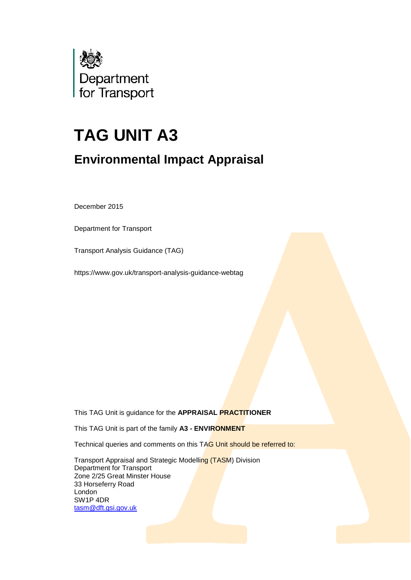

# **TAG UNIT A3**

# **Environmental Impact Appraisal**

December 2015

Department for Transport

Transport Analysis Guidance (TAG)

https://www.gov.uk/transport-analysis-guidance-webtag

This TAG Unit is guidance for the **APPRAISAL PRACTITIONER**

This TAG Unit is part of the family **A3 - ENVIRONMENT**

Technical queries and comments on this TAG Unit should be referred to:

Transport Appraisal and Strategic Modelling (TASM) Division Department for Transport Zone 2/25 Great Minster House 33 Horseferry Road London SW1P 4DR [tasm@dft.gsi.gov.uk](mailto:tasm@dft.gsi.gov.uk)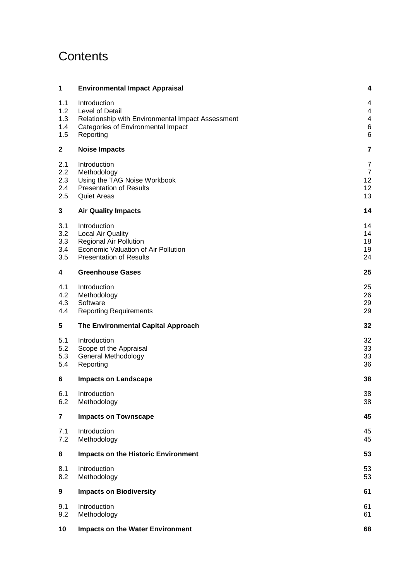# **Contents**

| 1                               | <b>Environmental Impact Appraisal</b>                                                                                                              | 4                          |
|---------------------------------|----------------------------------------------------------------------------------------------------------------------------------------------------|----------------------------|
| 1.1<br>1.2<br>1.3<br>1.4<br>1.5 | Introduction<br>Level of Detail<br>Relationship with Environmental Impact Assessment<br>Categories of Environmental Impact<br>Reporting            | 4<br>4<br>4<br>6<br>6      |
| $\mathbf{2}$                    | <b>Noise Impacts</b>                                                                                                                               | 7                          |
| 2.1<br>2.2<br>2.3<br>2.4<br>2.5 | Introduction<br>Methodology<br>Using the TAG Noise Workbook<br><b>Presentation of Results</b><br><b>Quiet Areas</b>                                | 7<br>7<br>12<br>12<br>13   |
| 3                               | <b>Air Quality Impacts</b>                                                                                                                         | 14                         |
| 3.1<br>3.2<br>3.3<br>3.4<br>3.5 | Introduction<br><b>Local Air Quality</b><br><b>Regional Air Pollution</b><br>Economic Valuation of Air Pollution<br><b>Presentation of Results</b> | 14<br>14<br>18<br>19<br>24 |
| 4                               | <b>Greenhouse Gases</b>                                                                                                                            | 25                         |
| 4.1<br>4.2<br>4.3<br>4.4        | Introduction<br>Methodology<br>Software<br><b>Reporting Requirements</b>                                                                           | 25<br>26<br>29<br>29       |
| 5                               | The Environmental Capital Approach                                                                                                                 | 32                         |
| 5.1<br>5.2<br>5.3<br>5.4        | Introduction<br>Scope of the Appraisal<br>General Methodology<br>Reporting                                                                         | 32<br>33<br>33<br>36       |
| 6                               | <b>Impacts on Landscape</b>                                                                                                                        | 38                         |
| 6.1<br>6.2                      | Introduction<br>Methodology                                                                                                                        | 38<br>38                   |
| $\overline{\mathbf{r}}$         | <b>Impacts on Townscape</b>                                                                                                                        | 45                         |
| 7.1<br>7.2                      | Introduction<br>Methodology                                                                                                                        | 45<br>45                   |
| 8                               | <b>Impacts on the Historic Environment</b>                                                                                                         | 53                         |
| 8.1<br>8.2                      | Introduction<br>Methodology                                                                                                                        | 53<br>53                   |
| 9                               | <b>Impacts on Biodiversity</b>                                                                                                                     | 61                         |
| 9.1<br>9.2                      | Introduction<br>Methodology                                                                                                                        | 61<br>61                   |
| 10                              | <b>Impacts on the Water Environment</b>                                                                                                            | 68                         |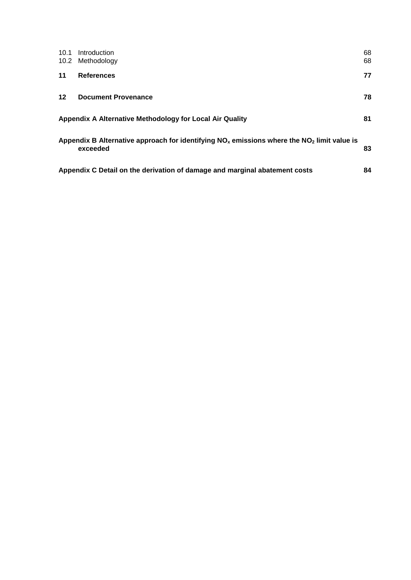| 10.1<br>10.2 | Introduction<br>Methodology                                                                                | 68<br>68 |
|--------------|------------------------------------------------------------------------------------------------------------|----------|
| 11           | <b>References</b>                                                                                          | 77       |
| $12 \,$      | <b>Document Provenance</b>                                                                                 | 78       |
|              | Appendix A Alternative Methodology for Local Air Quality                                                   | 81       |
|              | Appendix B Alternative approach for identifying $NOx$ emissions where the $NO2$ limit value is<br>exceeded | 83       |
|              | Appendix C Detail on the derivation of damage and marginal abatement costs                                 | 84       |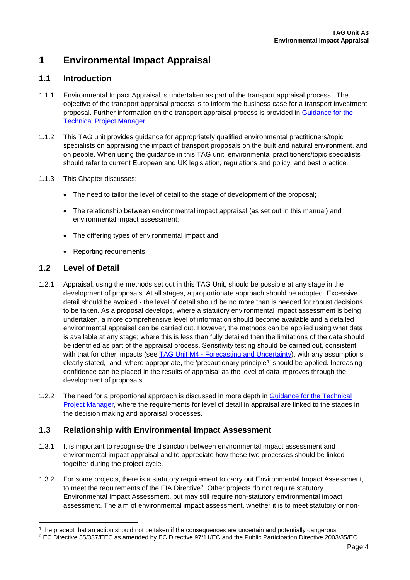# **1 Environmental Impact Appraisal**

## **1.1 Introduction**

- 1.1.1 Environmental Impact Appraisal is undertaken as part of the transport appraisal process. The objective of the transport appraisal process is to inform the business case for a transport investment proposal. Further information on the transport appraisal process is provided in [Guidance for the](https://www.gov.uk/transport-analysis-guidance-webtag#guidance-for-the-technical-project-manager-tpm)  [Technical Project Manager.](https://www.gov.uk/transport-analysis-guidance-webtag#guidance-for-the-technical-project-manager-tpm)
- 1.1.2 This TAG unit provides guidance for appropriately qualified environmental practitioners/topic specialists on appraising the impact of transport proposals on the built and natural environment, and on people. When using the guidance in this TAG unit, environmental practitioners/topic specialists should refer to current European and UK legislation, regulations and policy, and best practice*.*
- 1.1.3 This Chapter discusses:
	- The need to tailor the level of detail to the stage of development of the proposal;
	- The relationship between environmental impact appraisal (as set out in this manual) and environmental impact assessment;
	- The differing types of environmental impact and
	- Reporting requirements.

## **1.2 Level of Detail**

- 1.2.1 Appraisal, using the methods set out in this TAG Unit, should be possible at any stage in the development of proposals. At all stages, a proportionate approach should be adopted. Excessive detail should be avoided - the level of detail should be no more than is needed for robust decisions to be taken. As a proposal develops, where a statutory environmental impact assessment is being undertaken, a more comprehensive level of information should become available and a detailed environmental appraisal can be carried out. However, the methods can be applied using what data is available at any stage; where this is less than fully detailed then the limitations of the data should be identified as part of the appraisal process. Sensitivity testing should be carried out, consistent with that for other impacts (see TAG Unit M4 - [Forecasting and Uncertainty\)](https://www.gov.uk/transport-analysis-guidance-webtag#m4-forecasting), with any assumptions clearly stated, and, where appropriate, the 'precautionary principle<sup>[1](#page-3-0)</sup>' should be applied. Increasing confidence can be placed in the results of appraisal as the level of data improves through the development of proposals.
- 1.2.2 The need for a proportional approach is discussed in more depth in [Guidance for the Technical](https://www.gov.uk/transport-analysis-guidance-webtag#guidance-for-the-technical-project-manager-tpm)  Project [Manager,](https://www.gov.uk/transport-analysis-guidance-webtag#guidance-for-the-technical-project-manager-tpm) where the requirements for level of detail in appraisal are linked to the stages in the decision making and appraisal processes.

## **1.3 Relationship with Environmental Impact Assessment**

- 1.3.1 It is important to recognise the distinction between environmental impact assessment and environmental impact appraisal and to appreciate how these two processes should be linked together during the project cycle.
- 1.3.2 For some projects, there is a statutory requirement to carry out Environmental Impact Assessment, to meet the requirements of the EIA Directive[2.](#page-3-1) Other projects do not require statutory Environmental Impact Assessment, but may still require non-statutory environmental impact assessment. The aim of environmental impact assessment, whether it is to meet statutory or non-

<span id="page-3-0"></span> $<sup>1</sup>$  the precept that an action should not be taken if the consequences are uncertain and potentially dangerous</sup>

<span id="page-3-1"></span><sup>2</sup> EC Directive 85/337/EEC as amended by EC Directive 97/11/EC and the Public Participation Directive 2003/35/EC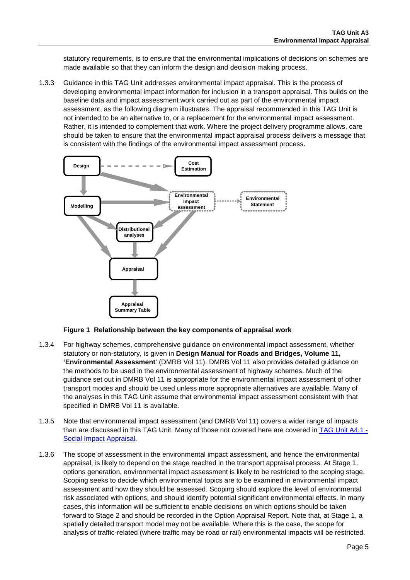statutory requirements, is to ensure that the environmental implications of decisions on schemes are made available so that they can inform the design and decision making process.

1.3.3 Guidance in this TAG Unit addresses environmental impact appraisal. This is the process of developing environmental impact information for inclusion in a transport appraisal. This builds on the baseline data and impact assessment work carried out as part of the environmental impact assessment, as the following diagram illustrates. The appraisal recommended in this TAG Unit is not intended to be an alternative to, or a replacement for the environmental impact assessment. Rather, it is intended to complement that work. Where the project delivery programme allows, care should be taken to ensure that the environmental impact appraisal process delivers a message that is consistent with the findings of the environmental impact assessment process.



#### **Figure 1 Relationship between the key components of appraisal work**

- 1.3.4 For highway schemes, comprehensive guidance on environmental impact assessment, whether statutory or non-statutory, is given in **Design Manual for Roads and Bridges, Volume 11, 'Environmental Assessment**' (DMRB Vol 11). DMRB Vol 11 also provides detailed guidance on the methods to be used in the environmental assessment of highway schemes. Much of the guidance set out in DMRB Vol 11 is appropriate for the environmental impact assessment of other transport modes and should be used unless more appropriate alternatives are available. Many of the analyses in this TAG Unit assume that environmental impact assessment consistent with that specified in DMRB Vol 11 is available.
- 1.3.5 Note that environmental impact assessment (and DMRB Vol 11) covers a wider range of impacts than are discussed in this TAG Unit. Many of those not covered here are covered in [TAG Unit A4.1](https://www.gov.uk/transport-analysis-guidance-webtag#a4-social-and-distributional-impacts) -[Social Impact](https://www.gov.uk/transport-analysis-guidance-webtag#a4-social-and-distributional-impacts) Appraisal.
- 1.3.6 The scope of assessment in the environmental impact assessment, and hence the environmental appraisal, is likely to depend on the stage reached in the transport appraisal process. At Stage 1, options generation, environmental impact assessment is likely to be restricted to the scoping stage. Scoping seeks to decide which environmental topics are to be examined in environmental impact assessment and how they should be assessed. Scoping should explore the level of environmental risk associated with options, and should identify potential significant environmental effects. In many cases, this information will be sufficient to enable decisions on which options should be taken forward to Stage 2 and should be recorded in the Option Appraisal Report. Note that, at Stage 1, a spatially detailed transport model may not be available. Where this is the case, the scope for analysis of traffic-related (where traffic may be road or rail) environmental impacts will be restricted.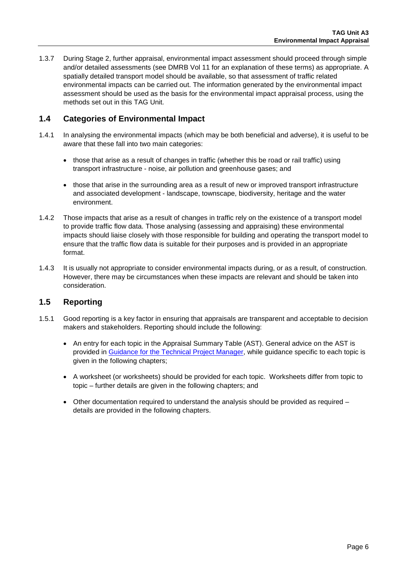1.3.7 During Stage 2, further appraisal, environmental impact assessment should proceed through simple and/or detailed assessments (see DMRB Vol 11 for an explanation of these terms) as appropriate. A spatially detailed transport model should be available, so that assessment of traffic related environmental impacts can be carried out. The information generated by the environmental impact assessment should be used as the basis for the environmental impact appraisal process, using the methods set out in this TAG Unit.

## **1.4 Categories of Environmental Impact**

- 1.4.1 In analysing the environmental impacts (which may be both beneficial and adverse), it is useful to be aware that these fall into two main categories:
	- those that arise as a result of changes in traffic (whether this be road or rail traffic) using transport infrastructure - noise, air pollution and greenhouse gases; and
	- those that arise in the surrounding area as a result of new or improved transport infrastructure and associated development - landscape, townscape, biodiversity, heritage and the water environment.
- 1.4.2 Those impacts that arise as a result of changes in traffic rely on the existence of a transport model to provide traffic flow data. Those analysing (assessing and appraising) these environmental impacts should liaise closely with those responsible for building and operating the transport model to ensure that the traffic flow data is suitable for their purposes and is provided in an appropriate format.
- 1.4.3 It is usually not appropriate to consider environmental impacts during, or as a result, of construction. However, there may be circumstances when these impacts are relevant and should be taken into consideration.

## **1.5 Reporting**

- 1.5.1 Good reporting is a key factor in ensuring that appraisals are transparent and acceptable to decision makers and stakeholders. Reporting should include the following:
	- An entry for each topic in the Appraisal Summary Table (AST). General advice on the AST is provided in [Guidance for the Technical Project Manager,](https://www.gov.uk/transport-analysis-guidance-webtag#guidance-for-the-technical-project-manager-tpm) while guidance specific to each topic is given in the following chapters;
	- A worksheet (or worksheets) should be provided for each topic. Worksheets differ from topic to topic – further details are given in the following chapters; and
	- Other documentation required to understand the analysis should be provided as required details are provided in the following chapters.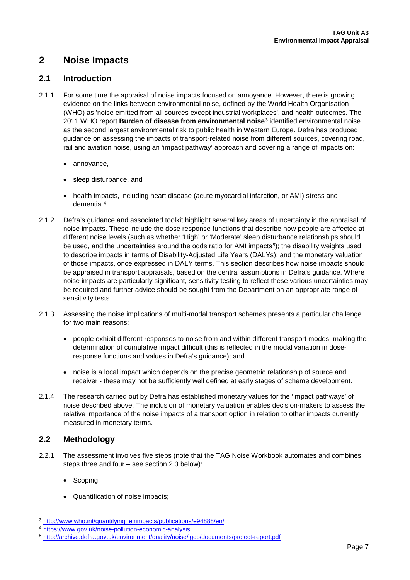## **2 Noise Impacts**

## **2.1 Introduction**

- 2.1.1 For some time the appraisal of noise impacts focused on annoyance. However, there is growing evidence on the links between environmental noise, defined by the World Health Organisation (WHO) as 'noise emitted from all sources except industrial workplaces', and health outcomes. The 2011 WHO report **Burden of disease from environmental noise**[3](#page-6-0) identified environmental noise as the second largest environmental risk to public health in Western Europe. Defra has produced guidance on assessing the impacts of transport-related noise from different sources, covering road, rail and aviation noise, using an 'impact pathway' approach and covering a range of impacts on:
	- annoyance,
	- sleep disturbance, and
	- health impacts, including heart disease (acute myocardial infarction, or AMI) stress and dementia.[4](#page-6-1)
- 2.1.2 Defra's guidance and associated toolkit highlight several key areas of uncertainty in the appraisal of noise impacts. These include the dose response functions that describe how people are affected at different noise levels (such as whether 'High' or 'Moderate' sleep disturbance relationships should be used, and the uncertainties around the odds ratio for AMI impacts<sup>5</sup>); the disability weights used to describe impacts in terms of Disability-Adjusted Life Years (DALYs); and the monetary valuation of those impacts, once expressed in DALY terms. This section describes how noise impacts should be appraised in transport appraisals, based on the central assumptions in Defra's guidance. Where noise impacts are particularly significant, sensitivity testing to reflect these various uncertainties may be required and further advice should be sought from the Department on an appropriate range of sensitivity tests.
- 2.1.3 Assessing the noise implications of multi-modal transport schemes presents a particular challenge for two main reasons:
	- people exhibit different responses to noise from and within different transport modes, making the determination of cumulative impact difficult (this is reflected in the modal variation in doseresponse functions and values in Defra's guidance); and
	- noise is a local impact which depends on the precise geometric relationship of source and receiver - these may not be sufficiently well defined at early stages of scheme development.
- 2.1.4 The research carried out by Defra has established monetary values for the 'impact pathways' of noise described above. The inclusion of monetary valuation enables decision-makers to assess the relative importance of the noise impacts of a transport option in relation to other impacts currently measured in monetary terms.

## **2.2 Methodology**

- 2.2.1 The assessment involves five steps (note that the TAG Noise Workbook automates and combines steps three and four – see section [2.3](#page-11-0) below):
	- Scoping;
	- Quantification of noise impacts;

<span id="page-6-0"></span> <sup>3</sup> [http://www.who.int/quantifying\\_ehimpacts/publications/e94888/en/](http://www.who.int/quantifying_ehimpacts/publications/e94888/en/)

<span id="page-6-1"></span><sup>4</sup> <https://www.gov.uk/noise-pollution-economic-analysis>

<span id="page-6-2"></span><sup>5</sup> <http://archive.defra.gov.uk/environment/quality/noise/igcb/documents/project-report.pdf>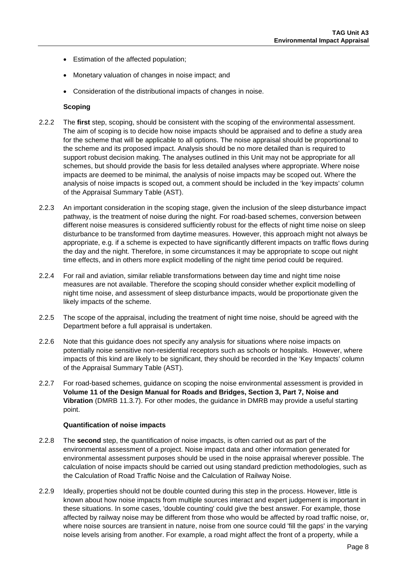- Estimation of the affected population;
- Monetary valuation of changes in noise impact; and
- Consideration of the distributional impacts of changes in noise.

#### **Scoping**

- 2.2.2 The **first** step, scoping, should be consistent with the scoping of the environmental assessment. The aim of scoping is to decide how noise impacts should be appraised and to define a study area for the scheme that will be applicable to all options. The noise appraisal should be proportional to the scheme and its proposed impact. Analysis should be no more detailed than is required to support robust decision making. The analyses outlined in this Unit may not be appropriate for all schemes, but should provide the basis for less detailed analyses where appropriate. Where noise impacts are deemed to be minimal, the analysis of noise impacts may be scoped out. Where the analysis of noise impacts is scoped out, a comment should be included in the 'key impacts' column of the Appraisal Summary Table (AST).
- 2.2.3 An important consideration in the scoping stage, given the inclusion of the sleep disturbance impact pathway, is the treatment of noise during the night. For road-based schemes, conversion between different noise measures is considered sufficiently robust for the effects of night time noise on sleep disturbance to be transformed from daytime measures. However, this approach might not always be appropriate, e.g. if a scheme is expected to have significantly different impacts on traffic flows during the day and the night. Therefore, in some circumstances it may be appropriate to scope out night time effects, and in others more explicit modelling of the night time period could be required.
- 2.2.4 For rail and aviation, similar reliable transformations between day time and night time noise measures are not available. Therefore the scoping should consider whether explicit modelling of night time noise, and assessment of sleep disturbance impacts, would be proportionate given the likely impacts of the scheme.
- 2.2.5 The scope of the appraisal, including the treatment of night time noise, should be agreed with the Department before a full appraisal is undertaken.
- 2.2.6 Note that this guidance does not specify any analysis for situations where noise impacts on potentially noise sensitive non-residential receptors such as schools or hospitals. However, where impacts of this kind are likely to be significant, they should be recorded in the 'Key Impacts' column of the Appraisal Summary Table (AST).
- 2.2.7 For road-based schemes, guidance on scoping the noise environmental assessment is provided in **Volume 11 of the Design Manual for Roads and Bridges, Section 3, Part 7, Noise and Vibration** (DMRB 11.3.7). For other modes, the guidance in DMRB may provide a useful starting point.

#### **Quantification of noise impacts**

- 2.2.8 The **second** step, the quantification of noise impacts, is often carried out as part of the environmental assessment of a project. Noise impact data and other information generated for environmental assessment purposes should be used in the noise appraisal wherever possible. The calculation of noise impacts should be carried out using standard prediction methodologies, such as the Calculation of Road Traffic Noise and the Calculation of Railway Noise.
- 2.2.9 Ideally, properties should not be double counted during this step in the process. However, little is known about how noise impacts from multiple sources interact and expert judgement is important in these situations. In some cases, 'double counting' could give the best answer. For example, those affected by railway noise may be different from those who would be affected by road traffic noise, or, where noise sources are transient in nature, noise from one source could 'fill the gaps' in the varying noise levels arising from another. For example, a road might affect the front of a property, while a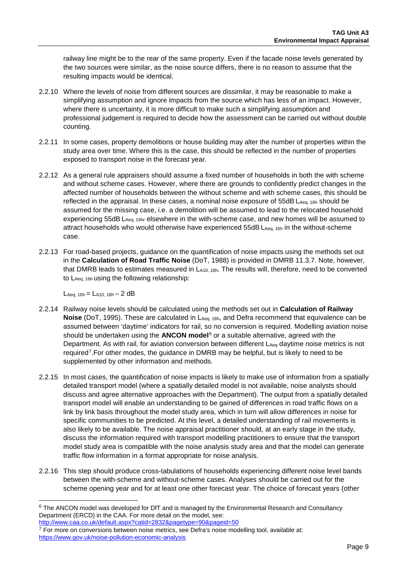railway line might be to the rear of the same property. Even if the facade noise levels generated by the two sources were similar, as the noise source differs, there is no reason to assume that the resulting impacts would be identical.

- 2.2.10 Where the levels of noise from different sources are dissimilar, it may be reasonable to make a simplifying assumption and ignore impacts from the source which has less of an impact. However, where there is uncertainty, it is more difficult to make such a simplifying assumption and professional judgement is required to decide how the assessment can be carried out without double counting.
- 2.2.11 In some cases, property demolitions or house building may alter the number of properties within the study area over time. Where this is the case, this should be reflected in the number of properties exposed to transport noise in the forecast year.
- 2.2.12 As a general rule appraisers should assume a fixed number of households in both the with scheme and without scheme cases. However, where there are grounds to confidently predict changes in the affected number of households between the without scheme and with scheme cases, this should be reflected in the appraisal. In these cases, a nominal noise exposure of 55dB LAeq, 16h should be assumed for the missing case, i.e. a demolition will be assumed to lead to the relocated household experiencing 55dB LAeq, 16hr elsewhere in the with-scheme case, and new homes will be assumed to attract households who would otherwise have experienced 55dB LAeq, 16h in the without-scheme case.
- 2.2.13 For road-based projects, guidance on the quantification of noise impacts using the methods set out in the **Calculation of Road Traffic Noise** (DoT, 1988) is provided in DMRB 11.3.7. Note, however, that DMRB leads to estimates measured in LA10, 18h. The results will, therefore, need to be converted to LAeq, 16h using the following relationship:

 $L_{Aeq, 16h} = L_{A10, 18h} - 2 dB$ 

- 2.2.14 Railway noise levels should be calculated using the methods set out in **Calculation of Railway Noise** (DoT, 1995). These are calculated in L<sub>Aeq, 18h</sub>, and Defra recommend that equivalence can be assumed between 'daytime' indicators for rail, so no conversion is required. Modelling aviation noise should be undertaken using the **ANCON model**[6](#page-8-0) or a suitable alternative, agreed with the Department. As with rail, for aviation conversion between different  $L_{Aeq}$  daytime noise metrics is not required[7.](#page-8-1)For other modes, the guidance in DMRB may be helpful, but is likely to need to be supplemented by other information and methods.
- 2.2.15 In most cases, the quantification of noise impacts is likely to make use of information from a spatially detailed transport model (where a spatially detailed model is not available, noise analysts should discuss and agree alternative approaches with the Department). The output from a spatially detailed transport model will enable an understanding to be gained of differences in road traffic flows on a link by link basis throughout the model study area, which in turn will allow differences in noise for specific communities to be predicted. At this level, a detailed understanding of rail movements is also likely to be available. The noise appraisal practitioner should, at an early stage in the study, discuss the information required with transport modelling practitioners to ensure that the transport model study area is compatible with the noise analysis study area and that the model can generate traffic flow information in a format appropriate for noise analysis.
- 2.2.16 This step should produce cross-tabulations of households experiencing different noise level bands between the with-scheme and without-scheme cases. Analyses should be carried out for the scheme opening year and for at least one other forecast year. The choice of forecast years (other

<span id="page-8-0"></span><sup>&</sup>lt;sup>6</sup> The ANCON model was developed for DfT and is managed by the Environmental Research and Consultancy Department (ERCD) in the CAA. For more detail on the model, see:

<http://www.caa.co.uk/default.aspx?catid=2832&pagetype=90&pageid=50>

<span id="page-8-1"></span> $7$  For more on conversions between noise metrics, see Defra's noise modelling tool, available at: <https://www.gov.uk/noise-pollution-economic-analysis>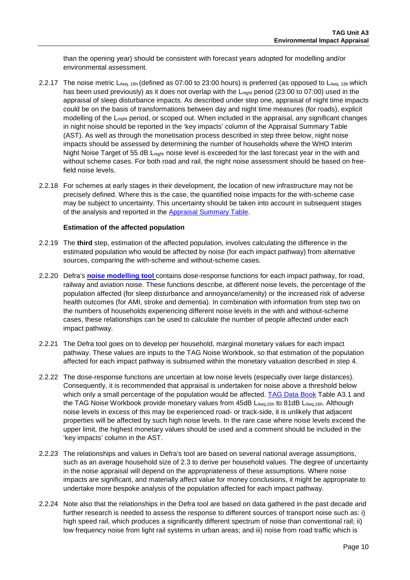than the opening year) should be consistent with forecast years adopted for modelling and/or environmental assessment.

- 2.2.17 The noise metric LAeq, 16h (defined as 07:00 to 23:00 hours) is preferred (as opposed to LAeq, 18h which has been used previously) as it does not overlap with the L<sub>night</sub> period (23:00 to 07:00) used in the appraisal of sleep disturbance impacts. As described under step one, appraisal of night time impacts could be on the basis of transformations between day and night time measures (for roads), explicit modelling of the L<sub>night</sub> period, or scoped out. When included in the appraisal, any significant changes in night noise should be reported in the 'key impacts' column of the Appraisal Summary Table (AST). As well as through the monetisation process described in step three below, night noise impacts should be assessed by determining the number of households where the WHO Interim Night Noise Target of 55 dB L<sub>night</sub> noise level is exceeded for the last forecast year in the with and without scheme cases. For both road and rail, the night noise assessment should be based on freefield noise levels.
- 2.2.18 For schemes at early stages in their development, the location of new infrastructure may not be precisely defined. Where this is the case, the quantified noise impacts for the with-scheme case may be subject to uncertainty. This uncertainty should be taken into account in subsequent stages of the analysis and reported in the [Appraisal Summary Table.](https://www.gov.uk/government/publications/webtag-appraisal-tables)

#### **Estimation of the affected population**

- 2.2.19 The **third** step, estimation of the affected population, involves calculating the difference in the estimated population who would be affected by noise (for each impact pathway) from alternative sources, comparing the with-scheme and without-scheme cases.
- 2.2.20 Defra's **[noise modelling tool](https://www.gov.uk/noise-pollution-economic-analysis)** contains dose-response functions for each impact pathway, for road, railway and aviation noise. These functions describe, at different noise levels, the percentage of the population affected (for sleep disturbance and annoyance/amenity) or the increased risk of adverse health outcomes (for AMI, stroke and dementia). In combination with information from step two on the numbers of households experiencing different noise levels in the with and without-scheme cases, these relationships can be used to calculate the number of people affected under each impact pathway.
- 2.2.21 The Defra tool goes on to develop per household, marginal monetary values for each impact pathway. These values are inputs to the TAG Noise Workbook, so that estimation of the population affected for each impact pathway is subsumed within the monetary valuation described in step 4.
- 2.2.22 The dose-response functions are uncertain at low noise levels (especially over large distances). Consequently, it is recommended that appraisal is undertaken for noise above a threshold below which only a small percentage of the population would be affected. [TAG Data Book](https://www.gov.uk/transport-analysis-guidance-webtag#webtag-data-book) Table A3.1 and the TAG Noise Workbook provide monetary values from 45dB LAeq,16h to 81dB LAeq,16h. Although noise levels in excess of this may be experienced road- or track-side, it is unlikely that adjacent properties will be affected by such high noise levels. In the rare case where noise levels exceed the upper limit, the highest monetary values should be used and a comment should be included in the 'key impacts' column in the AST.
- 2.2.23 The relationships and values in Defra's tool are based on several national average assumptions, such as an average household size of 2.3 to derive per household values. The degree of uncertainty in the noise appraisal will depend on the appropriateness of these assumptions. Where noise impacts are significant, and materially affect value for money conclusions, it might be appropriate to undertake more bespoke analysis of the population affected for each impact pathway.
- 2.2.24 Note also that the relationships in the Defra tool are based on data gathered in the past decade and further research is needed to assess the response to different sources of transport noise such as: i) high speed rail, which produces a significantly different spectrum of noise than conventional rail; ii) low frequency noise from light rail systems in urban areas; and iii) noise from road traffic which is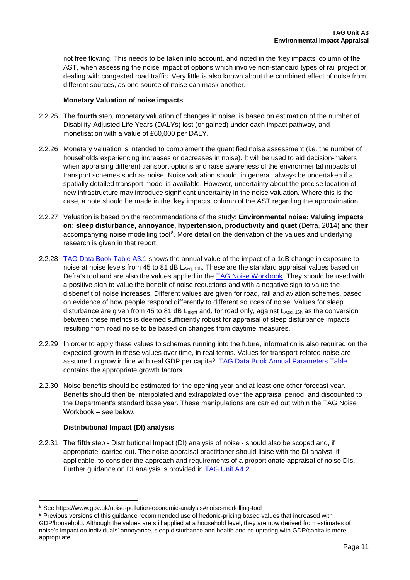not free flowing. This needs to be taken into account, and noted in the 'key impacts' column of the AST, when assessing the noise impact of options which involve non-standard types of rail project or dealing with congested road traffic. Very little is also known about the combined effect of noise from different sources, as one source of noise can mask another.

#### **Monetary Valuation of noise impacts**

- 2.2.25 The **fourth** step, monetary valuation of changes in noise, is based on estimation of the number of Disability-Adjusted Life Years (DALYs) lost (or gained) under each impact pathway, and monetisation with a value of £60,000 per DALY.
- 2.2.26 Monetary valuation is intended to complement the quantified noise assessment (i.e. the number of households experiencing increases or decreases in noise). It will be used to aid decision-makers when appraising different transport options and raise awareness of the environmental impacts of transport schemes such as noise. Noise valuation should, in general, always be undertaken if a spatially detailed transport model is available. However, uncertainty about the precise location of new infrastructure may introduce significant uncertainty in the noise valuation. Where this is the case, a note should be made in the 'key impacts' column of the AST regarding the approximation.
- 2.2.27 Valuation is based on the recommendations of the study: **Environmental noise: Valuing impacts on: sleep disturbance, annoyance, hypertension, productivity and quiet** (Defra, 2014) and their accompanying noise modelling tool<sup>8</sup>. More detail on the derivation of the values and underlying research is given in that report.
- 2.2.28 [TAG Data Book](https://www.gov.uk/transport-analysis-guidance-webtag#webtag-data-book) Table A3.1 shows the annual value of the impact of a 1dB change in exposure to noise at noise levels from 45 to 81 dB LAeq, 16h. These are the standard appraisal values based on Defra's tool and are also the values applied in the [TAG Noise Workbook.](https://www.gov.uk/transport-analysis-guidance-webtag#appraisal-worksheets) They should be used with a positive sign to value the benefit of noise reductions and with a negative sign to value the disbenefit of noise increases. Different values are given for road, rail and aviation schemes, based on evidence of how people respond differently to different sources of noise. Values for sleep disturbance are given from 45 to 81 dB  $L_{\text{night}}$  and, for road only, against  $L_{\text{Aeq}}$ , 16h as the conversion between these metrics is deemed sufficiently robust for appraisal of sleep disturbance impacts resulting from road noise to be based on changes from daytime measures.
- 2.2.29 In order to apply these values to schemes running into the future, information is also required on the expected growth in these values over time, in real terms. Values for transport-related noise are assumed to grow in line with real GDP per capita<sup>[9](#page-10-1)</sup>. TAG Data Book [Annual Parameters Table](https://www.gov.uk/transport-analysis-guidance-webtag#webtag-data-book) contains the appropriate growth factors.
- 2.2.30 Noise benefits should be estimated for the opening year and at least one other forecast year. Benefits should then be interpolated and extrapolated over the appraisal period, and discounted to the Department's standard base year. These manipulations are carried out within the TAG Noise Workbook – see below.

#### **Distributional Impact (DI) analysis**

2.2.31 The **fifth** step - Distributional Impact (DI) analysis of noise - should also be scoped and, if appropriate, carried out. The noise appraisal practitioner should liaise with the DI analyst, if applicable, to consider the approach and requirements of a proportionate appraisal of noise DIs. Further guidance on DI analysis is provided in [TAG Unit A4.2.](https://www.gov.uk/transport-analysis-guidance-webtag#a4-social-and-distributional-impacts)

<span id="page-10-0"></span> <sup>8</sup> See https://www.gov.uk/noise-pollution-economic-analysis#noise-modelling-tool

<span id="page-10-1"></span><sup>9</sup> Previous versions of this guidance recommended use of hedonic-pricing based values that increased with GDP/household. Although the values are still applied at a household level, they are now derived from estimates of noise's impact on individuals' annoyance, sleep disturbance and health and so uprating with GDP/capita is more appropriate.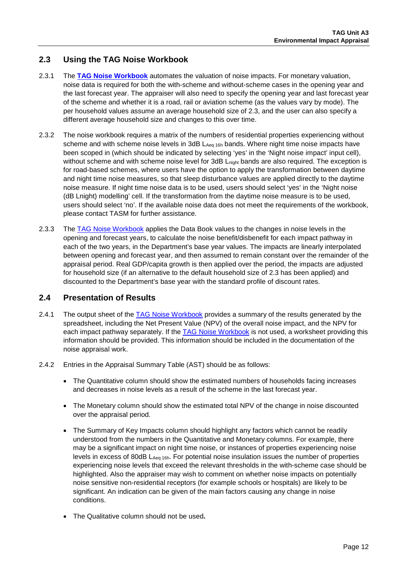## <span id="page-11-0"></span>**2.3 Using the TAG Noise Workbook**

- 2.3.1 The **[TAG Noise Workbook](https://www.gov.uk/transport-analysis-guidance-webtag#appraisal-worksheets)** automates the valuation of noise impacts. For monetary valuation, noise data is required for both the with-scheme and without-scheme cases in the opening year and the last forecast year. The appraiser will also need to specify the opening year and last forecast year of the scheme and whether it is a road, rail or aviation scheme (as the values vary by mode). The per household values assume an average household size of 2.3, and the user can also specify a different average household size and changes to this over time.
- 2.3.2 The noise workbook requires a matrix of the numbers of residential properties experiencing without scheme and with scheme noise levels in 3dB LAeq 16h bands. Where night time noise impacts have been scoped in (which should be indicated by selecting 'yes' in the 'Night noise impact' input cell), without scheme and with scheme noise level for 3dB L<sub>night</sub> bands are also required. The exception is for road-based schemes, where users have the option to apply the transformation between daytime and night time noise measures, so that sleep disturbance values are applied directly to the daytime noise measure. If night time noise data is to be used, users should select 'yes' in the 'Night noise (dB Lnight) modelling' cell. If the transformation from the daytime noise measure is to be used, users should select 'no'. If the available noise data does not meet the requirements of the workbook, please contact TASM for further assistance.
- 2.3.3 The [TAG Noise Workbook](https://www.gov.uk/transport-analysis-guidance-webtag#appraisal-worksheets) applies the Data Book values to the changes in noise levels in the opening and forecast years, to calculate the noise benefit/disbenefit for each impact pathway in each of the two years, in the Department's base year values. The impacts are linearly interpolated between opening and forecast year, and then assumed to remain constant over the remainder of the appraisal period. Real GDP/capita growth is then applied over the period, the impacts are adjusted for household size (if an alternative to the default household size of 2.3 has been applied) and discounted to the Department's base year with the standard profile of discount rates.

### **2.4 Presentation of Results**

- 2.4.1 The output sheet of the [TAG Noise Workbook](https://www.gov.uk/transport-analysis-guidance-webtag#appraisal-worksheets) provides a summary of the results generated by the spreadsheet, including the Net Present Value (NPV) of the overall noise impact, and the NPV for each impact pathway separately. If the [TAG Noise Workbook](https://www.gov.uk/transport-analysis-guidance-webtag#appraisal-worksheets) is not used, a worksheet providing this information should be provided. This information should be included in the documentation of the noise appraisal work.
- 2.4.2 Entries in the Appraisal Summary Table (AST) should be as follows:
	- The Quantitative column should show the estimated numbers of households facing increases and decreases in noise levels as a result of the scheme in the last forecast year.
	- The Monetary column should show the estimated total NPV of the change in noise discounted over the appraisal period.
	- The Summary of Key Impacts column should highlight any factors which cannot be readily understood from the numbers in the Quantitative and Monetary columns. For example, there may be a significant impact on night time noise, or instances of properties experiencing noise levels in excess of 80dB LAeq 16h. For potential noise insulation issues the number of properties experiencing noise levels that exceed the relevant thresholds in the with-scheme case should be highlighted. Also the appraiser may wish to comment on whether noise impacts on potentially noise sensitive non-residential receptors (for example schools or hospitals) are likely to be significant. An indication can be given of the main factors causing any change in noise conditions.
	- The Qualitative column should not be used**.**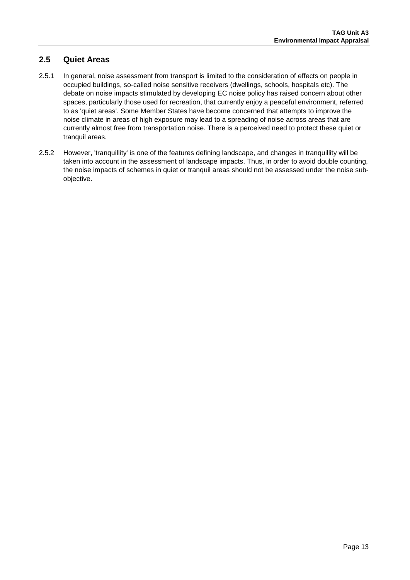## **2.5 Quiet Areas**

- 2.5.1 In general, noise assessment from transport is limited to the consideration of effects on people in occupied buildings, so-called noise sensitive receivers (dwellings, schools, hospitals etc). The debate on noise impacts stimulated by developing EC noise policy has raised concern about other spaces, particularly those used for recreation, that currently enjoy a peaceful environment, referred to as 'quiet areas'. Some Member States have become concerned that attempts to improve the noise climate in areas of high exposure may lead to a spreading of noise across areas that are currently almost free from transportation noise. There is a perceived need to protect these quiet or tranquil areas.
- 2.5.2 However, 'tranquillity' is one of the features defining landscape, and changes in tranquillity will be taken into account in the assessment of landscape impacts. Thus, in order to avoid double counting, the noise impacts of schemes in quiet or tranquil areas should not be assessed under the noise subobjective.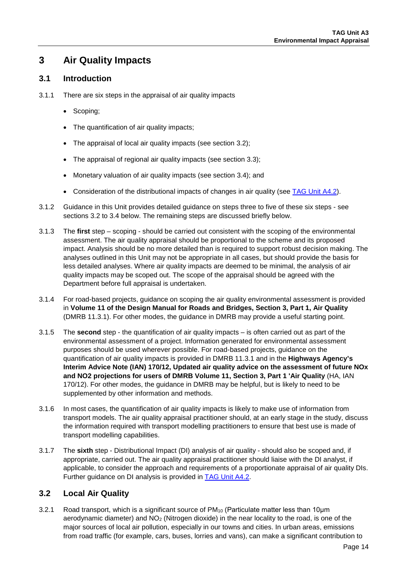## **3 Air Quality Impacts**

## **3.1 Introduction**

- 3.1.1 There are six steps in the appraisal of air quality impacts
	- Scoping;
	- The quantification of air quality impacts;
	- The appraisal of local air quality impacts (see section [3.2\)](#page-13-0);
	- The appraisal of regional air quality impacts (see section [3.3\)](#page-17-0);
	- Monetary valuation of air quality impacts (see section [3.4\)](#page-18-0); and
	- Consideration of the distributional impacts of changes in air quality (see [TAG Unit A4.2\)](https://www.gov.uk/transport-analysis-guidance-webtag#a4-social-and-distributional-impacts).
- 3.1.2 Guidance in this Unit provides detailed guidance on steps three to five of these six steps see sections [3.2](#page-13-0) to [3.4](#page-18-0) below. The remaining steps are discussed briefly below.
- 3.1.3 The **first** step scoping should be carried out consistent with the scoping of the environmental assessment. The air quality appraisal should be proportional to the scheme and its proposed impact. Analysis should be no more detailed than is required to support robust decision making. The analyses outlined in this Unit may not be appropriate in all cases, but should provide the basis for less detailed analyses. Where air quality impacts are deemed to be minimal, the analysis of air quality impacts may be scoped out. The scope of the appraisal should be agreed with the Department before full appraisal is undertaken.
- 3.1.4 For road-based projects, guidance on scoping the air quality environmental assessment is provided in **Volume 11 of the Design Manual for Roads and Bridges, Section 3, Part 1, Air Quality** (DMRB 11.3.1). For other modes, the guidance in DMRB may provide a useful starting point.
- 3.1.5 The **second** step the quantification of air quality impacts is often carried out as part of the environmental assessment of a project. Information generated for environmental assessment purposes should be used wherever possible. For road-based projects, guidance on the quantification of air quality impacts is provided in DMRB 11.3.1 and in the **Highways Agency's Interim Advice Note (IAN) 170/12, Updated air quality advice on the assessment of future NOx and NO2 projections for users of DMRB Volume 11, Section 3, Part 1 'Air Quality** (HA, IAN 170/12). For other modes, the guidance in DMRB may be helpful, but is likely to need to be supplemented by other information and methods.
- 3.1.6 In most cases, the quantification of air quality impacts is likely to make use of information from transport models. The air quality appraisal practitioner should, at an early stage in the study, discuss the information required with transport modelling practitioners to ensure that best use is made of transport modelling capabilities.
- 3.1.7 The **sixth** step Distributional Impact (DI) analysis of air quality should also be scoped and, if appropriate, carried out. The air quality appraisal practitioner should liaise with the DI analyst, if applicable, to consider the approach and requirements of a proportionate appraisal of air quality DIs. Further guidance on DI analysis is provided in **TAG Unit A4.2.**

## <span id="page-13-0"></span>**3.2 Local Air Quality**

3.2.1 Road transport, which is a significant source of PM10 (Particulate matter less than 10μm aerodynamic diameter) and NO2 (Nitrogen dioxide) in the near locality to the road, is one of the major sources of local air pollution, especially in our towns and cities. In urban areas, emissions from road traffic (for example, cars, buses, lorries and vans), can make a significant contribution to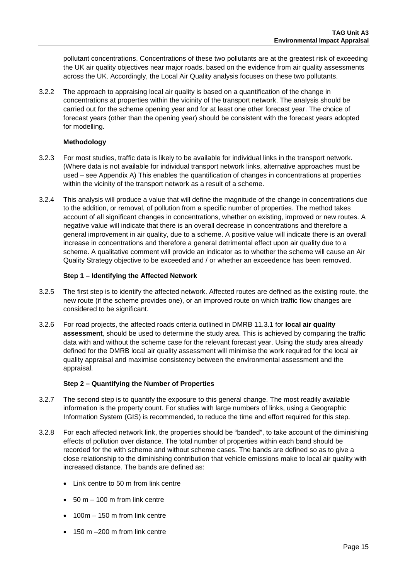pollutant concentrations. Concentrations of these two pollutants are at the greatest risk of exceeding the UK air quality objectives near major roads, based on the evidence from air quality assessments across the UK. Accordingly, the Local Air Quality analysis focuses on these two pollutants.

3.2.2 The approach to appraising local air quality is based on a quantification of the change in concentrations at properties within the vicinity of the transport network. The analysis should be carried out for the scheme opening year and for at least one other forecast year. The choice of forecast years (other than the opening year) should be consistent with the forecast years adopted for modelling.

#### **Methodology**

- 3.2.3 For most studies, traffic data is likely to be available for individual links in the transport network. (Where data is not available for individual transport network links, alternative approaches must be used – see [Appendix A\)](#page-80-0) This enables the quantification of changes in concentrations at properties within the vicinity of the transport network as a result of a scheme.
- 3.2.4 This analysis will produce a value that will define the magnitude of the change in concentrations due to the addition, or removal, of pollution from a specific number of properties. The method takes account of all significant changes in concentrations, whether on existing, improved or new routes. A negative value will indicate that there is an overall decrease in concentrations and therefore a general improvement in air quality, due to a scheme. A positive value will indicate there is an overall increase in concentrations and therefore a general detrimental effect upon air quality due to a scheme. A qualitative comment will provide an indicator as to whether the scheme will cause an Air Quality Strategy objective to be exceeded and / or whether an exceedence has been removed.

#### **Step 1 – Identifying the Affected Network**

- 3.2.5 The first step is to identify the affected network. Affected routes are defined as the existing route, the new route (if the scheme provides one), or an improved route on which traffic flow changes are considered to be significant.
- 3.2.6 For road projects, the affected roads criteria outlined in DMRB 11.3.1 for **local air quality assessment**, should be used to determine the study area. This is achieved by comparing the traffic data with and without the scheme case for the relevant forecast year. Using the study area already defined for the DMRB local air quality assessment will minimise the work required for the local air quality appraisal and maximise consistency between the environmental assessment and the appraisal.

#### **Step 2 – Quantifying the Number of Properties**

- 3.2.7 The second step is to quantify the exposure to this general change. The most readily available information is the property count. For studies with large numbers of links, using a Geographic Information System (GIS) is recommended, to reduce the time and effort required for this step.
- 3.2.8 For each affected network link, the properties should be "banded", to take account of the diminishing effects of pollution over distance. The total number of properties within each band should be recorded for the with scheme and without scheme cases. The bands are defined so as to give a close relationship to the diminishing contribution that vehicle emissions make to local air quality with increased distance. The bands are defined as:
	- Link centre to 50 m from link centre
	- $\bullet$  50 m 100 m from link centre
	- 100m 150 m from link centre
	- 150 m –200 m from link centre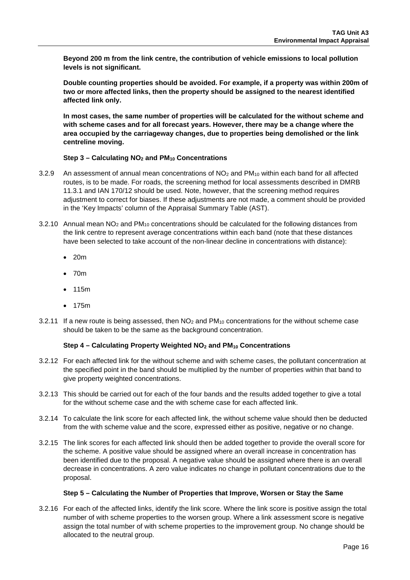**Beyond 200 m from the link centre, the contribution of vehicle emissions to local pollution levels is not significant.** 

**Double counting properties should be avoided. For example, if a property was within 200m of two or more affected links, then the property should be assigned to the nearest identified affected link only.**

**In most cases, the same number of properties will be calculated for the without scheme and with scheme cases and for all forecast years. However, there may be a change where the area occupied by the carriageway changes, due to properties being demolished or the link centreline moving.**

#### **Step 3 – Calculating NO2 and PM10 Concentrations**

- 3.2.9 An assessment of annual mean concentrations of  $NO<sub>2</sub>$  and  $PM<sub>10</sub>$  within each band for all affected routes, is to be made. For roads, the screening method for local assessments described in DMRB 11.3.1 and IAN 170/12 should be used. Note, however, that the screening method requires adjustment to correct for biases. If these adjustments are not made, a comment should be provided in the 'Key Impacts' column of the Appraisal Summary Table (AST).
- 3.2.10 Annual mean NO2 and PM10 concentrations should be calculated for the following distances from the link centre to represent average concentrations within each band (note that these distances have been selected to take account of the non-linear decline in concentrations with distance):
	- 20m
	- 70m
	- 115m
	- 175m
- 3.2.11 If a new route is being assessed, then  $NO<sub>2</sub>$  and  $PM<sub>10</sub>$  concentrations for the without scheme case should be taken to be the same as the background concentration.

#### **Step 4 – Calculating Property Weighted NO2 and PM10 Concentrations**

- 3.2.12 For each affected link for the without scheme and with scheme cases, the pollutant concentration at the specified point in the band should be multiplied by the number of properties within that band to give property weighted concentrations.
- 3.2.13 This should be carried out for each of the four bands and the results added together to give a total for the without scheme case and the with scheme case for each affected link.
- 3.2.14 To calculate the link score for each affected link, the without scheme value should then be deducted from the with scheme value and the score, expressed either as positive, negative or no change.
- 3.2.15 The link scores for each affected link should then be added together to provide the overall score for the scheme. A positive value should be assigned where an overall increase in concentration has been identified due to the proposal. A negative value should be assigned where there is an overall decrease in concentrations. A zero value indicates no change in pollutant concentrations due to the proposal.

#### **Step 5 – Calculating the Number of Properties that Improve, Worsen or Stay the Same**

3.2.16 For each of the affected links, identify the link score. Where the link score is positive assign the total number of with scheme properties to the worsen group. Where a link assessment score is negative assign the total number of with scheme properties to the improvement group. No change should be allocated to the neutral group.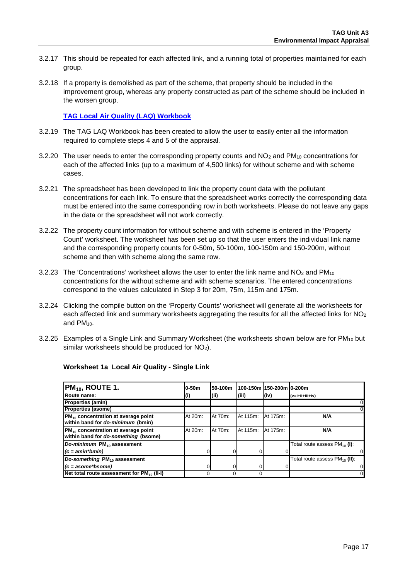- 3.2.17 This should be repeated for each affected link, and a running total of properties maintained for each group.
- 3.2.18 If a property is demolished as part of the scheme, that property should be included in the improvement group, whereas any property constructed as part of the scheme should be included in the worsen group.

**[TAG Local Air Quality \(LAQ\) Workbook](https://www.gov.uk/transport-analysis-guidance-webtag#appraisal-worksheets)**

- 3.2.19 The TAG LAQ Workbook has been created to allow the user to easily enter all the information required to complete steps 4 and 5 of the appraisal.
- 3.2.20 The user needs to enter the corresponding property counts and  $NO<sub>2</sub>$  and  $PM<sub>10</sub>$  concentrations for each of the affected links (up to a maximum of 4,500 links) for without scheme and with scheme cases.
- 3.2.21 The spreadsheet has been developed to link the property count data with the pollutant concentrations for each link. To ensure that the spreadsheet works correctly the corresponding data must be entered into the same corresponding row in both worksheets. Please do not leave any gaps in the data or the spreadsheet will not work correctly.
- 3.2.22 The property count information for without scheme and with scheme is entered in the 'Property Count' worksheet. The worksheet has been set up so that the user enters the individual link name and the corresponding property counts for 0-50m, 50-100m, 100-150m and 150-200m, without scheme and then with scheme along the same row.
- 3.2.23 The 'Concentrations' worksheet allows the user to enter the link name and  $NO<sub>2</sub>$  and PM<sub>10</sub> concentrations for the without scheme and with scheme scenarios. The entered concentrations correspond to the values calculated in Step 3 for 20m, 75m, 115m and 175m.
- 3.2.24 Clicking the compile button on the 'Property Counts' worksheet will generate all the worksheets for each affected link and summary worksheets aggregating the results for all the affected links for NO<sub>2</sub> and PM10.
- 3.2.25 Examples of a Single Link and Summary Worksheet (the worksheets shown below are for PM<sub>10</sub> but similar worksheets should be produced for NO2).

| $PM_{10}$ , ROUTE 1.                                                                    | 0-50m   | 50-100m |          | 100-150m 150-200m l0-200m |                                           |
|-----------------------------------------------------------------------------------------|---------|---------|----------|---------------------------|-------------------------------------------|
| Route name:                                                                             | IO)     | (ii)    | (iii)    | (iv)                      | (v=i+ii+iii+iv)                           |
| <b>Properties (amin)</b>                                                                |         |         |          |                           |                                           |
| <b>Properties (asome)</b>                                                               |         |         |          |                           |                                           |
| PM <sub>10</sub> concentration at average point<br>within band for do-minimum (bmin)    | At 20m: | At 70m: | At 115m: | At 175m:                  | N/A                                       |
| PM <sub>10</sub> concentration at average point<br>within band for do-something (bsome) | At 20m: | At 70m: | At 115m: | At 175m:                  | N/A                                       |
| Do-minimum PM <sub>10</sub> assessment                                                  |         |         |          |                           | Total route assess $PM_{10}$ (I):         |
| $(c = amin*bmin)$                                                                       |         |         |          |                           | 0                                         |
| Do-something PM <sub>10</sub> assessment                                                |         |         |          |                           | Total route assess PM <sub>10</sub> (II): |
| $(c = a$ some*bsome)                                                                    |         |         |          |                           | 0                                         |
| Net total route assessment for $PM_{10}$ (II-I)                                         |         |         |          |                           | 0                                         |

#### **Worksheet 1a Local Air Quality - Single Link**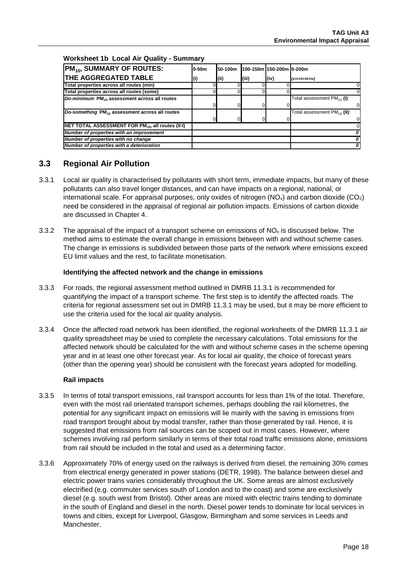#### **Worksheet 1b Local Air Quality - Summary**

| $PM_{10}$ , SUMMARY OF ROUTES:                                | <b>0-50m</b> | 50-100m | 100-150m 150-200m 0-200m |      |                                  |
|---------------------------------------------------------------|--------------|---------|--------------------------|------|----------------------------------|
| <b>THE AGGREGATED TABLE</b>                                   | W            | (i)     | (iii)                    | (iv) | $(v=ii+iii+iv)$                  |
| Total properties across all routes (min)                      |              |         |                          |      |                                  |
| Total properties across all routes (some)                     |              |         |                          |      |                                  |
| Do-minimum PM <sub>10</sub> assessment across all routes      |              |         |                          |      | Total assessment $PM_{10}$ (I):  |
|                                                               |              |         |                          |      |                                  |
| Do-something PM <sub>10</sub> assessment across all routes    |              |         |                          |      | Total assessment $PM_{10}$ (II): |
|                                                               |              |         |                          |      |                                  |
| NET TOTAL ASSESSMENT FOR PM <sub>10</sub> , all routes (II-I) |              |         |                          |      |                                  |
| Number of properties with an improvement                      |              |         |                          |      |                                  |
| Number of properties with no change                           |              |         |                          |      |                                  |
| Number of properties with a deterioration                     |              |         |                          |      |                                  |

## <span id="page-17-0"></span>**3.3 Regional Air Pollution**

- 3.3.1 Local air quality is characterised by pollutants with short term, immediate impacts, but many of these pollutants can also travel longer distances, and can have impacts on a regional, national, or international scale. For appraisal purposes, only oxides of nitrogen  $(NO_x)$  and carbon dioxide  $(CO_2)$ need be considered in the appraisal of regional air pollution impacts. Emissions of carbon dioxide are discussed in Chapter [4.](#page-24-0)
- 3.3.2 The appraisal of the impact of a transport scheme on emissions of  $NO_x$  is discussed below. The method aims to estimate the overall change in emissions between with and without scheme cases. The change in emissions is subdivided between those parts of the network where emissions exceed EU limit values and the rest, to facilitate monetisation.

#### **Identifying the affected network and the change in emissions**

- 3.3.3 For roads, the regional assessment method outlined in DMRB 11.3.1 is recommended for quantifying the impact of a transport scheme. The first step is to identify the affected roads. The criteria for regional assessment set out in DMRB 11.3.1 may be used, but it may be more efficient to use the criteria used for the local air quality analysis.
- 3.3.4 Once the affected road network has been identified, the regional worksheets of the DMRB 11.3.1 air quality spreadsheet may be used to complete the necessary calculations. Total emissions for the affected network should be calculated for the with and without scheme cases in the scheme opening year and in at least one other forecast year. As for local air quality, the choice of forecast years (other than the opening year) should be consistent with the forecast years adopted for modelling.

#### **Rail impacts**

- 3.3.5 In terms of total transport emissions, rail transport accounts for less than 1% of the total. Therefore, even with the most rail orientated transport schemes, perhaps doubling the rail kilometres, the potential for any significant impact on emissions will lie mainly with the saving in emissions from road transport brought about by modal transfer, rather than those generated by rail. Hence, it is suggested that emissions from rail sources can be scoped out in most cases. However, where schemes involving rail perform similarly in terms of their total road traffic emissions alone, emissions from rail should be included in the total and used as a determining factor.
- 3.3.6 Approximately 70% of energy used on the railways is derived from diesel, the remaining 30% comes from electrical energy generated in power stations (DETR, 1998). The balance between diesel and electric power trains varies considerably throughout the UK. Some areas are almost exclusively electrified (e.g. commuter services south of London and to the coast) and some are exclusively diesel (e.g. south west from Bristol). Other areas are mixed with electric trains tending to dominate in the south of England and diesel in the north. Diesel power tends to dominate for local services in towns and cities, except for Liverpool, Glasgow, Birmingham and some services in Leeds and Manchester.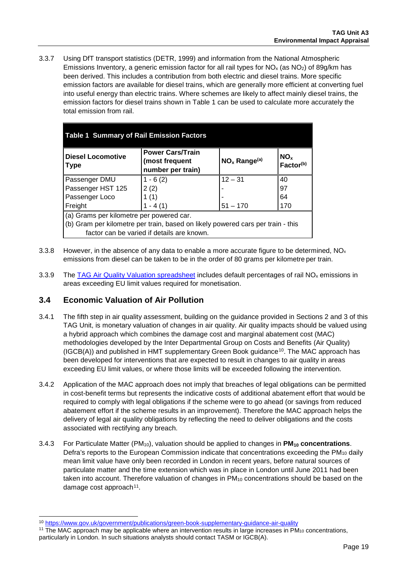3.3.7 Using DfT transport statistics (DETR, 1999) and information from the National Atmospheric Emissions Inventory, a generic emission factor for all rail types for  $NO<sub>x</sub>$  (as  $NO<sub>2</sub>$ ) of 89g/km has been derived. This includes a contribution from both electric and diesel trains. More specific emission factors are available for diesel trains, which are generally more efficient at converting fuel into useful energy than electric trains. Where schemes are likely to affect mainly diesel trains, the emission factors for diesel trains shown in [Table 1](#page-18-1) can be used to calculate more accurately the total emission from rail.

<span id="page-18-1"></span>

| <b>Table 1 Summary of Rail Emission Factors</b>                                 |                                            |                                          |    |  |  |  |  |  |
|---------------------------------------------------------------------------------|--------------------------------------------|------------------------------------------|----|--|--|--|--|--|
| <b>Diesel Locomotive</b><br>∥Type                                               | NO <sub>x</sub> Range <sup>(a)</sup>       | NO <sub>x</sub><br>Factor <sup>(b)</sup> |    |  |  |  |  |  |
| Passenger DMU                                                                   | $12 - 31$                                  | 40                                       |    |  |  |  |  |  |
| Passenger HST 125<br>2(2)                                                       |                                            |                                          | 97 |  |  |  |  |  |
| 1(1)<br>Passenger Loco                                                          |                                            |                                          | 64 |  |  |  |  |  |
| Freight                                                                         | $51 - 170$                                 | 170                                      |    |  |  |  |  |  |
| (a) Grams per kilometre per powered car.                                        |                                            |                                          |    |  |  |  |  |  |
| (b) Gram per kilometre per train, based on likely powered cars per train - this |                                            |                                          |    |  |  |  |  |  |
|                                                                                 | factor can be varied if details are known. |                                          |    |  |  |  |  |  |

- 3.3.8 However, in the absence of any data to enable a more accurate figure to be determined,  $NO<sub>x</sub>$ emissions from diesel can be taken to be in the order of 80 grams per kilometre per train.
- 3.3.9 The [TAG Air Quality Valuation spreadsheet](https://www.gov.uk/transport-analysis-guidance-webtag#appraisal-worksheets) includes default percentages of rail NO<sub>x</sub> emissions in areas exceeding EU limit values required for monetisation.

## <span id="page-18-0"></span>**3.4 Economic Valuation of Air Pollution**

- 3.4.1 The fifth step in air quality assessment, building on the guidance provided in Sections 2 and 3 of this TAG Unit, is monetary valuation of changes in air quality. Air quality impacts should be valued using a hybrid approach which combines the damage cost and marginal abatement cost (MAC) methodologies developed by the Inter Departmental Group on Costs and Benefits (Air Quality)  $(IGCB(A))$  and published in HMT supplementary Green Book guidance<sup>[10](#page-18-2)</sup>. The MAC approach has been developed for interventions that are expected to result in changes to air quality in areas exceeding EU limit values, or where those limits will be exceeded following the intervention.
- 3.4.2 Application of the MAC approach does not imply that breaches of legal obligations can be permitted in cost-benefit terms but represents the indicative costs of additional abatement effort that would be required to comply with legal obligations if the scheme were to go ahead (or savings from reduced abatement effort if the scheme results in an improvement). Therefore the MAC approach helps the delivery of legal air quality obligations by reflecting the need to deliver obligations and the costs associated with rectifying any breach.
- 3.4.3 For Particulate Matter (PM<sub>10</sub>), valuation should be applied to changes in **PM<sub>10</sub> concentrations**. Defra's reports to the European Commission indicate that concentrations exceeding the PM<sub>10</sub> daily mean limit value have only been recorded in London in recent years, before natural sources of particulate matter and the time extension which was in place in London until June 2011 had been taken into account. Therefore valuation of changes in PM<sub>10</sub> concentrations should be based on the damage cost approach<sup>[11](#page-18-3)</sup>.

<span id="page-18-2"></span> <sup>10</sup> <https://www.gov.uk/government/publications/green-book-supplementary-guidance-air-quality>

<span id="page-18-3"></span> $11$  The MAC approach may be applicable where an intervention results in large increases in PM<sub>10</sub> concentrations, particularly in London. In such situations analysts should contact TASM or IGCB(A).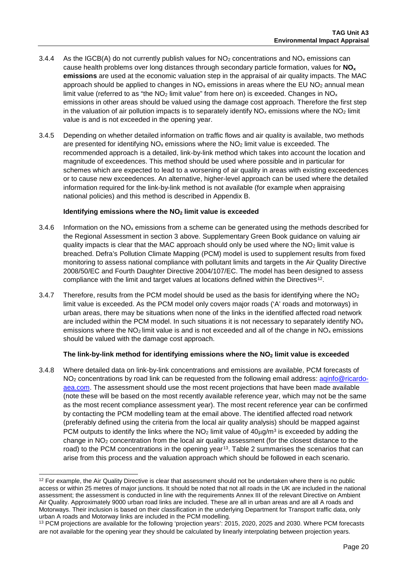- 3.4.4 As the IGCB(A) do not currently publish values for  $NO<sub>2</sub>$  concentrations and  $NO<sub>x</sub>$  emissions can cause health problems over long distances through secondary particle formation, values for **NOx emissions** are used at the economic valuation step in the appraisal of air quality impacts. The MAC approach should be applied to changes in  $NO_x$  emissions in areas where the EU NO<sub>2</sub> annual mean limit value (referred to as "the  $NO<sub>2</sub>$  limit value" from here on) is exceeded. Changes in  $NO<sub>x</sub>$ emissions in other areas should be valued using the damage cost approach. Therefore the first step in the valuation of air pollution impacts is to separately identify  $NO<sub>x</sub>$  emissions where the  $NO<sub>2</sub>$  limit value is and is not exceeded in the opening year.
- 3.4.5 Depending on whether detailed information on traffic flows and air quality is available, two methods are presented for identifying  $NO<sub>x</sub>$  emissions where the  $NO<sub>2</sub>$  limit value is exceeded. The recommended approach is a detailed, link-by-link method which takes into account the location and magnitude of exceedences. This method should be used where possible and in particular for schemes which are expected to lead to a worsening of air quality in areas with existing exceedences or to cause new exceedences. An alternative, higher-level approach can be used where the detailed information required for the link-by-link method is not available (for example when appraising national policies) and this method is described in [Appendix B.](#page-82-0)

#### **Identifying emissions where the NO2 limit value is exceeded**

- 3.4.6 Information on the  $NO<sub>x</sub>$  emissions from a scheme can be generated using the methods described for the Regional Assessment in section 3 above. Supplementary Green Book guidance on valuing air quality impacts is clear that the MAC approach should only be used where the NO<sub>2</sub> limit value is breached. Defra's Pollution Climate Mapping (PCM) model is used to supplement results from fixed monitoring to assess national compliance with pollutant limits and targets in the Air Quality Directive 2008/50/EC and Fourth Daughter Directive 2004/107/EC. The model has been designed to assess compliance with the limit and target values at locations defined within the Directives<sup>[12](#page-19-0)</sup>.
- 3.4.7 Therefore, results from the PCM model should be used as the basis for identifying where the  $NO<sub>2</sub>$ limit value is exceeded. As the PCM model only covers major roads ('A' roads and motorways) in urban areas, there may be situations when none of the links in the identified affected road network are included within the PCM model. In such situations it is not necessary to separately identify  $NO<sub>x</sub>$ emissions where the  $NO<sub>2</sub>$  limit value is and is not exceeded and all of the change in  $NO<sub>x</sub>$  emissions should be valued with the damage cost approach.

#### **The link-by-link method for identifying emissions where the NO2 limit value is exceeded**

3.4.8 Where detailed data on link-by-link concentrations and emissions are available, PCM forecasts of NO<sub>2</sub> concentrations by road link can be requested from the following email address: aginfo@ricardo[aea.com.](mailto:aqinfo@ricardo-aea.com) The assessment should use the most recent projections that have been made available (note these will be based on the most recently available reference year, which may not be the same as the most recent compliance assessment year). The most recent reference year can be confirmed by contacting the PCM modelling team at the email above. The identified affected road network (preferably defined using the criteria from the local air quality analysis) should be mapped against PCM outputs to identify the links where the NO<sub>2</sub> limit value of  $40\mu g/m^3$  is exceeded by adding the change in NO2 concentration from the local air quality assessment (for the closest distance to the road) to the PCM concentrations in the opening year<sup>13</sup>. [Table 2](#page-20-0) summarises the scenarios that can arise from this process and the valuation approach which should be followed in each scenario.

<span id="page-19-0"></span> $12$  For example, the Air Quality Directive is clear that assessment should not be undertaken where there is no public access or within 25 metres of major junctions. It should be noted that not all roads in the UK are included in the national assessment; the assessment is conducted in line with the requirements Annex III of the relevant Directive on Ambient Air Quality. Approximately 9000 urban road links are included. These are all in urban areas and are all A roads and Motorways. Their inclusion is based on their classification in the underlying Department for Transport traffic data, only urban A roads and Motorway links are included in the PCM modelling.

<span id="page-19-1"></span><sup>&</sup>lt;sup>13</sup> PCM projections are available for the following 'projection years': 2015, 2020, 2025 and 2030. Where PCM forecasts are not available for the opening year they should be calculated by linearly interpolating between projection years.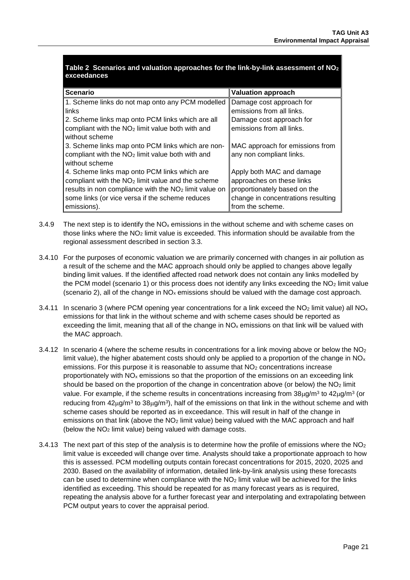<span id="page-20-0"></span>

| Table 2 Scenarios and valuation approaches for the link-by-link assessment of $NO2$ |  |
|-------------------------------------------------------------------------------------|--|
| exceedances                                                                         |  |
|                                                                                     |  |

| <b>Scenario</b>                                                   | <b>Valuation approach</b>          |
|-------------------------------------------------------------------|------------------------------------|
| 1. Scheme links do not map onto any PCM modelled                  | Damage cost approach for           |
| links                                                             | emissions from all links.          |
| 2. Scheme links map onto PCM links which are all                  | Damage cost approach for           |
| compliant with the NO <sub>2</sub> limit value both with and      | emissions from all links.          |
| without scheme                                                    |                                    |
| 3. Scheme links map onto PCM links which are non-                 | MAC approach for emissions from    |
| compliant with the NO <sub>2</sub> limit value both with and      | any non compliant links.           |
| without scheme                                                    |                                    |
| 4. Scheme links map onto PCM links which are                      | Apply both MAC and damage          |
| compliant with the NO <sub>2</sub> limit value and the scheme     | approaches on these links          |
| results in non compliance with the NO <sub>2</sub> limit value on | proportionately based on the       |
| some links (or vice versa if the scheme reduces                   | change in concentrations resulting |
| emissions).                                                       | from the scheme.                   |

- 3.4.9 The next step is to identify the  $NO<sub>x</sub>$  emissions in the without scheme and with scheme cases on those links where the NO2 limit value is exceeded. This information should be available from the regional assessment described in section [3.3.](#page-17-0)
- 3.4.10 For the purposes of economic valuation we are primarily concerned with changes in air pollution as a result of the scheme and the MAC approach should only be applied to changes above legally binding limit values. If the identified affected road network does not contain any links modelled by the PCM model (scenario 1) or this process does not identify any links exceeding the NO<sub>2</sub> limit value (scenario 2), all of the change in  $NO_x$  emissions should be valued with the damage cost approach.
- 3.4.11 In scenario 3 (where PCM opening year concentrations for a link exceed the  $NO<sub>2</sub>$  limit value) all  $NO<sub>x</sub>$ emissions for that link in the without scheme and with scheme cases should be reported as exceeding the limit, meaning that all of the change in  $NO<sub>x</sub>$  emissions on that link will be valued with the MAC approach.
- 3.4.12 In scenario 4 (where the scheme results in concentrations for a link moving above or below the  $NO<sub>2</sub>$ limit value), the higher abatement costs should only be applied to a proportion of the change in  $NO<sub>x</sub>$ emissions. For this purpose it is reasonable to assume that  $NO<sub>2</sub>$  concentrations increase proportionately with  $NO<sub>x</sub>$  emissions so that the proportion of the emissions on an exceeding link should be based on the proportion of the change in concentration above (or below) the  $NO<sub>2</sub>$  limit value. For example, if the scheme results in concentrations increasing from  $38\mu g/m^3$  to  $42\mu g/m^3$  (or reducing from  $42\mu g/m^3$  to  $38\mu g/m^3$ , half of the emissions on that link in the without scheme and with scheme cases should be reported as in exceedance. This will result in half of the change in emissions on that link (above the NO<sub>2</sub> limit value) being valued with the MAC approach and half (below the NO2 limit value) being valued with damage costs.
- 3.4.13 The next part of this step of the analysis is to determine how the profile of emissions where the  $NO<sub>2</sub>$ limit value is exceeded will change over time. Analysts should take a proportionate approach to how this is assessed. PCM modelling outputs contain forecast concentrations for 2015, 2020, 2025 and 2030. Based on the availability of information, detailed link-by-link analysis using these forecasts can be used to determine when compliance with the  $NO<sub>2</sub>$  limit value will be achieved for the links identified as exceeding. This should be repeated for as many forecast years as is required, repeating the analysis above for a further forecast year and interpolating and extrapolating between PCM output years to cover the appraisal period.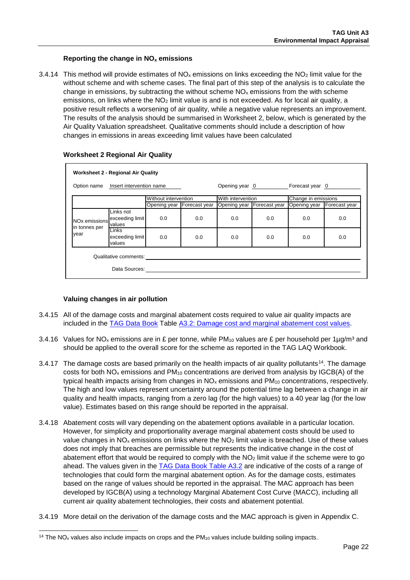#### **Reporting the change in NOx emissions**

3.4.14 This method will provide estimates of  $NO<sub>x</sub>$  emissions on links exceeding the  $NO<sub>2</sub>$  limit value for the without scheme and with scheme cases. The final part of this step of the analysis is to calculate the change in emissions, by subtracting the without scheme  $NO<sub>x</sub>$  emissions from the with scheme emissions, on links where the NO<sub>2</sub> limit value is and is not exceeded. As for local air quality, a positive result reflects a worsening of air quality, while a negative value represents an improvement. The results of the analysis should be summarised in Worksheet 2, below, which is generated by the Air Quality Valuation spreadsheet. Qualitative comments should include a description of how changes in emissions in areas exceeding limit values have been calculated

| <b>Worksheet 2 - Regional Air Quality</b>  |                                        |                |                            |                              |                     |                            |     |  |
|--------------------------------------------|----------------------------------------|----------------|----------------------------|------------------------------|---------------------|----------------------------|-----|--|
| Insert intervention name<br>Option name    |                                        | Opening year 0 |                            | Forecast year 0              |                     |                            |     |  |
| Without intervention                       |                                        |                | With intervention          |                              | Change in emissions |                            |     |  |
|                                            |                                        |                | Opening year Forecast year | Opening year   Forecast year |                     | Opening year Forecast year |     |  |
| NO <sub>x</sub> emissions<br>in tonnes per | Links not<br>exceeding limit<br>values | 0.0            | 0.0                        | 0.0                          | 0.0                 | 0.0                        | 0.0 |  |
| year                                       | Links<br>exceeding limit<br>values     | 0.0            | 0.0                        | 0.0                          | 0.0                 | 0.0                        | 0.0 |  |
| Qualitative comments:                      |                                        |                |                            |                              |                     |                            |     |  |
|                                            | Data Sources:                          |                |                            |                              |                     |                            |     |  |

#### **Worksheet 2 Regional Air Quality**

#### **Valuing changes in air pollution**

- 3.4.15 All of the damage costs and marginal abatement costs required to value air quality impacts are included in the [TAG Data](https://www.gov.uk/transport-analysis-guidance-webtag#webtag-data-book) Book Table [A3.2: Damage cost and marginal abatement cost values.](https://www.gov.uk/transport-analysis-guidance-webtag#webtag-data-book)
- 3.4.16 Values for NO<sub>x</sub> emissions are in £ per tonne, while PM<sub>10</sub> values are £ per household per 1µg/m<sup>3</sup> and should be applied to the overall score for the scheme as reported in the TAG LAQ Workbook.
- 3.4.17 The damage costs are based primarily on the health impacts of air quality pollutants<sup>14</sup>. The damage costs for both  $NO_x$  emissions and  $PM_{10}$  concentrations are derived from analysis by IGCB(A) of the typical health impacts arising from changes in  $NO<sub>x</sub>$  emissions and  $PM<sub>10</sub>$  concentrations, respectively. The high and low values represent uncertainty around the potential time lag between a change in air quality and health impacts, ranging from a zero lag (for the high values) to a 40 year lag (for the low value). Estimates based on this range should be reported in the appraisal.
- 3.4.18 Abatement costs will vary depending on the abatement options available in a particular location. However, for simplicity and proportionality average marginal abatement costs should be used to value changes in  $NO_x$  emissions on links where the  $NO_2$  limit value is breached. Use of these values does not imply that breaches are permissible but represents the indicative change in the cost of abatement effort that would be required to comply with the  $NO<sub>2</sub>$  limit value if the scheme were to go ahead. The values given in the [TAG Data Book Table A3.2](https://www.gov.uk/transport-analysis-guidance-webtag#webtag-data-book) are indicative of the costs of a range of technologies that could form the marginal abatement option. As for the damage costs, estimates based on the range of values should be reported in the appraisal. The MAC approach has been developed by IGCB(A) using a technology Marginal Abatement Cost Curve (MACC), including all current air quality abatement technologies, their costs and abatement potential.
- 3.4.19 More detail on the derivation of the damage costs and the MAC approach is given in [Appendix C.](#page-83-0)

<span id="page-21-0"></span> $14$  The NO<sub>x</sub> values also include impacts on crops and the PM<sub>10</sub> values include building soiling impacts.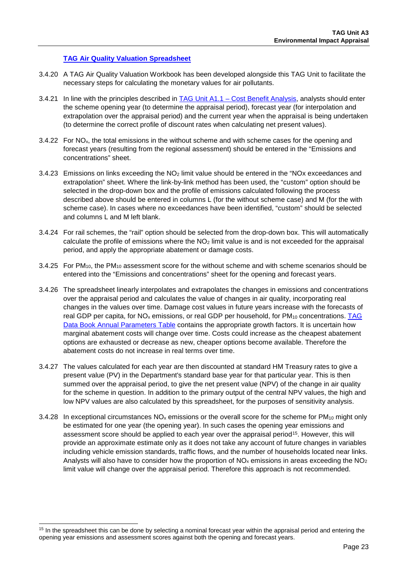#### **[TAG Air Quality Valuation Spreadsheet](https://www.gov.uk/transport-analysis-guidance-webtag#appraisal-worksheets)**

- 3.4.20 A TAG Air Quality Valuation Workbook has been developed alongside this TAG Unit to facilitate the necessary steps for calculating the monetary values for air pollutants.
- 3.4.21 In line with the principles described in TAG Unit A1.1 [Cost Benefit Analysis,](https://www.gov.uk/transport-analysis-guidance-webtag#a1-cost-benefit-analysis) analysts should enter the scheme opening year (to determine the appraisal period), forecast year (for interpolation and extrapolation over the appraisal period) and the current year when the appraisal is being undertaken (to determine the correct profile of discount rates when calculating net present values).
- 3.4.22 For NO<sub>x</sub>, the total emissions in the without scheme and with scheme cases for the opening and forecast years (resulting from the regional assessment) should be entered in the "Emissions and concentrations" sheet.
- 3.4.23 Emissions on links exceeding the NO2 limit value should be entered in the "NOx exceedances and extrapolation" sheet. Where the link-by-link method has been used, the "custom" option should be selected in the drop-down box and the profile of emissions calculated following the process described above should be entered in columns L (for the without scheme case) and M (for the with scheme case). In cases where no exceedances have been identified, "custom" should be selected and columns L and M left blank.
- 3.4.24 For rail schemes, the "rail" option should be selected from the drop-down box. This will automatically calculate the profile of emissions where the  $NO<sub>2</sub>$  limit value is and is not exceeded for the appraisal period, and apply the appropriate abatement or damage costs.
- 3.4.25 For  $PM_{10}$ , the  $PM_{10}$  assessment score for the without scheme and with scheme scenarios should be entered into the "Emissions and concentrations" sheet for the opening and forecast years.
- 3.4.26 The spreadsheet linearly interpolates and extrapolates the changes in emissions and concentrations over the appraisal period and calculates the value of changes in air quality, incorporating real changes in the values over time. Damage cost values in future years increase with the forecasts of real GDP per capita, for NO<sub>x</sub> emissions, or real GDP per household, for PM<sub>10</sub> concentrations. TAG Data Book [Annual Parameters Table](https://www.gov.uk/transport-analysis-guidance-webtag#webtag-data-book) contains the appropriate growth factors. It is uncertain how marginal abatement costs will change over time. Costs could increase as the cheapest abatement options are exhausted or decrease as new, cheaper options become available. Therefore the abatement costs do not increase in real terms over time.
- 3.4.27 The values calculated for each year are then discounted at standard HM Treasury rates to give a present value (PV) in the Department's standard base year for that particular year. This is then summed over the appraisal period, to give the net present value (NPV) of the change in air quality for the scheme in question. In addition to the primary output of the central NPV values, the high and low NPV values are also calculated by this spreadsheet, for the purposes of sensitivity analysis.
- 3.4.28 In exceptional circumstances  $NO_x$  emissions or the overall score for the scheme for PM<sub>10</sub> might only be estimated for one year (the opening year). In such cases the opening year emissions and assessment score should be applied to each year over the appraisal period<sup>[15](#page-22-0)</sup>. However, this will provide an approximate estimate only as it does not take any account of future changes in variables including vehicle emission standards, traffic flows, and the number of households located near links. Analysts will also have to consider how the proportion of  $NO<sub>x</sub>$  emissions in areas exceeding the  $NO<sub>2</sub>$ limit value will change over the appraisal period. Therefore this approach is not recommended.

<span id="page-22-0"></span><sup>&</sup>lt;sup>15</sup> In the spreadsheet this can be done by selecting a nominal forecast year within the appraisal period and entering the opening year emissions and assessment scores against both the opening and forecast years.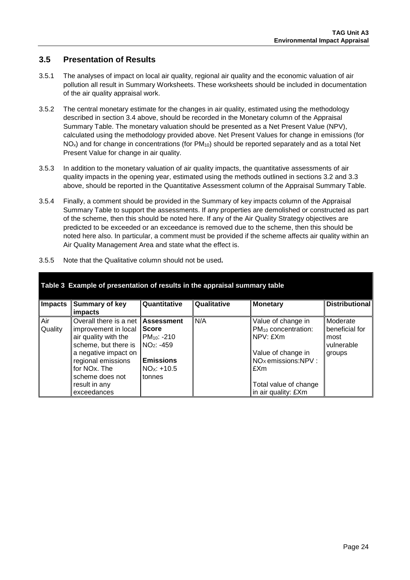## **3.5 Presentation of Results**

- 3.5.1 The analyses of impact on local air quality, regional air quality and the economic valuation of air pollution all result in Summary Worksheets. These worksheets should be included in documentation of the air quality appraisal work.
- 3.5.2 The central monetary estimate for the changes in air quality, estimated using the methodology described in section [3.4](#page-18-0) above, should be recorded in the Monetary column of the Appraisal Summary Table. The monetary valuation should be presented as a Net Present Value (NPV), calculated using the methodology provided above. Net Present Values for change in emissions (for  $NO<sub>x</sub>$ ) and for change in concentrations (for  $PM<sub>10</sub>$ ) should be reported separately and as a total Net Present Value for change in air quality.
- 3.5.3 In addition to the monetary valuation of air quality impacts, the quantitative assessments of air quality impacts in the opening year, estimated using the methods outlined in sections [3.2](#page-13-0) and [3.3](#page-17-0) above, should be reported in the Quantitative Assessment column of the Appraisal Summary Table.
- 3.5.4 Finally, a comment should be provided in the Summary of key impacts column of the Appraisal Summary Table to support the assessments. If any properties are demolished or constructed as part of the scheme, then this should be noted here. If any of the Air Quality Strategy objectives are predicted to be exceeded or an exceedance is removed due to the scheme, then this should be noted here also. In particular, a comment must be provided if the scheme affects air quality within an Air Quality Management Area and state what the effect is.

| Table 3 Example of presentation of results in the appraisal summary table |                                                                                                                                                                                                                 |                                                                                                             |             |                                                                                                                                                                                  |                                                            |  |  |  |  |
|---------------------------------------------------------------------------|-----------------------------------------------------------------------------------------------------------------------------------------------------------------------------------------------------------------|-------------------------------------------------------------------------------------------------------------|-------------|----------------------------------------------------------------------------------------------------------------------------------------------------------------------------------|------------------------------------------------------------|--|--|--|--|
| <b>Impacts</b>                                                            | Summary of key<br>impacts                                                                                                                                                                                       | Quantitative                                                                                                | Qualitative | <b>Monetary</b>                                                                                                                                                                  | <b>Distributional</b>                                      |  |  |  |  |
| Air<br>Quality                                                            | Overall there is a net<br>improvement in local<br>air quality with the<br>scheme, but there is<br>a negative impact on<br>regional emissions<br>for NOx. The<br>scheme does not<br>result in any<br>exceedances | <b>Assessment</b><br>Score<br>$PM_{10}$ : -210<br>$NO2: -459$<br><b>Emissions</b><br>$NOx: +10.5$<br>tonnes | N/A         | Value of change in<br>PM <sub>10</sub> concentration:<br>NPV: fXm<br>Value of change in<br>NO <sub>x</sub> emissions:NPV:<br>£Xm<br>Total value of change<br>in air quality: £Xm | Moderate<br>beneficial for<br>most<br>vulnerable<br>groups |  |  |  |  |

3.5.5 Note that the Qualitative column should not be used**.**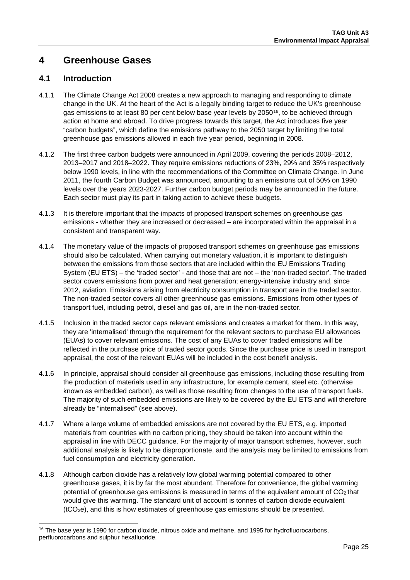## <span id="page-24-0"></span>**4 Greenhouse Gases**

## **4.1 Introduction**

- 4.1.1 The Climate Change Act 2008 creates a new approach to managing and responding to climate change in the UK. At the heart of the Act is a legally binding target to reduce the UK's greenhouse gas emissions to at least 80 per cent below base year levels by 2050<sup>[16](#page-24-1)</sup>, to be achieved through action at home and abroad. To drive progress towards this target, the Act introduces five year "carbon budgets", which define the emissions pathway to the 2050 target by limiting the total greenhouse gas emissions allowed in each five year period, beginning in 2008.
- 4.1.2 The first three carbon budgets were announced in April 2009, covering the periods 2008–2012, 2013–2017 and 2018–2022. They require emissions reductions of 23%, 29% and 35% respectively below 1990 levels, in line with the recommendations of the Committee on Climate Change. In June 2011, the fourth Carbon Budget was announced, amounting to an emissions cut of 50% on 1990 levels over the years 2023-2027. Further carbon budget periods may be announced in the future. Each sector must play its part in taking action to achieve these budgets.
- 4.1.3 It is therefore important that the impacts of proposed transport schemes on greenhouse gas emissions - whether they are increased or decreased – are incorporated within the appraisal in a consistent and transparent way.
- 4.1.4 The monetary value of the impacts of proposed transport schemes on greenhouse gas emissions should also be calculated. When carrying out monetary valuation, it is important to distinguish between the emissions from those sectors that are included within the EU Emissions Trading System (EU ETS) – the 'traded sector' - and those that are not – the 'non-traded sector'. The traded sector covers emissions from power and heat generation; energy-intensive industry and, since 2012, aviation. Emissions arising from electricity consumption in transport are in the traded sector. The non-traded sector covers all other greenhouse gas emissions. Emissions from other types of transport fuel, including petrol, diesel and gas oil, are in the non-traded sector.
- 4.1.5 Inclusion in the traded sector caps relevant emissions and creates a market for them. In this way, they are 'internalised' through the requirement for the relevant sectors to purchase EU allowances (EUAs) to cover relevant emissions. The cost of any EUAs to cover traded emissions will be reflected in the purchase price of traded sector goods. Since the purchase price is used in transport appraisal, the cost of the relevant EUAs will be included in the cost benefit analysis.
- 4.1.6 In principle, appraisal should consider all greenhouse gas emissions, including those resulting from the production of materials used in any infrastructure, for example cement, steel etc. (otherwise known as embedded carbon), as well as those resulting from changes to the use of transport fuels. The majority of such embedded emissions are likely to be covered by the EU ETS and will therefore already be "internalised" (see above).
- 4.1.7 Where a large volume of embedded emissions are not covered by the EU ETS, e.g. imported materials from countries with no carbon pricing, they should be taken into account within the appraisal in line with DECC guidance. For the majority of major transport schemes, however, such additional analysis is likely to be disproportionate, and the analysis may be limited to emissions from fuel consumption and electricity generation.
- 4.1.8 Although carbon dioxide has a relatively low global warming potential compared to other greenhouse gases, it is by far the most abundant. Therefore for convenience, the global warming potential of greenhouse gas emissions is measured in terms of the equivalent amount of CO2 that would give this warming. The standard unit of account is tonnes of carbon dioxide equivalent (tCO2e), and this is how estimates of greenhouse gas emissions should be presented.

<span id="page-24-1"></span><sup>&</sup>lt;sup>16</sup> The base year is 1990 for carbon dioxide, nitrous oxide and methane, and 1995 for hydrofluorocarbons, perfluorocarbons and sulphur hexafluoride.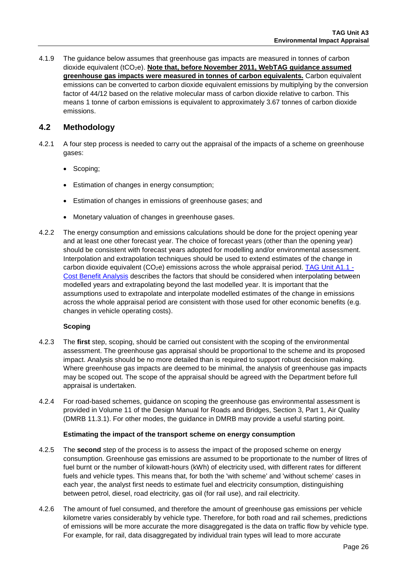4.1.9 The guidance below assumes that greenhouse gas impacts are measured in tonnes of carbon dioxide equivalent (tCO2e). **Note that, before November 2011, WebTAG guidance assumed greenhouse gas impacts were measured in tonnes of carbon equivalents.** Carbon equivalent emissions can be converted to carbon dioxide equivalent emissions by multiplying by the conversion factor of 44/12 based on the relative molecular mass of carbon dioxide relative to carbon. This means 1 tonne of carbon emissions is equivalent to approximately 3.67 tonnes of carbon dioxide emissions.

## **4.2 Methodology**

- 4.2.1 A four step process is needed to carry out the appraisal of the impacts of a scheme on greenhouse gases:
	- Scoping;
	- Estimation of changes in energy consumption;
	- Estimation of changes in emissions of greenhouse gases; and
	- Monetary valuation of changes in greenhouse gases.
- 4.2.2 The energy consumption and emissions calculations should be done for the project opening year and at least one other forecast year. The choice of forecast years (other than the opening year) should be consistent with forecast years adopted for modelling and/or environmental assessment. Interpolation and extrapolation techniques should be used to extend estimates of the change in carbon dioxide equivalent ( $CO<sub>2</sub>e$ ) emissions across the whole appraisal period. [TAG Unit A1.1](https://www.gov.uk/transport-analysis-guidance-webtag#a1-cost-benefit-analysis) -[Cost Benefit Analysis](https://www.gov.uk/transport-analysis-guidance-webtag#a1-cost-benefit-analysis) describes the factors that should be considered when interpolating between modelled years and extrapolating beyond the last modelled year. It is important that the assumptions used to extrapolate and interpolate modelled estimates of the change in emissions across the whole appraisal period are consistent with those used for other economic benefits (e.g. changes in vehicle operating costs).

#### **Scoping**

- 4.2.3 The **first** step, scoping, should be carried out consistent with the scoping of the environmental assessment. The greenhouse gas appraisal should be proportional to the scheme and its proposed impact. Analysis should be no more detailed than is required to support robust decision making. Where greenhouse gas impacts are deemed to be minimal, the analysis of greenhouse gas impacts may be scoped out. The scope of the appraisal should be agreed with the Department before full appraisal is undertaken.
- 4.2.4 For road-based schemes, guidance on scoping the greenhouse gas environmental assessment is provided in Volume 11 of the Design Manual for Roads and Bridges, Section 3, Part 1, Air Quality (DMRB 11.3.1). For other modes, the guidance in DMRB may provide a useful starting point.

#### **Estimating the impact of the transport scheme on energy consumption**

- 4.2.5 The **second** step of the process is to assess the impact of the proposed scheme on energy consumption. Greenhouse gas emissions are assumed to be proportionate to the number of litres of fuel burnt or the number of kilowatt-hours (kWh) of electricity used, with different rates for different fuels and vehicle types. This means that, for both the 'with scheme' and 'without scheme' cases in each year, the analyst first needs to estimate fuel and electricity consumption, distinguishing between petrol, diesel, road electricity, gas oil (for rail use), and rail electricity.
- 4.2.6 The amount of fuel consumed, and therefore the amount of greenhouse gas emissions per vehicle kilometre varies considerably by vehicle type. Therefore, for both road and rail schemes, predictions of emissions will be more accurate the more disaggregated is the data on traffic flow by vehicle type. For example, for rail, data disaggregated by individual train types will lead to more accurate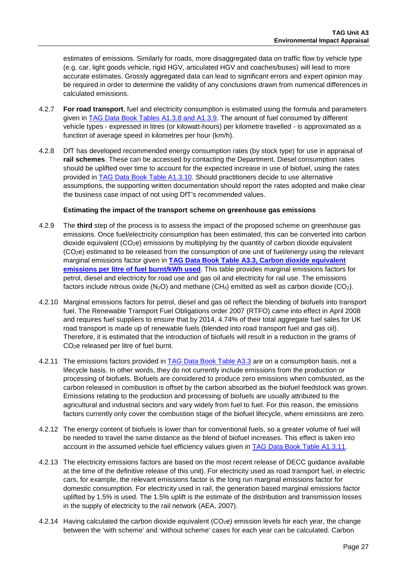estimates of emissions. Similarly for roads, more disaggregated data on traffic flow by vehicle type (e.g. car, light goods vehicle, rigid HGV, articulated HGV and coaches/buses) will lead to more accurate estimates. Grossly aggregated data can lead to significant errors and expert opinion may be required in order to determine the validity of any conclusions drawn from numerical differences in calculated emissions.

- 4.2.7 **For road transport**, fuel and electricity consumption is estimated using the formula and parameters given in TAG Data Book [Tables A1.3.8 and](https://www.gov.uk/transport-analysis-guidance-webtag#webtag-data-book) A1.3.9. The amount of fuel consumed by different vehicle types - expressed in litres (or kilowatt-hours) per kilometre travelled - is approximated as a function of average speed in kilometres per hour (km/h).
- 4.2.8 DfT has developed recommended energy consumption rates (by stock type) for use in appraisal of **rail schemes**. These can be accessed by contacting the Department. Diesel consumption rates should be uplifted over time to account for the expected increase in use of biofuel, using the rates provided in [TAG Data Book Table A1.3.10.](https://www.gov.uk/transport-analysis-guidance-webtag#webtag-data-book) Should practitioners decide to use alternative assumptions, the supporting written documentation should report the rates adopted and make clear the business case impact of not using DfT's recommended values.

#### **Estimating the impact of the transport scheme on greenhouse gas emissions**

- 4.2.9 The **third** step of the process is to assess the impact of the proposed scheme on greenhouse gas emissions. Once fuel/electricity consumption has been estimated, this can be converted into carbon dioxide equivalent (CO2e) emissions by multiplying by the quantity of carbon dioxide equivalent (CO2e) estimated to be released from the consumption of one unit of fuel/energy using the relevant marginal emissions factor given in **TAG Data Book Table A3.3, [Carbon dioxide equivalent](https://www.gov.uk/transport-analysis-guidance-webtag#webtag-data-book)  [emissions per litre of fuel burnt/kWh used](https://www.gov.uk/transport-analysis-guidance-webtag#webtag-data-book)**. This table provides marginal emissions factors for petrol, diesel and electricity for road use and gas oil and electricity for rail use. The emissions factors include nitrous oxide  $(N_2O)$  and methane  $(CH_4)$  emitted as well as carbon dioxide  $(CO_2)$ .
- 4.2.10 Marginal emissions factors for petrol, diesel and gas oil reflect the blending of biofuels into transport fuel. The Renewable Transport Fuel Obligations order 2007 (RTFO) came into effect in April 2008 and requires fuel suppliers to ensure that by 2014, 4.74% of their total aggregate fuel sales for UK road transport is made up of renewable fuels (blended into road transport fuel and gas oil). Therefore, it is estimated that the introduction of biofuels will result in a reduction in the grams of CO2e released per litre of fuel burnt.
- 4.2.11 The emissions factors provided in [TAG Data Book](https://www.gov.uk/transport-analysis-guidance-webtag#webtag-data-book) Table A3.3 are on a consumption basis, not a lifecycle basis. In other words, they do not currently include emissions from the production or processing of biofuels. Biofuels are considered to produce zero emissions when combusted, as the carbon released in combustion is offset by the carbon absorbed as the biofuel feedstock was grown. Emissions relating to the production and processing of biofuels are usually attributed to the agricultural and industrial sectors and vary widely from fuel to fuel. For this reason, the emissions factors currently only cover the combustion stage of the biofuel lifecycle, where emissions are zero.
- 4.2.12 The energy content of biofuels is lower than for conventional fuels, so a greater volume of fuel will be needed to travel the same distance as the blend of biofuel increases. This effect is taken into account in the assumed vehicle fuel efficiency values given in [TAG Data Book](https://www.gov.uk/transport-analysis-guidance-webtag#webtag-data-book) Table A1.3.11.
- 4.2.13 The electricity emissions factors are based on the most recent release of DECC guidance available at the time of the definitive release of this unit). For electricity used as road transport fuel, in electric cars, for example, the relevant emissions factor is the long run marginal emissions factor for domestic consumption. For electricity used in rail, the generation based marginal emissions factor uplifted by 1.5% is used. The 1.5% uplift is the estimate of the distribution and transmission losses in the supply of electricity to the rail network (AEA, 2007).
- 4.2.14 Having calculated the carbon dioxide equivalent  $(CO<sub>2</sub>e)$  emission levels for each year, the change between the 'with scheme' and 'without scheme' cases for each year can be calculated. Carbon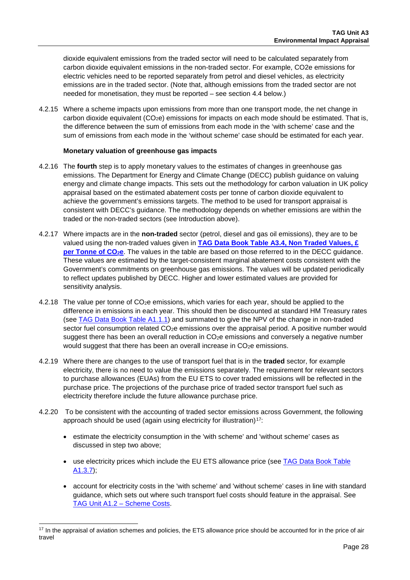dioxide equivalent emissions from the traded sector will need to be calculated separately from carbon dioxide equivalent emissions in the non-traded sector. For example, CO2e emissions for electric vehicles need to be reported separately from petrol and diesel vehicles, as electricity emissions are in the traded sector. (Note that, although emissions from the traded sector are not needed for monetisation, they must be reported – see section 4.4 below.)

4.2.15 Where a scheme impacts upon emissions from more than one transport mode, the net change in carbon dioxide equivalent (CO<sub>2</sub>e) emissions for impacts on each mode should be estimated. That is, the difference between the sum of emissions from each mode in the 'with scheme' case and the sum of emissions from each mode in the 'without scheme' case should be estimated for each year.

#### **Monetary valuation of greenhouse gas impacts**

- 4.2.16 The **fourth** step is to apply monetary values to the estimates of changes in greenhouse gas emissions. The Department for Energy and Climate Change (DECC) publish guidance on valuing energy and climate change impacts. This sets out the methodology for carbon valuation in UK policy appraisal based on the estimated abatement costs per tonne of carbon dioxide equivalent to achieve the government's emissions targets. The method to be used for transport appraisal is consistent with DECC's guidance. The methodology depends on whether emissions are within the traded or the non-traded sectors (see Introduction above).
- 4.2.17 Where impacts are in the **non-traded** sector (petrol, diesel and gas oil emissions), they are to be valued using the non-traded values given in **TAG Data Book [Table A3.4, Non Traded Values, £](https://www.gov.uk/transport-analysis-guidance-webtag#webtag-data-book)  per Tonne of CO<sub>2</sub>e**. The values in the table are based on those referred to in the DECC guidance. These values are estimated by the target-consistent marginal abatement costs consistent with the Government's commitments on greenhouse gas emissions. The values will be updated periodically to reflect updates published by DECC. Higher and lower estimated values are provided for sensitivity analysis.
- 4.2.18 The value per tonne of CO<sub>2</sub>e emissions, which varies for each year, should be applied to the difference in emissions in each year. This should then be discounted at standard HM Treasury rates (see [TAG Data Book](https://www.gov.uk/transport-analysis-guidance-webtag#webtag-data-book) Table A1.1.1) and summated to give the NPV of the change in non-traded sector fuel consumption related CO<sub>2</sub>e emissions over the appraisal period. A positive number would suggest there has been an overall reduction in CO<sub>2</sub>e emissions and conversely a negative number would suggest that there has been an overall increase in  $CO<sub>2</sub>e$  emissions.
- 4.2.19 Where there are changes to the use of transport fuel that is in the **traded** sector, for example electricity, there is no need to value the emissions separately. The requirement for relevant sectors to purchase allowances (EUAs) from the EU ETS to cover traded emissions will be reflected in the purchase price. The projections of the purchase price of traded sector transport fuel such as electricity therefore include the future allowance purchase price.
- 4.2.20 To be consistent with the accounting of traded sector emissions across Government, the following approach should be used (again using electricity for illustration) $17$ :
	- estimate the electricity consumption in the 'with scheme' and 'without scheme' cases as discussed in step two above;
	- use electricity prices which include the EU ETS allowance price (see [TAG Data Book](https://www.gov.uk/transport-analysis-guidance-webtag#webtag-data-book) Table [A1.3.7\)](https://www.gov.uk/transport-analysis-guidance-webtag#webtag-data-book);
	- account for electricity costs in the 'with scheme' and 'without scheme' cases in line with standard guidance, which sets out where such transport fuel costs should feature in the appraisal. See [TAG Unit A1.2 –](https://www.gov.uk/transport-analysis-guidance-webtag#a1-cost-benefit-analysis) Scheme Costs.

<span id="page-27-0"></span><sup>&</sup>lt;sup>17</sup> In the appraisal of aviation schemes and policies, the ETS allowance price should be accounted for in the price of air travel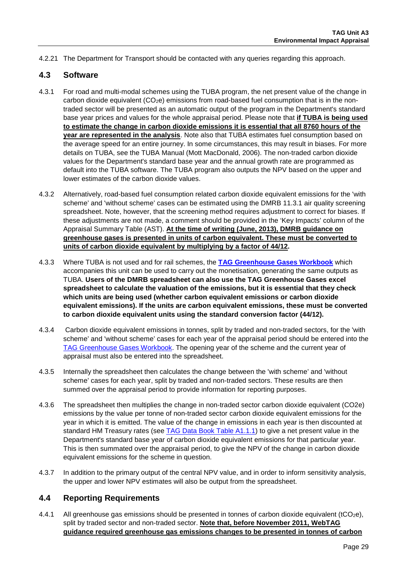4.2.21 The Department for Transport should be contacted with any queries regarding this approach.

#### **4.3 Software**

- 4.3.1 For road and multi-modal schemes using the TUBA program, the net present value of the change in carbon dioxide equivalent  $(CO<sub>2</sub>e)$  emissions from road-based fuel consumption that is in the nontraded sector will be presented as an automatic output of the program in the Department's standard base year prices and values for the whole appraisal period. Please note that **if TUBA is being used to estimate the change in carbon dioxide emissions it is essential that all 8760 hours of the year are represented in the analysis**. Note also that TUBA estimates fuel consumption based on the average speed for an entire journey. In some circumstances, this may result in biases. For more details on TUBA, see the TUBA Manual (Mott MacDonald, 2006). The non-traded carbon dioxide values for the Department's standard base year and the annual growth rate are programmed as default into the TUBA software. The TUBA program also outputs the NPV based on the upper and lower estimates of the carbon dioxide values.
- 4.3.2 Alternatively, road-based fuel consumption related carbon dioxide equivalent emissions for the 'with scheme' and 'without scheme' cases can be estimated using the DMRB 11.3.1 air quality screening spreadsheet. Note, however, that the screening method requires adjustment to correct for biases. If these adjustments are not made, a comment should be provided in the 'Key Impacts' column of the Appraisal Summary Table (AST). **At the time of writing (June, 2013), DMRB guidance on greenhouse gases is presented in units of carbon equivalent. These must be converted to units of carbon dioxide equivalent by multiplying by a factor of 44/12.**
- 4.3.3 Where TUBA is not used and for rail schemes, the **[TAG Greenhouse Gases Workbook](https://www.gov.uk/transport-analysis-guidance-webtag#appraisal-worksheets)** which accompanies this unit can be used to carry out the monetisation, generating the same outputs as TUBA. **Users of the DMRB spreadsheet can also use the TAG Greenhouse Gases excel spreadsheet to calculate the valuation of the emissions, but it is essential that they check which units are being used (whether carbon equivalent emissions or carbon dioxide equivalent emissions). If the units are carbon equivalent emissions, these must be converted to carbon dioxide equivalent units using the standard conversion factor (44/12).**
- 4.3.4 Carbon dioxide equivalent emissions in tonnes, split by traded and non-traded sectors, for the 'with scheme' and 'without scheme' cases for each year of the appraisal period should be entered into the [TAG Greenhouse Gases Workbook.](https://www.gov.uk/transport-analysis-guidance-webtag#appraisal-worksheets) The opening year of the scheme and the current year of appraisal must also be entered into the spreadsheet.
- 4.3.5 Internally the spreadsheet then calculates the change between the 'with scheme' and 'without scheme' cases for each year, split by traded and non-traded sectors. These results are then summed over the appraisal period to provide information for reporting purposes.
- 4.3.6 The spreadsheet then multiplies the change in non-traded sector carbon dioxide equivalent (CO2e) emissions by the value per tonne of non-traded sector carbon dioxide equivalent emissions for the year in which it is emitted. The value of the change in emissions in each year is then discounted at standard HM Treasury rates (see [TAG Data Book](https://www.gov.uk/transport-analysis-guidance-webtag#webtag-data-book) Table A1.1.1) to give a net present value in the Department's standard base year of carbon dioxide equivalent emissions for that particular year. This is then summated over the appraisal period, to give the NPV of the change in carbon dioxide equivalent emissions for the scheme in question.
- 4.3.7 In addition to the primary output of the central NPV value, and in order to inform sensitivity analysis, the upper and lower NPV estimates will also be output from the spreadsheet.

### **4.4 Reporting Requirements**

4.4.1 All greenhouse gas emissions should be presented in tonnes of carbon dioxide equivalent (tCO<sub>2</sub>e), split by traded sector and non-traded sector. **Note that, before November 2011, WebTAG guidance required greenhouse gas emissions changes to be presented in tonnes of carbon**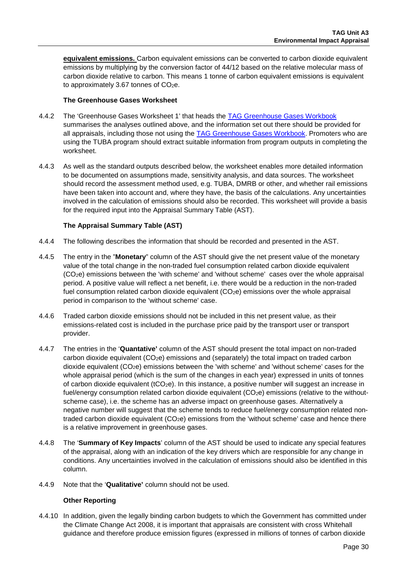**equivalent emissions.** Carbon equivalent emissions can be converted to carbon dioxide equivalent emissions by multiplying by the conversion factor of 44/12 based on the relative molecular mass of carbon dioxide relative to carbon. This means 1 tonne of carbon equivalent emissions is equivalent to approximately 3.67 tonnes of  $CO<sub>2</sub>e$ .

#### **The Greenhouse Gases Worksheet**

- 4.4.2 The 'Greenhouse Gases Worksheet 1' that heads the [TAG Greenhouse Gases Workbook](https://www.gov.uk/transport-analysis-guidance-webtag#appraisal-worksheets) summarises the analyses outlined above, and the information set out there should be provided for all appraisals, including those not using the [TAG Greenhouse Gases Workbook.](https://www.gov.uk/transport-analysis-guidance-webtag#appraisal-worksheets) Promoters who are using the TUBA program should extract suitable information from program outputs in completing the worksheet.
- 4.4.3 As well as the standard outputs described below, the worksheet enables more detailed information to be documented on assumptions made, sensitivity analysis, and data sources. The worksheet should record the assessment method used, e.g. TUBA, DMRB or other, and whether rail emissions have been taken into account and, where they have, the basis of the calculations. Any uncertainties involved in the calculation of emissions should also be recorded. This worksheet will provide a basis for the required input into the Appraisal Summary Table (AST).

#### **The Appraisal Summary Table (AST)**

- 4.4.4 The following describes the information that should be recorded and presented in the AST.
- 4.4.5 The entry in the "**Monetary**" column of the AST should give the net present value of the monetary value of the total change in the non-traded fuel consumption related carbon dioxide equivalent (CO2e) emissions between the 'with scheme' and 'without scheme' cases over the whole appraisal period. A positive value will reflect a net benefit, i.e. there would be a reduction in the non-traded fuel consumption related carbon dioxide equivalent  $(CO<sub>2</sub>e)$  emissions over the whole appraisal period in comparison to the 'without scheme' case.
- 4.4.6 Traded carbon dioxide emissions should not be included in this net present value, as their emissions-related cost is included in the purchase price paid by the transport user or transport provider.
- 4.4.7 The entries in the '**Quantative'** column of the AST should present the total impact on non-traded carbon dioxide equivalent (CO2e) emissions and (separately) the total impact on traded carbon dioxide equivalent (CO2e) emissions between the 'with scheme' and 'without scheme' cases for the whole appraisal period (which is the sum of the changes in each year) expressed in units of tonnes of carbon dioxide equivalent ( $tCO<sub>2</sub>e$ ). In this instance, a positive number will suggest an increase in fuel/energy consumption related carbon dioxide equivalent (CO<sub>2</sub>e) emissions (relative to the withoutscheme case), i.e. the scheme has an adverse impact on greenhouse gases. Alternatively a negative number will suggest that the scheme tends to reduce fuel/energy consumption related nontraded carbon dioxide equivalent  $(CO<sub>2</sub>e)$  emissions from the 'without scheme' case and hence there is a relative improvement in greenhouse gases.
- 4.4.8 The '**Summary of Key Impacts**' column of the AST should be used to indicate any special features of the appraisal, along with an indication of the key drivers which are responsible for any change in conditions. Any uncertainties involved in the calculation of emissions should also be identified in this column.
- 4.4.9 Note that the '**Qualitative'** column should not be used.

#### **Other Reporting**

4.4.10 In addition, given the legally binding carbon budgets to which the Government has committed under the Climate Change Act 2008, it is important that appraisals are consistent with cross Whitehall guidance and therefore produce emission figures (expressed in millions of tonnes of carbon dioxide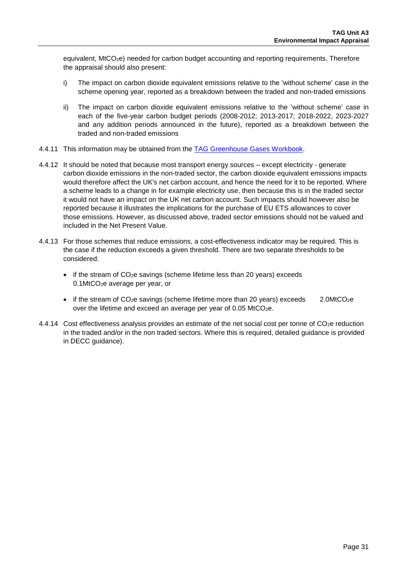equivalent, MtCO<sub>2</sub>e) needed for carbon budget accounting and reporting requirements. Therefore the appraisal should also present:

- i) The impact on carbon dioxide equivalent emissions relative to the 'without scheme' case in the scheme opening year, reported as a breakdown between the traded and non-traded emissions
- ii) The impact on carbon dioxide equivalent emissions relative to the 'without scheme' case in each of the five-year carbon budget periods (2008-2012; 2013-2017; 2018-2022, 2023-2027 and any addition periods announced in the future), reported as a breakdown between the traded and non-traded emissions
- 4.4.11 This information may be obtained from the [TAG Greenhouse Gases Workbook.](https://www.gov.uk/transport-analysis-guidance-webtag#appraisal-worksheets)
- 4.4.12 It should be noted that because most transport energy sources except electricity generate carbon dioxide emissions in the non-traded sector, the carbon dioxide equivalent emissions impacts would therefore affect the UK's net carbon account, and hence the need for it to be reported. Where a scheme leads to a change in for example electricity use, then because this is in the traded sector it would not have an impact on the UK net carbon account. Such impacts should however also be reported because it illustrates the implications for the purchase of EU ETS allowances to cover those emissions. However, as discussed above, traded sector emissions should not be valued and included in the Net Present Value.
- 4.4.13 For those schemes that reduce emissions, a cost-effectiveness indicator may be required. This is the case if the reduction exceeds a given threshold. There are two separate thresholds to be considered:
	- $\bullet$  if the stream of CO<sub>2</sub>e savings (scheme lifetime less than 20 years) exceeds 0.1MtCO2e average per year, or
	- if the stream of  $CO<sub>2</sub>e$  savings (scheme lifetime more than 20 years) exceeds 2.0MtCO<sub>2</sub>e over the lifetime and exceed an average per year of 0.05 MtCO<sub>2</sub>e.
- 4.4.14 Cost effectiveness analysis provides an estimate of the net social cost per tonne of CO<sub>2</sub>e reduction in the traded and/or in the non traded sectors. Where this is required, detailed guidance is provided in DECC guidance).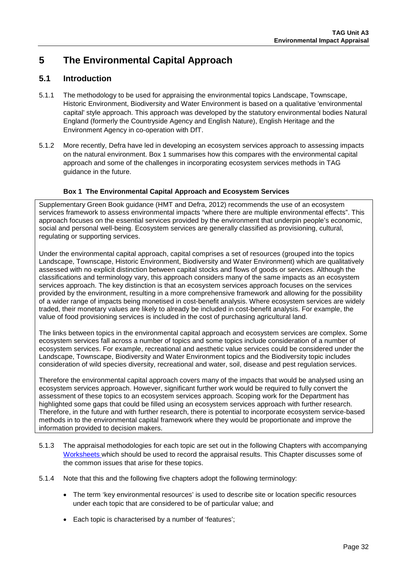# **5 The Environmental Capital Approach**

## **5.1 Introduction**

- 5.1.1 The methodology to be used for appraising the environmental topics Landscape, Townscape, Historic Environment, Biodiversity and Water Environment is based on a qualitative 'environmental capital' style approach. This approach was developed by the statutory environmental bodies Natural England (formerly the Countryside Agency and English Nature), English Heritage and the Environment Agency in co-operation with DfT.
- 5.1.2 More recently, Defra have led in developing an ecosystem services approach to assessing impacts on the natural environment. [Box 1](#page-31-0) summarises how this compares with the environmental capital approach and some of the challenges in incorporating ecosystem services methods in TAG guidance in the future.

#### **Box 1 The Environmental Capital Approach and Ecosystem Services**

<span id="page-31-0"></span>Supplementary Green Book guidance (HMT and Defra, 2012) recommends the use of an ecosystem services framework to assess environmental impacts "where there are multiple environmental effects". This approach focuses on the essential services provided by the environment that underpin people's economic, social and personal well-being. Ecosystem services are generally classified as provisioning, cultural, regulating or supporting services.

Under the environmental capital approach, capital comprises a set of resources (grouped into the topics Landscape, Townscape, Historic Environment, Biodiversity and Water Environment) which are qualitatively assessed with no explicit distinction between capital stocks and flows of goods or services. Although the classifications and terminology vary, this approach considers many of the same impacts as an ecosystem services approach. The key distinction is that an ecosystem services approach focuses on the services provided by the environment, resulting in a more comprehensive framework and allowing for the possibility of a wider range of impacts being monetised in cost-benefit analysis. Where ecosystem services are widely traded, their monetary values are likely to already be included in cost-benefit analysis. For example, the value of food provisioning services is included in the cost of purchasing agricultural land.

The links between topics in the environmental capital approach and ecosystem services are complex. Some ecosystem services fall across a number of topics and some topics include consideration of a number of ecosystem services. For example, recreational and aesthetic value services could be considered under the Landscape, Townscape, Biodiversity and Water Environment topics and the Biodiversity topic includes consideration of wild species diversity, recreational and water, soil, disease and pest regulation services.

Therefore the environmental capital approach covers many of the impacts that would be analysed using an ecosystem services approach. However, significant further work would be required to fully convert the assessment of these topics to an ecosystem services approach. Scoping work for the Department has highlighted some gaps that could be filled using an ecosystem services approach with further research. Therefore, in the future and with further research, there is potential to incorporate ecosystem service-based methods in to the environmental capital framework where they would be proportionate and improve the information provided to decision makers.

- 5.1.3 The appraisal methodologies for each topic are set out in the following Chapters with accompanying [Worksheets w](https://www.gov.uk/government/publications/webtag-environmental-impacts-worksheets)hich should be used to record the appraisal results. This Chapter discusses some of the common issues that arise for these topics.
- 5.1.4 Note that this and the following five chapters adopt the following terminology:
	- The term 'key environmental resources' is used to describe site or location specific resources under each topic that are considered to be of particular value; and
	- Each topic is characterised by a number of 'features';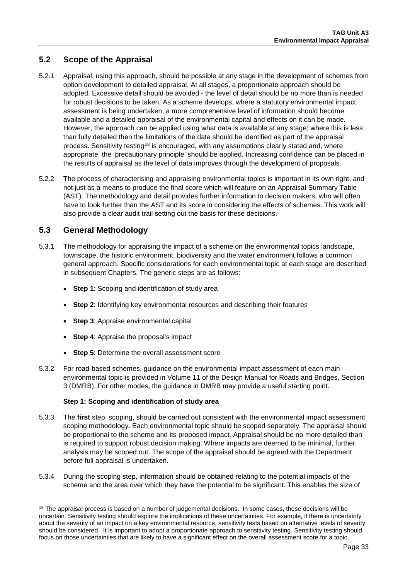## **5.2 Scope of the Appraisal**

- 5.2.1 Appraisal, using this approach, should be possible at any stage in the development of schemes from option development to detailed appraisal. At all stages, a proportionate approach should be adopted. Excessive detail should be avoided - the level of detail should be no more than is needed for robust decisions to be taken. As a scheme develops, where a statutory environmental impact assessment is being undertaken, a more comprehensive level of information should become available and a detailed appraisal of the environmental capital and effects on it can be made. However, the approach can be applied using what data is available at any stage; where this is less than fully detailed then the limitations of the data should be identified as part of the appraisal process. Sensitivity testing<sup>[18](#page-32-0)</sup> is encouraged, with any assumptions clearly stated and, where appropriate, the 'precautionary principle' should be applied. Increasing confidence can be placed in the results of appraisal as the level of data improves through the development of proposals.
- 5.2.2 The process of characterising and appraising environmental topics is important in its own right, and not just as a means to produce the final score which will feature on an Appraisal Summary Table (AST). The methodology and detail provides further information to decision makers, who will often have to look further than the AST and its score in considering the effects of schemes. This work will also provide a clear audit trail setting out the basis for these decisions.

## **5.3 General Methodology**

- 5.3.1 The methodology for appraising the impact of a scheme on the environmental topics landscape, townscape, the historic environment, biodiversity and the water environment follows a common general approach. Specific considerations for each environmental topic at each stage are described in subsequent Chapters. The generic steps are as follows:
	- **Step 1**: Scoping and identification of study area
	- **Step 2**: Identifying key environmental resources and describing their features
	- **Step 3: Appraise environmental capital**
	- **Step 4:** Appraise the proposal's impact
	- **Step 5**: Determine the overall assessment score
- 5.3.2 For road-based schemes, guidance on the environmental impact assessment of each main environmental topic is provided in Volume 11 of the Design Manual for Roads and Bridges, Section 3 (DMRB). For other modes, the guidance in DMRB may provide a useful starting point.

#### **Step 1: Scoping and identification of study area**

- 5.3.3 The **first** step, scoping, should be carried out consistent with the environmental impact assessment scoping methodology. Each environmental topic should be scoped separately. The appraisal should be proportional to the scheme and its proposed impact. Appraisal should be no more detailed than is required to support robust decision making. Where impacts are deemed to be minimal, further analysis may be scoped out. The scope of the appraisal should be agreed with the Department before full appraisal is undertaken.
- 5.3.4 During the scoping step, information should be obtained relating to the potential impacts of the scheme and the area over which they have the potential to be significant. This enables the size of

<span id="page-32-0"></span><sup>&</sup>lt;sup>18</sup> The appraisal process is based on a number of judgemental decisions. In some cases, these decisions will be uncertain. Sensitivity testing should explore the implications of these uncertainties. For example, if there is uncertainty about the severity of an impact on a key environmental resource, sensitivity tests based on alternative levels of severity should be considered. It is important to adopt a proportionate approach to sensitivity testing. Sensitivity testing should focus on those uncertainties that are likely to have a significant effect on the overall assessment score for a topic.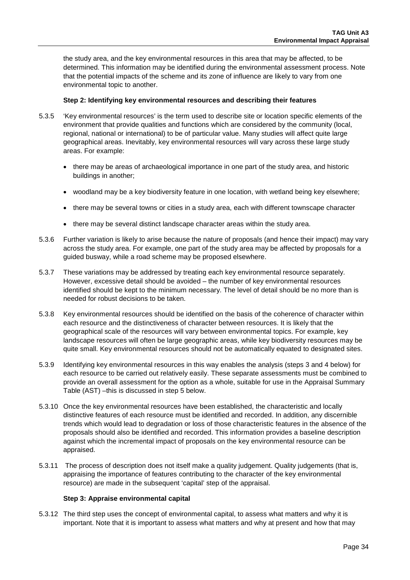the study area, and the key environmental resources in this area that may be affected, to be determined. This information may be identified during the environmental assessment process. Note that the potential impacts of the scheme and its zone of influence are likely to vary from one environmental topic to another.

#### **Step 2: Identifying key environmental resources and describing their features**

- 5.3.5 'Key environmental resources' is the term used to describe site or location specific elements of the environment that provide qualities and functions which are considered by the community (local, regional, national or international) to be of particular value. Many studies will affect quite large geographical areas. Inevitably, key environmental resources will vary across these large study areas. For example:
	- there may be areas of archaeological importance in one part of the study area, and historic buildings in another;
	- woodland may be a key biodiversity feature in one location, with wetland being key elsewhere;
	- there may be several towns or cities in a study area, each with different townscape character
	- there may be several distinct landscape character areas within the study area.
- 5.3.6 Further variation is likely to arise because the nature of proposals (and hence their impact) may vary across the study area. For example, one part of the study area may be affected by proposals for a guided busway, while a road scheme may be proposed elsewhere.
- 5.3.7 These variations may be addressed by treating each key environmental resource separately. However, excessive detail should be avoided – the number of key environmental resources identified should be kept to the minimum necessary. The level of detail should be no more than is needed for robust decisions to be taken.
- 5.3.8 Key environmental resources should be identified on the basis of the coherence of character within each resource and the distinctiveness of character between resources. It is likely that the geographical scale of the resources will vary between environmental topics. For example, key landscape resources will often be large geographic areas, while key biodiversity resources may be quite small. Key environmental resources should not be automatically equated to designated sites.
- 5.3.9 Identifying key environmental resources in this way enables the analysis (steps 3 and 4 below) for each resource to be carried out relatively easily. These separate assessments must be combined to provide an overall assessment for the option as a whole, suitable for use in the Appraisal Summary Table (AST) –this is discussed in step 5 below.
- 5.3.10 Once the key environmental resources have been established, the characteristic and locally distinctive features of each resource must be identified and recorded. In addition, any discernible trends which would lead to degradation or loss of those characteristic features in the absence of the proposals should also be identified and recorded. This information provides a baseline description against which the incremental impact of proposals on the key environmental resource can be appraised.
- 5.3.11 The process of description does not itself make a quality judgement. Quality judgements (that is, appraising the importance of features contributing to the character of the key environmental resource) are made in the subsequent 'capital' step of the appraisal.

#### **Step 3: Appraise environmental capital**

5.3.12 The third step uses the concept of environmental capital, to assess what matters and why it is important. Note that it is important to assess what matters and why at present and how that may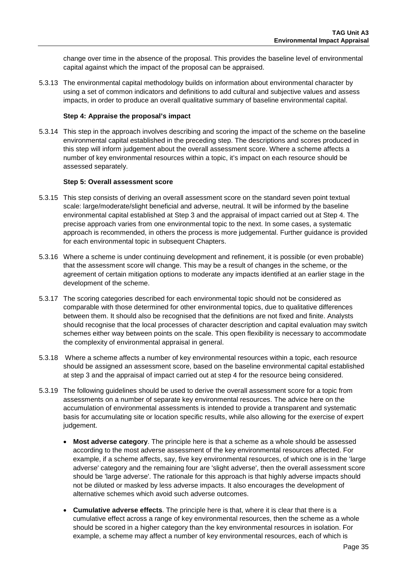change over time in the absence of the proposal. This provides the baseline level of environmental capital against which the impact of the proposal can be appraised.

5.3.13 The environmental capital methodology builds on information about environmental character by using a set of common indicators and definitions to add cultural and subjective values and assess impacts, in order to produce an overall qualitative summary of baseline environmental capital.

#### **Step 4: Appraise the proposal's impact**

5.3.14 This step in the approach involves describing and scoring the impact of the scheme on the baseline environmental capital established in the preceding step. The descriptions and scores produced in this step will inform judgement about the overall assessment score. Where a scheme affects a number of key environmental resources within a topic, it's impact on each resource should be assessed separately.

#### **Step 5: Overall assessment score**

- 5.3.15 This step consists of deriving an overall assessment score on the standard seven point textual scale: large/moderate/slight beneficial and adverse, neutral. It will be informed by the baseline environmental capital established at Step 3 and the appraisal of impact carried out at Step 4. The precise approach varies from one environmental topic to the next. In some cases, a systematic approach is recommended, in others the process is more judgemental. Further guidance is provided for each environmental topic in subsequent Chapters.
- 5.3.16 Where a scheme is under continuing development and refinement, it is possible (or even probable) that the assessment score will change. This may be a result of changes in the scheme, or the agreement of certain mitigation options to moderate any impacts identified at an earlier stage in the development of the scheme.
- 5.3.17 The scoring categories described for each environmental topic should not be considered as comparable with those determined for other environmental topics, due to qualitative differences between them. It should also be recognised that the definitions are not fixed and finite. Analysts should recognise that the local processes of character description and capital evaluation may switch schemes either way between points on the scale. This open flexibility is necessary to accommodate the complexity of environmental appraisal in general.
- 5.3.18 Where a scheme affects a number of key environmental resources within a topic, each resource should be assigned an assessment score, based on the baseline environmental capital established at step 3 and the appraisal of impact carried out at step 4 for the resource being considered.
- 5.3.19 The following guidelines should be used to derive the overall assessment score for a topic from assessments on a number of separate key environmental resources. The advice here on the accumulation of environmental assessments is intended to provide a transparent and systematic basis for accumulating site or location specific results, while also allowing for the exercise of expert judgement.
	- **Most adverse category**. The principle here is that a scheme as a whole should be assessed according to the most adverse assessment of the key environmental resources affected. For example, if a scheme affects, say, five key environmental resources, of which one is in the 'large adverse' category and the remaining four are 'slight adverse', then the overall assessment score should be 'large adverse'. The rationale for this approach is that highly adverse impacts should not be diluted or masked by less adverse impacts. It also encourages the development of alternative schemes which avoid such adverse outcomes.
	- **Cumulative adverse effects**. The principle here is that, where it is clear that there is a cumulative effect across a range of key environmental resources, then the scheme as a whole should be scored in a higher category than the key environmental resources in isolation. For example, a scheme may affect a number of key environmental resources, each of which is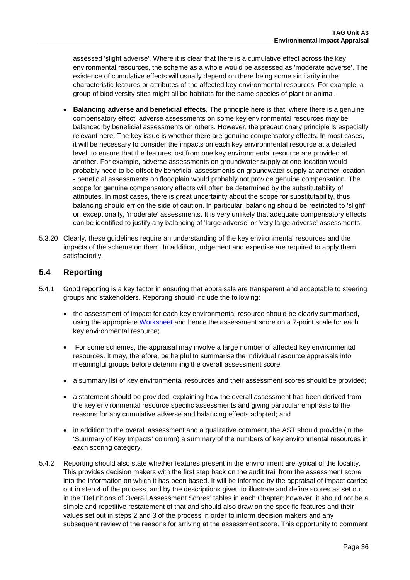assessed 'slight adverse'. Where it is clear that there is a cumulative effect across the key environmental resources, the scheme as a whole would be assessed as 'moderate adverse'. The existence of cumulative effects will usually depend on there being some similarity in the characteristic features or attributes of the affected key environmental resources. For example, a group of biodiversity sites might all be habitats for the same species of plant or animal.

- **Balancing adverse and beneficial effects**. The principle here is that, where there is a genuine compensatory effect, adverse assessments on some key environmental resources may be balanced by beneficial assessments on others. However, the precautionary principle is especially relevant here. The key issue is whether there are genuine compensatory effects. In most cases, it will be necessary to consider the impacts on each key environmental resource at a detailed level, to ensure that the features lost from one key environmental resource are provided at another. For example, adverse assessments on groundwater supply at one location would probably need to be offset by beneficial assessments on groundwater supply at another location - beneficial assessments on floodplain would probably not provide genuine compensation. The scope for genuine compensatory effects will often be determined by the substitutability of attributes. In most cases, there is great uncertainty about the scope for substitutability, thus balancing should err on the side of caution. In particular, balancing should be restricted to 'slight' or, exceptionally, 'moderate' assessments. It is very unlikely that adequate compensatory effects can be identified to justify any balancing of 'large adverse' or 'very large adverse' assessments.
- 5.3.20 Clearly, these guidelines require an understanding of the key environmental resources and the impacts of the scheme on them. In addition, judgement and expertise are required to apply them satisfactorily.

## **5.4 Reporting**

- 5.4.1 Good reporting is a key factor in ensuring that appraisals are transparent and acceptable to steering groups and stakeholders. Reporting should include the following:
	- the assessment of impact for each key environmental resource should be clearly summarised, using the appropriate [Worksheet a](https://www.gov.uk/government/publications/webtag-environmental-impacts-worksheets)nd hence the assessment score on a 7-point scale for each key environmental resource;
	- For some schemes, the appraisal may involve a large number of affected key environmental resources. It may, therefore, be helpful to summarise the individual resource appraisals into meaningful groups before determining the overall assessment score.
	- a summary list of key environmental resources and their assessment scores should be provided;
	- a statement should be provided, explaining how the overall assessment has been derived from the key environmental resource specific assessments and giving particular emphasis to the reasons for any cumulative adverse and balancing effects adopted; and
	- in addition to the overall assessment and a qualitative comment, the AST should provide (in the 'Summary of Key Impacts' column) a summary of the numbers of key environmental resources in each scoring category.
- 5.4.2 Reporting should also state whether features present in the environment are typical of the locality. This provides decision makers with the first step back on the audit trail from the assessment score into the information on which it has been based. It will be informed by the appraisal of impact carried out in step 4 of the process, and by the descriptions given to illustrate and define scores as set out in the 'Definitions of Overall Assessment Scores' tables in each Chapter; however, it should not be a simple and repetitive restatement of that and should also draw on the specific features and their values set out in steps 2 and 3 of the process in order to inform decision makers and any subsequent review of the reasons for arriving at the assessment score. This opportunity to comment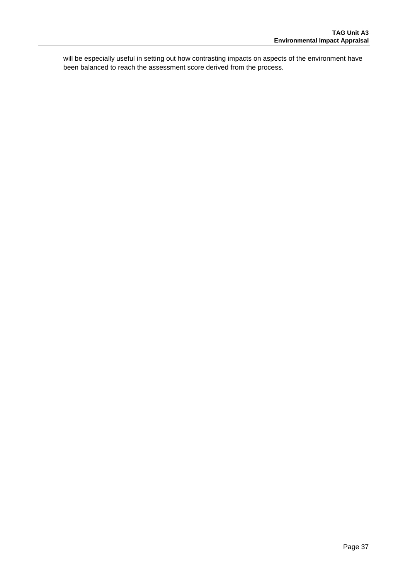will be especially useful in setting out how contrasting impacts on aspects of the environment have been balanced to reach the assessment score derived from the process.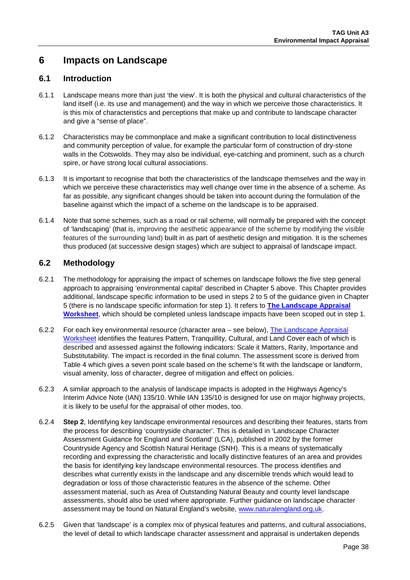## **6 Impacts on Landscape**

### **6.1 Introduction**

- 6.1.1 Landscape means more than just 'the view'. It is both the physical and cultural characteristics of the land itself (i.e. its use and management) and the way in which we perceive those characteristics. It is this mix of characteristics and perceptions that make up and contribute to landscape character and give a "sense of place".
- 6.1.2 Characteristics may be commonplace and make a significant contribution to local distinctiveness and community perception of value, for example the particular form of construction of dry-stone walls in the Cotswolds. They may also be individual, eye-catching and prominent, such as a church spire, or have strong local cultural associations.
- 6.1.3 It is important to recognise that both the characteristics of the landscape themselves and the way in which we perceive these characteristics may well change over time in the absence of a scheme. As far as possible, any significant changes should be taken into account during the formulation of the baseline against which the impact of a scheme on the landscape is to be appraised.
- 6.1.4 Note that some schemes, such as a road or rail scheme, will normally be prepared with the concept of 'landscaping' (that is, improving the aesthetic appearance of the scheme by modifying the visible features of the surrounding land) built in as part of aesthetic design and mitigation. It is the schemes thus produced (at successive design stages) which are subject to appraisal of landscape impact.

### **6.2 Methodology**

- 6.2.1 The methodology for appraising the impact of schemes on landscape follows the five step general approach to appraising 'environmental capital' described in Chapter 5 above. This Chapter provides additional, landscape specific information to be used in steps 2 to 5 of the guidance given in Chapter [5](#page-31-0) (there is no landscape specific information for step 1). It refers to **[The Landscape Appraisal](https://www.gov.uk/transport-analysis-guidance-webtag#appraisal-worksheets)  [Worksheet](https://www.gov.uk/transport-analysis-guidance-webtag#appraisal-worksheets)**, which should be completed unless landscape impacts have been scoped out in step 1.
- 6.2.2 For each key environmental resource (character area see below), [The Landscape Appraisal](https://www.gov.uk/transport-analysis-guidance-webtag#appraisal-worksheets)  [Worksheet](https://www.gov.uk/transport-analysis-guidance-webtag#appraisal-worksheets) identifies the features Pattern, Tranquillity, Cultural, and Land Cover each of which is described and assessed against the following indicators: Scale it Matters, Rarity, Importance and Substitutability. The impact is recorded in the final column. The assessment score is derived from [Table 4](#page-42-0) which gives a seven point scale based on the scheme's fit with the landscape or landform, visual amenity, loss of character, degree of mitigation and effect on policies.
- 6.2.3 A similar approach to the analysis of landscape impacts is adopted in the Highways Agency's Interim Advice Note (IAN) 135/10. While IAN 135/10 is designed for use on major highway projects, it is likely to be useful for the appraisal of other modes, too.
- 6.2.4 **Step 2**, Identifying key landscape environmental resources and describing their features, starts from the process for describing 'countryside character'. This is detailed in 'Landscape Character Assessment Guidance for England and Scotland' (LCA), published in 2002 by the former Countryside Agency and Scottish Natural Heritage (SNH). This is a means of systematically recording and expressing the characteristic and locally distinctive features of an area and provides the basis for identifying key landscape environmental resources. The process identifies and describes what currently exists in the landscape and any discernible trends which would lead to degradation or loss of those characteristic features in the absence of the scheme. Other assessment material, such as Area of Outstanding Natural Beauty and county level landscape assessments, should also be used where appropriate. Further guidance on landscape character assessment may be found on Natural England's website, [www.naturalengland.org,uk.](http://www.naturalengland.org,uk/)
- 6.2.5 Given that 'landscape' is a complex mix of physical features and patterns, and cultural associations, the level of detail to which landscape character assessment and appraisal is undertaken depends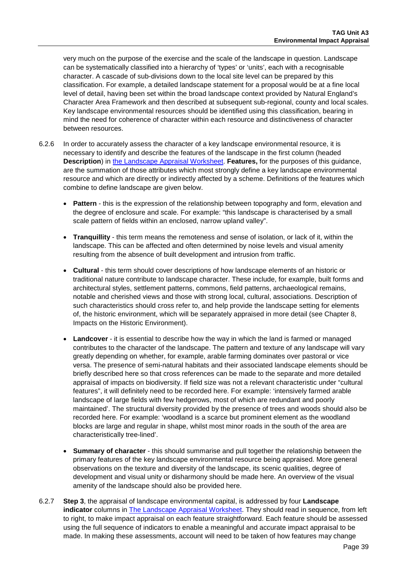very much on the purpose of the exercise and the scale of the landscape in question. Landscape can be systematically classified into a hierarchy of 'types' or 'units', each with a recognisable character. A cascade of sub-divisions down to the local site level can be prepared by this classification. For example, a detailed landscape statement for a proposal would be at a fine local level of detail, having been set within the broad landscape context provided by Natural England's Character Area Framework and then described at subsequent sub-regional, county and local scales. Key landscape environmental resources should be identified using this classification, bearing in mind the need for coherence of character within each resource and distinctiveness of character between resources.

- 6.2.6 In order to accurately assess the character of a key landscape environmental resource, it is necessary to identify and describe the features of the landscape in the first column (headed **Description**) in [the Landscape Appraisal Worksheet.](https://www.gov.uk/transport-analysis-guidance-webtag#appraisal-worksheets) **Features,** for the purposes of this guidance, are the summation of those attributes which most strongly define a key landscape environmental resource and which are directly or indirectly affected by a scheme. Definitions of the features which combine to define landscape are given below.
	- **Pattern** this is the expression of the relationship between topography and form, elevation and the degree of enclosure and scale. For example: "this landscape is characterised by a small scale pattern of fields within an enclosed, narrow upland valley".
	- **Tranquillity** this term means the remoteness and sense of isolation, or lack of it, within the landscape. This can be affected and often determined by noise levels and visual amenity resulting from the absence of built development and intrusion from traffic.
	- **Cultural** this term should cover descriptions of how landscape elements of an historic or traditional nature contribute to landscape character. These include, for example, built forms and architectural styles, settlement patterns, commons, field patterns, archaeological remains, notable and cherished views and those with strong local, cultural, associations. Description of such characteristics should cross refer to, and help provide the landscape setting for elements of, the historic environment, which will be separately appraised in more detail (see Chapter 8, Impacts on the Historic Environment).
	- **Landcover** it is essential to describe how the way in which the land is farmed or managed contributes to the character of the landscape. The pattern and texture of any landscape will vary greatly depending on whether, for example, arable farming dominates over pastoral or vice versa. The presence of semi-natural habitats and their associated landscape elements should be briefly described here so that cross references can be made to the separate and more detailed appraisal of impacts on biodiversity. If field size was not a relevant characteristic under "cultural features", it will definitely need to be recorded here. For example: 'intensively farmed arable landscape of large fields with few hedgerows, most of which are redundant and poorly maintained'. The structural diversity provided by the presence of trees and woods should also be recorded here. For example: 'woodland is a scarce but prominent element as the woodland blocks are large and regular in shape, whilst most minor roads in the south of the area are characteristically tree-lined'.
	- **Summary of character** this should summarise and pull together the relationship between the primary features of the key landscape environmental resource being appraised. More general observations on the texture and diversity of the landscape, its scenic qualities, degree of development and visual unity or disharmony should be made here. An overview of the visual amenity of the landscape should also be provided here.
- 6.2.7 **Step 3**, the appraisal of landscape environmental capital, is addressed by four **Landscape indicator** columns in [The Landscape Appraisal Worksheet.](https://www.gov.uk/transport-analysis-guidance-webtag#appraisal-worksheets) They should read in sequence, from left to right, to make impact appraisal on each feature straightforward. Each feature should be assessed using the full sequence of indicators to enable a meaningful and accurate impact appraisal to be made. In making these assessments, account will need to be taken of how features may change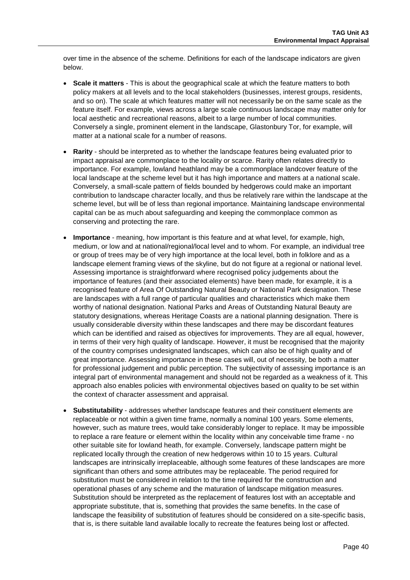over time in the absence of the scheme. Definitions for each of the landscape indicators are given below.

- **Scale it matters** This is about the geographical scale at which the feature matters to both policy makers at all levels and to the local stakeholders (businesses, interest groups, residents, and so on). The scale at which features matter will not necessarily be on the same scale as the feature itself. For example, views across a large scale continuous landscape may matter only for local aesthetic and recreational reasons, albeit to a large number of local communities. Conversely a single, prominent element in the landscape, Glastonbury Tor, for example, will matter at a national scale for a number of reasons.
- **Rarity** should be interpreted as to whether the landscape features being evaluated prior to impact appraisal are commonplace to the locality or scarce. Rarity often relates directly to importance. For example, lowland heathland may be a commonplace landcover feature of the local landscape at the scheme level but it has high importance and matters at a national scale. Conversely, a small-scale pattern of fields bounded by hedgerows could make an important contribution to landscape character locally, and thus be relatively rare within the landscape at the scheme level, but will be of less than regional importance. Maintaining landscape environmental capital can be as much about safeguarding and keeping the commonplace common as conserving and protecting the rare.
- **Importance**  meaning, how important is this feature and at what level, for example, high, medium, or low and at national/regional/local level and to whom. For example, an individual tree or group of trees may be of very high importance at the local level, both in folklore and as a landscape element framing views of the skyline, but do not figure at a regional or national level. Assessing importance is straightforward where recognised policy judgements about the importance of features (and their associated elements) have been made, for example, it is a recognised feature of Area Of Outstanding Natural Beauty or National Park designation. These are landscapes with a full range of particular qualities and characteristics which make them worthy of national designation. National Parks and Areas of Outstanding Natural Beauty are statutory designations, whereas Heritage Coasts are a national planning designation. There is usually considerable diversity within these landscapes and there may be discordant features which can be identified and raised as objectives for improvements. They are all equal, however, in terms of their very high quality of landscape. However, it must be recognised that the majority of the country comprises undesignated landscapes, which can also be of high quality and of great importance. Assessing importance in these cases will, out of necessity, be both a matter for professional judgement and public perception. The subjectivity of assessing importance is an integral part of environmental management and should not be regarded as a weakness of it. This approach also enables policies with environmental objectives based on quality to be set within the context of character assessment and appraisal.
- **Substitutability** addresses whether landscape features and their constituent elements are replaceable or not within a given time frame, normally a nominal 100 years. Some elements, however, such as mature trees, would take considerably longer to replace. It may be impossible to replace a rare feature or element within the locality within any conceivable time frame - no other suitable site for lowland heath, for example. Conversely, landscape pattern might be replicated locally through the creation of new hedgerows within 10 to 15 years. Cultural landscapes are intrinsically irreplaceable, although some features of these landscapes are more significant than others and some attributes may be replaceable. The period required for substitution must be considered in relation to the time required for the construction and operational phases of any scheme and the maturation of landscape mitigation measures. Substitution should be interpreted as the replacement of features lost with an acceptable and appropriate substitute, that is, something that provides the same benefits. In the case of landscape the feasibility of substitution of features should be considered on a site-specific basis, that is, is there suitable land available locally to recreate the features being lost or affected.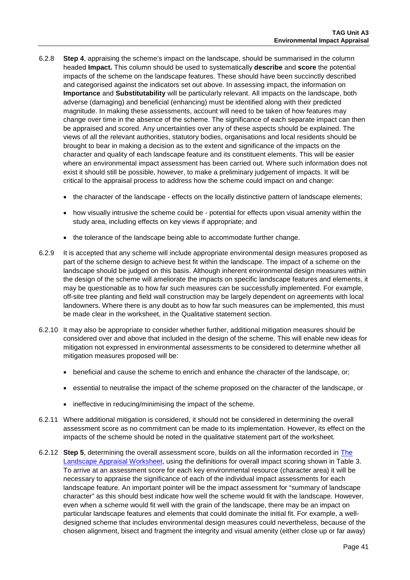- 6.2.8 **Step 4**, appraising the scheme's impact on the landscape, should be summarised in the column headed **Impact.** This column should be used to systematically **describe** and **score** the potential impacts of the scheme on the landscape features. These should have been succinctly described and categorised against the indicators set out above. In assessing impact, the information on **Importance** and **Substitutability** will be particularly relevant. All impacts on the landscape, both adverse (damaging) and beneficial (enhancing) must be identified along with their predicted magnitude. In making these assessments, account will need to be taken of how features may change over time in the absence of the scheme. The significance of each separate impact can then be appraised and scored. Any uncertainties over any of these aspects should be explained. The views of all the relevant authorities, statutory bodies, organisations and local residents should be brought to bear in making a decision as to the extent and significance of the impacts on the character and quality of each landscape feature and its constituent elements. This will be easier where an environmental impact assessment has been carried out. Where such information does not exist it should still be possible, however, to make a preliminary judgement of impacts. It will be critical to the appraisal process to address how the scheme could impact on and change:
	- the character of the landscape effects on the locally distinctive pattern of landscape elements;
	- how visually intrusive the scheme could be potential for effects upon visual amenity within the study area, including effects on key views if appropriate; and
	- the tolerance of the landscape being able to accommodate further change.
- 6.2.9 It is accepted that any scheme will include appropriate environmental design measures proposed as part of the scheme design to achieve best fit within the landscape. The impact of a scheme on the landscape should be judged on this basis. Although inherent environmental design measures within the design of the scheme will ameliorate the impacts on specific landscape features and elements, it may be questionable as to how far such measures can be successfully implemented. For example, off-site tree planting and field wall construction may be largely dependent on agreements with local landowners. Where there is any doubt as to how far such measures can be implemented, this must be made clear in the worksheet, in the Qualitative statement section.
- 6.2.10 It may also be appropriate to consider whether further, additional mitigation measures should be considered over and above that included in the design of the scheme. This will enable new ideas for mitigation not expressed in environmental assessments to be considered to determine whether all mitigation measures proposed will be:
	- beneficial and cause the scheme to enrich and enhance the character of the landscape, or;
	- essential to neutralise the impact of the scheme proposed on the character of the landscape, or
	- ineffective in reducing/minimising the impact of the scheme.
- 6.2.11 Where additional mitigation is considered, it should not be considered in determining the overall assessment score as no commitment can be made to its implementation. However, its effect on the impacts of the scheme should be noted in the qualitative statement part of the worksheet.
- 6.2.12 **Step 5**, determining the overall assessment score, builds on all the information recorded in [The](https://www.gov.uk/transport-analysis-guidance-webtag#appraisal-worksheets)  [Landscape Appraisal Worksheet,](https://www.gov.uk/transport-analysis-guidance-webtag#appraisal-worksheets) using the definitions for overall impact scoring shown in [Table 3.](#page-42-0)  To arrive at an assessment score for each key environmental resource (character area) it will be necessary to appraise the significance of each of the individual impact assessments for each landscape feature. An important pointer will be the impact assessment for "summary of landscape character" as this should best indicate how well the scheme would fit with the landscape. However, even when a scheme would fit well with the grain of the landscape, there may be an impact on particular landscape features and elements that could dominate the initial fit. For example, a welldesigned scheme that includes environmental design measures could nevertheless, because of the chosen alignment, bisect and fragment the integrity and visual amenity (either close up or far away)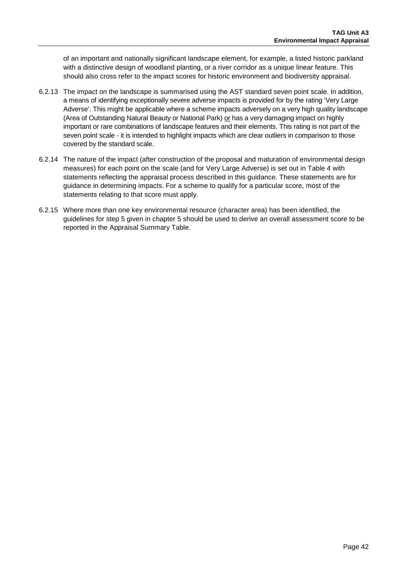of an important and nationally significant landscape element, for example, a listed historic parkland with a distinctive design of woodland planting, or a river corridor as a unique linear feature. This should also cross refer to the impact scores for historic environment and biodiversity appraisal.

- 6.2.13 The impact on the landscape is summarised using the AST standard seven point scale. In addition, a means of identifying exceptionally severe adverse impacts is provided for by the rating 'Very Large Adverse'. This might be applicable where a scheme impacts adversely on a very high quality landscape (Area of Outstanding Natural Beauty or National Park) or has a very damaging impact on highly important or rare combinations of landscape features and their elements. This rating is not part of the seven point scale - it is intended to highlight impacts which are clear outliers in comparison to those covered by the standard scale.
- 6.2.14 The nature of the impact (after construction of the proposal and maturation of environmental design measures) for each point on the scale (and for Very Large Adverse) is set out in [Table 4](#page-42-0) with statements reflecting the appraisal process described in this guidance. These statements are for guidance in determining impacts. For a scheme to qualify for a particular score, most of the statements relating to that score must apply.
- 6.2.15 Where more than one key environmental resource (character area) has been identified, the guidelines for step 5 given in chapter [5](#page-31-0) should be used to derive an overall assessment score to be reported in the Appraisal Summary Table.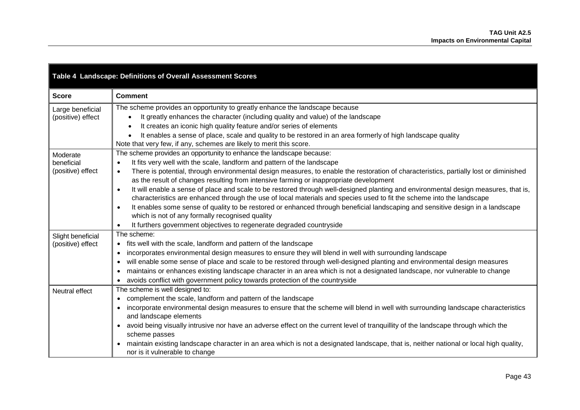<span id="page-42-0"></span>

| Table 4 Landscape: Definitions of Overall Assessment Scores |                                                                                                                                                                                                                                              |  |  |  |
|-------------------------------------------------------------|----------------------------------------------------------------------------------------------------------------------------------------------------------------------------------------------------------------------------------------------|--|--|--|
| <b>Score</b>                                                | <b>Comment</b>                                                                                                                                                                                                                               |  |  |  |
| Large beneficial                                            | The scheme provides an opportunity to greatly enhance the landscape because                                                                                                                                                                  |  |  |  |
| (positive) effect                                           | It greatly enhances the character (including quality and value) of the landscape<br>$\bullet$                                                                                                                                                |  |  |  |
|                                                             | It creates an iconic high quality feature and/or series of elements                                                                                                                                                                          |  |  |  |
|                                                             | It enables a sense of place, scale and quality to be restored in an area formerly of high landscape quality                                                                                                                                  |  |  |  |
|                                                             | Note that very few, if any, schemes are likely to merit this score.                                                                                                                                                                          |  |  |  |
| Moderate                                                    | The scheme provides an opportunity to enhance the landscape because:                                                                                                                                                                         |  |  |  |
| beneficial                                                  | It fits very well with the scale, landform and pattern of the landscape<br>$\bullet$                                                                                                                                                         |  |  |  |
| (positive) effect                                           | There is potential, through environmental design measures, to enable the restoration of characteristics, partially lost or diminished<br>$\bullet$<br>as the result of changes resulting from intensive farming or inappropriate development |  |  |  |
|                                                             | It will enable a sense of place and scale to be restored through well-designed planting and environmental design measures, that is,<br>$\bullet$                                                                                             |  |  |  |
|                                                             | characteristics are enhanced through the use of local materials and species used to fit the scheme into the landscape                                                                                                                        |  |  |  |
|                                                             | It enables some sense of quality to be restored or enhanced through beneficial landscaping and sensitive design in a landscape                                                                                                               |  |  |  |
|                                                             | which is not of any formally recognised quality                                                                                                                                                                                              |  |  |  |
|                                                             | It furthers government objectives to regenerate degraded countryside<br>$\bullet$                                                                                                                                                            |  |  |  |
| Slight beneficial                                           | The scheme:                                                                                                                                                                                                                                  |  |  |  |
| (positive) effect                                           | • fits well with the scale, landform and pattern of the landscape                                                                                                                                                                            |  |  |  |
|                                                             | incorporates environmental design measures to ensure they will blend in well with surrounding landscape<br>$\bullet$                                                                                                                         |  |  |  |
|                                                             | will enable some sense of place and scale to be restored through well-designed planting and environmental design measures                                                                                                                    |  |  |  |
|                                                             | maintains or enhances existing landscape character in an area which is not a designated landscape, nor vulnerable to change<br>$\bullet$                                                                                                     |  |  |  |
|                                                             | avoids conflict with government policy towards protection of the countryside                                                                                                                                                                 |  |  |  |
| Neutral effect                                              | The scheme is well designed to:                                                                                                                                                                                                              |  |  |  |
|                                                             | complement the scale, landform and pattern of the landscape                                                                                                                                                                                  |  |  |  |
|                                                             | incorporate environmental design measures to ensure that the scheme will blend in well with surrounding landscape characteristics                                                                                                            |  |  |  |
|                                                             | and landscape elements                                                                                                                                                                                                                       |  |  |  |
|                                                             | avoid being visually intrusive nor have an adverse effect on the current level of tranquillity of the landscape through which the                                                                                                            |  |  |  |
|                                                             | scheme passes<br>maintain existing landscape character in an area which is not a designated landscape, that is, neither national or local high quality,                                                                                      |  |  |  |
|                                                             | nor is it vulnerable to change                                                                                                                                                                                                               |  |  |  |
|                                                             |                                                                                                                                                                                                                                              |  |  |  |

Е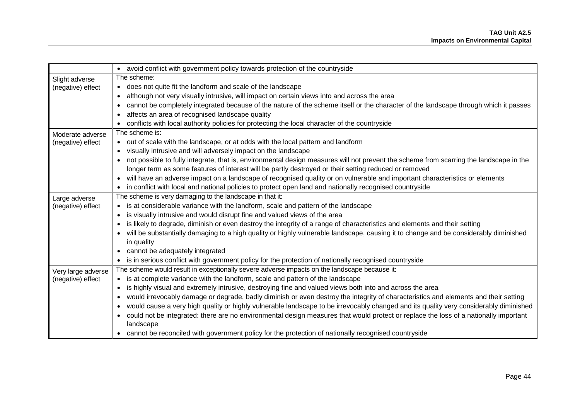|                    | • avoid conflict with government policy towards protection of the countryside                                                            |  |  |  |  |
|--------------------|------------------------------------------------------------------------------------------------------------------------------------------|--|--|--|--|
| Slight adverse     | The scheme:                                                                                                                              |  |  |  |  |
| (negative) effect  | • does not quite fit the landform and scale of the landscape                                                                             |  |  |  |  |
|                    | although not very visually intrusive, will impact on certain views into and across the area                                              |  |  |  |  |
|                    | cannot be completely integrated because of the nature of the scheme itself or the character of the landscape through which it passes     |  |  |  |  |
|                    | affects an area of recognised landscape quality                                                                                          |  |  |  |  |
|                    | conflicts with local authority policies for protecting the local character of the countryside                                            |  |  |  |  |
| Moderate adverse   | The scheme is:                                                                                                                           |  |  |  |  |
| (negative) effect  | • out of scale with the landscape, or at odds with the local pattern and landform                                                        |  |  |  |  |
|                    | visually intrusive and will adversely impact on the landscape                                                                            |  |  |  |  |
|                    | not possible to fully integrate, that is, environmental design measures will not prevent the scheme from scarring the landscape in the   |  |  |  |  |
|                    | longer term as some features of interest will be partly destroyed or their setting reduced or removed                                    |  |  |  |  |
|                    | will have an adverse impact on a landscape of recognised quality or on vulnerable and important characteristics or elements<br>$\bullet$ |  |  |  |  |
|                    | in conflict with local and national policies to protect open land and nationally recognised countryside                                  |  |  |  |  |
| Large adverse      | The scheme is very damaging to the landscape in that it:                                                                                 |  |  |  |  |
| (negative) effect  | • is at considerable variance with the landform, scale and pattern of the landscape                                                      |  |  |  |  |
|                    | is visually intrusive and would disrupt fine and valued views of the area                                                                |  |  |  |  |
|                    | is likely to degrade, diminish or even destroy the integrity of a range of characteristics and elements and their setting                |  |  |  |  |
|                    | will be substantially damaging to a high quality or highly vulnerable landscape, causing it to change and be considerably diminished     |  |  |  |  |
|                    | in quality                                                                                                                               |  |  |  |  |
|                    | cannot be adequately integrated                                                                                                          |  |  |  |  |
|                    | is in serious conflict with government policy for the protection of nationally recognised countryside                                    |  |  |  |  |
| Very large adverse | The scheme would result in exceptionally severe adverse impacts on the landscape because it:                                             |  |  |  |  |
| (negative) effect  | • is at complete variance with the landform, scale and pattern of the landscape                                                          |  |  |  |  |
|                    | is highly visual and extremely intrusive, destroying fine and valued views both into and across the area                                 |  |  |  |  |
|                    | would irrevocably damage or degrade, badly diminish or even destroy the integrity of characteristics and elements and their setting      |  |  |  |  |
|                    | would cause a very high quality or highly vulnerable landscape to be irrevocably changed and its quality very considerably diminished    |  |  |  |  |
|                    | could not be integrated: there are no environmental design measures that would protect or replace the loss of a nationally important     |  |  |  |  |
|                    | landscape                                                                                                                                |  |  |  |  |
|                    | • cannot be reconciled with government policy for the protection of nationally recognised countryside                                    |  |  |  |  |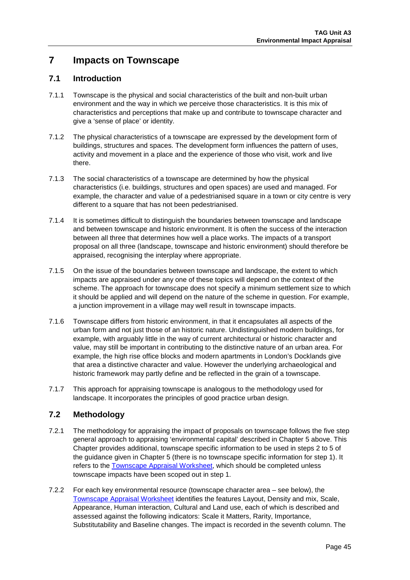# **7 Impacts on Townscape**

## **7.1 Introduction**

- 7.1.1 Townscape is the physical and social characteristics of the built and non-built urban environment and the way in which we perceive those characteristics. It is this mix of characteristics and perceptions that make up and contribute to townscape character and give a 'sense of place' or identity.
- 7.1.2 The physical characteristics of a townscape are expressed by the development form of buildings, structures and spaces. The development form influences the pattern of uses, activity and movement in a place and the experience of those who visit, work and live there.
- 7.1.3 The social characteristics of a townscape are determined by how the physical characteristics (i.e. buildings, structures and open spaces) are used and managed. For example, the character and value of a pedestrianised square in a town or city centre is very different to a square that has not been pedestrianised.
- 7.1.4 It is sometimes difficult to distinguish the boundaries between townscape and landscape and between townscape and historic environment. It is often the success of the interaction between all three that determines how well a place works. The impacts of a transport proposal on all three (landscape, townscape and historic environment) should therefore be appraised, recognising the interplay where appropriate.
- 7.1.5 On the issue of the boundaries between townscape and landscape, the extent to which impacts are appraised under any one of these topics will depend on the context of the scheme. The approach for townscape does not specify a minimum settlement size to which it should be applied and will depend on the nature of the scheme in question. For example, a junction improvement in a village may well result in townscape impacts.
- 7.1.6 Townscape differs from historic environment, in that it encapsulates all aspects of the urban form and not just those of an historic nature. Undistinguished modern buildings, for example, with arguably little in the way of current architectural or historic character and value, may still be important in contributing to the distinctive nature of an urban area. For example, the high rise office blocks and modern apartments in London's Docklands give that area a distinctive character and value. However the underlying archaeological and historic framework may partly define and be reflected in the grain of a townscape.
- 7.1.7 This approach for appraising townscape is analogous to the methodology used for landscape. It incorporates the principles of good practice urban design.

## **7.2 Methodology**

- 7.2.1 The methodology for appraising the impact of proposals on townscape follows the five step general approach to appraising 'environmental capital' described in Chapter 5 above. This Chapter provides additional, townscape specific information to be used in steps 2 to 5 of the guidance given in Chapter [5](#page-31-1) (there is no townscape specific information for step 1). It refers to the [Townscape Appraisal Worksheet,](https://www.gov.uk/transport-analysis-guidance-webtag#appraisal-worksheets) which should be completed unless townscape impacts have been scoped out in step 1.
- 7.2.2 For each key environmental resource (townscape character area see below), the [Townscape Appraisal Worksheet](https://www.gov.uk/transport-analysis-guidance-webtag#appraisal-worksheets) identifies the features Layout, Density and mix, Scale, Appearance, Human interaction, Cultural and Land use, each of which is described and assessed against the following indicators: Scale it Matters, Rarity, Importance, Substitutability and Baseline changes. The impact is recorded in the seventh column. The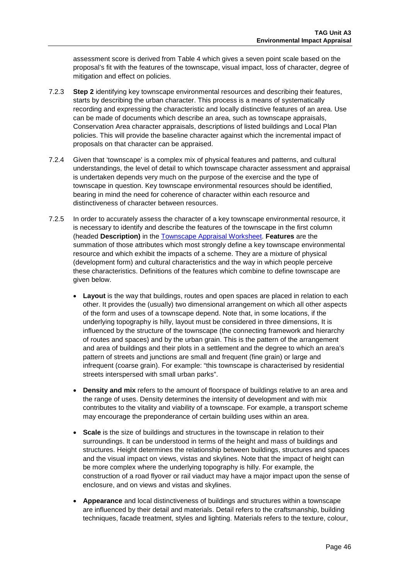assessment score is derived from [Table 4](#page-50-0) which gives a seven point scale based on the proposal's fit with the features of the townscape, visual impact, loss of character, degree of mitigation and effect on policies.

- 7.2.3 **Step 2** identifying key townscape environmental resources and describing their features, starts by describing the urban character. This process is a means of systematically recording and expressing the characteristic and locally distinctive features of an area. Use can be made of documents which describe an area, such as townscape appraisals, Conservation Area character appraisals, descriptions of listed buildings and Local Plan policies. This will provide the baseline character against which the incremental impact of proposals on that character can be appraised.
- 7.2.4 Given that 'townscape' is a complex mix of physical features and patterns, and cultural understandings, the level of detail to which townscape character assessment and appraisal is undertaken depends very much on the purpose of the exercise and the type of townscape in question. Key townscape environmental resources should be identified, bearing in mind the need for coherence of character within each resource and distinctiveness of character between resources.
- 7.2.5 In order to accurately assess the character of a key townscape environmental resource, it is necessary to identify and describe the features of the townscape in the first column (headed **Description)** in the [Townscape Appraisal Worksheet.](https://www.gov.uk/transport-analysis-guidance-webtag#appraisal-worksheets) **Features** are the summation of those attributes which most strongly define a key townscape environmental resource and which exhibit the impacts of a scheme. They are a mixture of physical (development form) and cultural characteristics and the way in which people perceive these characteristics. Definitions of the features which combine to define townscape are given below.
	- **Layout** is the way that buildings, routes and open spaces are placed in relation to each other. It provides the (usually) two dimensional arrangement on which all other aspects of the form and uses of a townscape depend. Note that, in some locations, if the underlying topography is hilly, layout must be considered in three dimensions, It is influenced by the structure of the townscape (the connecting framework and hierarchy of routes and spaces) and by the urban grain. This is the pattern of the arrangement and area of buildings and their plots in a settlement and the degree to which an area's pattern of streets and junctions are small and frequent (fine grain) or large and infrequent (coarse grain). For example: "this townscape is characterised by residential streets interspersed with small urban parks".
	- **Density and mix** refers to the amount of floorspace of buildings relative to an area and the range of uses. Density determines the intensity of development and with mix contributes to the vitality and viability of a townscape. For example, a transport scheme may encourage the preponderance of certain building uses within an area.
	- **Scale** is the size of buildings and structures in the townscape in relation to their surroundings. It can be understood in terms of the height and mass of buildings and structures. Height determines the relationship between buildings, structures and spaces and the visual impact on views, vistas and skylines. Note that the impact of height can be more complex where the underlying topography is hilly. For example, the construction of a road flyover or rail viaduct may have a major impact upon the sense of enclosure, and on views and vistas and skylines.
	- **Appearance** and local distinctiveness of buildings and structures within a townscape are influenced by their detail and materials. Detail refers to the craftsmanship, building techniques, facade treatment, styles and lighting. Materials refers to the texture, colour,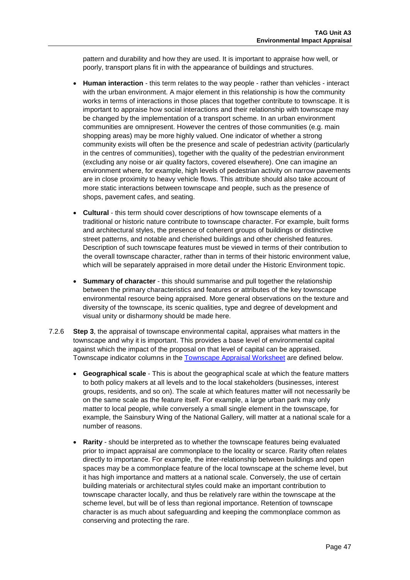pattern and durability and how they are used. It is important to appraise how well, or poorly, transport plans fit in with the appearance of buildings and structures.

- **Human interaction** this term relates to the way people rather than vehicles interact with the urban environment. A major element in this relationship is how the community works in terms of interactions in those places that together contribute to townscape. It is important to appraise how social interactions and their relationship with townscape may be changed by the implementation of a transport scheme. In an urban environment communities are omnipresent. However the centres of those communities (e.g. main shopping areas) may be more highly valued. One indicator of whether a strong community exists will often be the presence and scale of pedestrian activity (particularly in the centres of communities), together with the quality of the pedestrian environment (excluding any noise or air quality factors, covered elsewhere). One can imagine an environment where, for example, high levels of pedestrian activity on narrow pavements are in close proximity to heavy vehicle flows. This attribute should also take account of more static interactions between townscape and people, such as the presence of shops, pavement cafes, and seating.
- **Cultural** this term should cover descriptions of how townscape elements of a traditional or historic nature contribute to townscape character. For example, built forms and architectural styles, the presence of coherent groups of buildings or distinctive street patterns, and notable and cherished buildings and other cherished features. Description of such townscape features must be viewed in terms of their contribution to the overall townscape character, rather than in terms of their historic environment value, which will be separately appraised in more detail under the Historic Environment topic.
- **Summary of character** this should summarise and pull together the relationship between the primary characteristics and features or attributes of the key townscape environmental resource being appraised. More general observations on the texture and diversity of the townscape, its scenic qualities, type and degree of development and visual unity or disharmony should be made here.
- 7.2.6 **Step 3**, the appraisal of townscape environmental capital, appraises what matters in the townscape and why it is important. This provides a base level of environmental capital against which the impact of the proposal on that level of capital can be appraised. Townscape indicator columns in the [Townscape Appraisal Worksheet](https://www.gov.uk/transport-analysis-guidance-webtag#appraisal-worksheets) are defined below.
	- **Geographical scale** This is about the geographical scale at which the feature matters to both policy makers at all levels and to the local stakeholders (businesses, interest groups, residents, and so on). The scale at which features matter will not necessarily be on the same scale as the feature itself. For example, a large urban park may only matter to local people, while conversely a small single element in the townscape, for example, the Sainsbury Wing of the National Gallery, will matter at a national scale for a number of reasons.
	- **Rarity**  should be interpreted as to whether the townscape features being evaluated prior to impact appraisal are commonplace to the locality or scarce. Rarity often relates directly to importance. For example, the inter-relationship between buildings and open spaces may be a commonplace feature of the local townscape at the scheme level, but it has high importance and matters at a national scale. Conversely, the use of certain building materials or architectural styles could make an important contribution to townscape character locally, and thus be relatively rare within the townscape at the scheme level, but will be of less than regional importance. Retention of townscape character is as much about safeguarding and keeping the commonplace common as conserving and protecting the rare.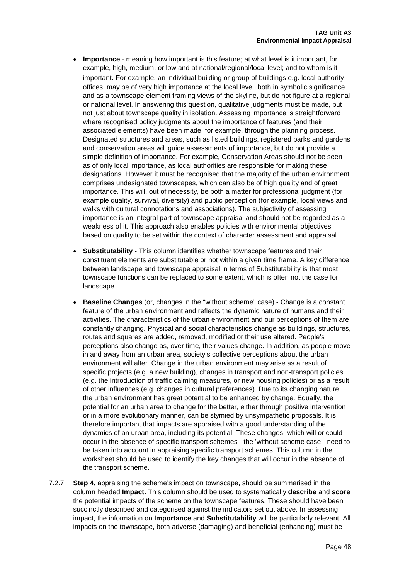- **Importance** meaning how important is this feature; at what level is it important, for example, high, medium, or low and at national/regional/local level; and to whom is it important. For example, an individual building or group of buildings e.g. local authority offices, may be of very high importance at the local level, both in symbolic significance and as a townscape element framing views of the skyline, but do not figure at a regional or national level. In answering this question, qualitative judgments must be made, but not just about townscape quality in isolation. Assessing importance is straightforward where recognised policy judgments about the importance of features (and their associated elements) have been made, for example, through the planning process. Designated structures and areas, such as listed buildings, registered parks and gardens and conservation areas will guide assessments of importance, but do not provide a simple definition of importance. For example, Conservation Areas should not be seen as of only local importance, as local authorities are responsible for making these designations. However it must be recognised that the majority of the urban environment comprises undesignated townscapes, which can also be of high quality and of great importance. This will, out of necessity, be both a matter for professional judgment (for example quality, survival, diversity) and public perception (for example, local views and walks with cultural connotations and associations). The subjectivity of assessing importance is an integral part of townscape appraisal and should not be regarded as a weakness of it. This approach also enables policies with environmental objectives based on quality to be set within the context of character assessment and appraisal.
- **Substitutability** This column identifies whether townscape features and their constituent elements are substitutable or not within a given time frame. A key difference between landscape and townscape appraisal in terms of Substitutability is that most townscape functions can be replaced to some extent, which is often not the case for landscape.
- **Baseline Changes** (or, changes in the "without scheme" case) Change is a constant feature of the urban environment and reflects the dynamic nature of humans and their activities. The characteristics of the urban environment and our perceptions of them are constantly changing. Physical and social characteristics change as buildings, structures, routes and squares are added, removed, modified or their use altered. People's perceptions also change as, over time, their values change. In addition, as people move in and away from an urban area, society's collective perceptions about the urban environment will alter. Change in the urban environment may arise as a result of specific projects (e.g. a new building), changes in transport and non-transport policies (e.g. the introduction of traffic calming measures, or new housing policies) or as a result of other influences (e.g. changes in cultural preferences). Due to its changing nature, the urban environment has great potential to be enhanced by change. Equally, the potential for an urban area to change for the better, either through positive intervention or in a more evolutionary manner, can be stymied by unsympathetic proposals. It is therefore important that impacts are appraised with a good understanding of the dynamics of an urban area, including its potential. These changes, which will or could occur in the absence of specific transport schemes - the 'without scheme case - need to be taken into account in appraising specific transport schemes. This column in the worksheet should be used to identify the key changes that will occur in the absence of the transport scheme.
- 7.2.7 **Step 4,** appraising the scheme's impact on townscape, should be summarised in the column headed **Impact.** This column should be used to systematically **describe** and **score**  the potential impacts of the scheme on the townscape features. These should have been succinctly described and categorised against the indicators set out above. In assessing impact, the information on **Importance** and **Substitutability** will be particularly relevant. All impacts on the townscape, both adverse (damaging) and beneficial (enhancing) must be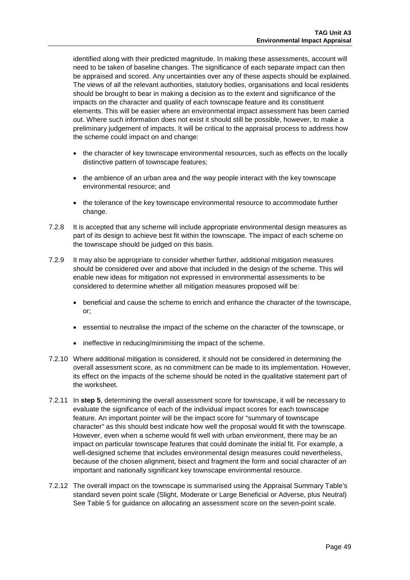identified along with their predicted magnitude. In making these assessments, account will need to be taken of baseline changes. The significance of each separate impact can then be appraised and scored. Any uncertainties over any of these aspects should be explained. The views of all the relevant authorities, statutory bodies, organisations and local residents should be brought to bear in making a decision as to the extent and significance of the impacts on the character and quality of each townscape feature and its constituent elements. This will be easier where an environmental impact assessment has been carried out. Where such information does not exist it should still be possible, however, to make a preliminary judgement of impacts. It will be critical to the appraisal process to address how the scheme could impact on and change:

- the character of key townscape environmental resources, such as effects on the locally distinctive pattern of townscape features;
- the ambience of an urban area and the way people interact with the key townscape environmental resource; and
- the tolerance of the key townscape environmental resource to accommodate further change.
- 7.2.8 It is accepted that any scheme will include appropriate environmental design measures as part of its design to achieve best fit within the townscape. The impact of each scheme on the townscape should be judged on this basis.
- 7.2.9 It may also be appropriate to consider whether further, additional mitigation measures should be considered over and above that included in the design of the scheme. This will enable new ideas for mitigation not expressed in environmental assessments to be considered to determine whether all mitigation measures proposed will be:
	- beneficial and cause the scheme to enrich and enhance the character of the townscape, or;
	- essential to neutralise the impact of the scheme on the character of the townscape, or
	- ineffective in reducing/minimising the impact of the scheme.
- 7.2.10 Where additional mitigation is considered, it should not be considered in determining the overall assessment score, as no commitment can be made to its implementation. However, its effect on the impacts of the scheme should be noted in the qualitative statement part of the worksheet.
- 7.2.11 In **step 5**, determining the overall assessment score for townscape, it will be necessary to evaluate the significance of each of the individual impact scores for each townscape feature. An important pointer will be the impact score for "summary of townscape character" as this should best indicate how well the proposal would fit with the townscape. However, even when a scheme would fit well with urban environment, there may be an impact on particular townscape features that could dominate the initial fit. For example, a well-designed scheme that includes environmental design measures could nevertheless, because of the chosen alignment, bisect and fragment the form and social character of an important and nationally significant key townscape environmental resource.
- 7.2.12 The overall impact on the townscape is summarised using the Appraisal Summary Table's standard seven point scale (Slight, Moderate or Large Beneficial or Adverse, plus Neutral) See [Table 5](#page-50-0) for guidance on allocating an assessment score on the seven-point scale.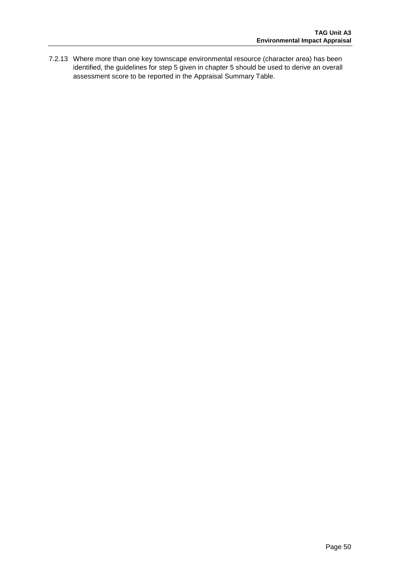7.2.13 Where more than one key townscape environmental resource (character area) has been identified, the guidelines for step 5 given in chapter [5](#page-31-1) should be used to derive an overall assessment score to be reported in the Appraisal Summary Table.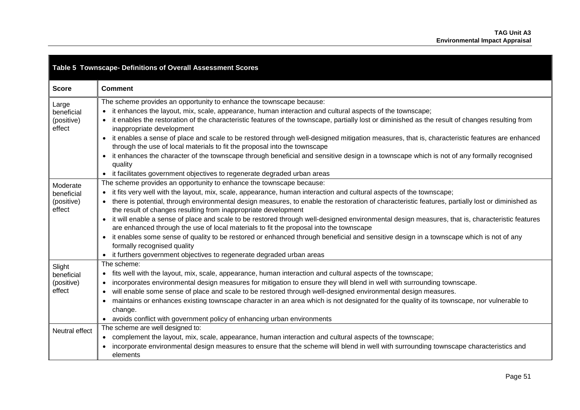<span id="page-50-0"></span>

| Table 5 Townscape- Definitions of Overall Assessment Scores |                                                                                                                                                                                                                                                                                                                                                                                                                                                                                                                                                                                                                                                                                                                                                                                                                                                                                                                      |  |  |  |
|-------------------------------------------------------------|----------------------------------------------------------------------------------------------------------------------------------------------------------------------------------------------------------------------------------------------------------------------------------------------------------------------------------------------------------------------------------------------------------------------------------------------------------------------------------------------------------------------------------------------------------------------------------------------------------------------------------------------------------------------------------------------------------------------------------------------------------------------------------------------------------------------------------------------------------------------------------------------------------------------|--|--|--|
| <b>Score</b>                                                | <b>Comment</b>                                                                                                                                                                                                                                                                                                                                                                                                                                                                                                                                                                                                                                                                                                                                                                                                                                                                                                       |  |  |  |
| Large<br>beneficial<br>(positive)<br>effect                 | The scheme provides an opportunity to enhance the townscape because:<br>• it enhances the layout, mix, scale, appearance, human interaction and cultural aspects of the townscape;<br>it enables the restoration of the characteristic features of the townscape, partially lost or diminished as the result of changes resulting from<br>inappropriate development<br>it enables a sense of place and scale to be restored through well-designed mitigation measures, that is, characteristic features are enhanced<br>through the use of local materials to fit the proposal into the townscape<br>• it enhances the character of the townscape through beneficial and sensitive design in a townscape which is not of any formally recognised<br>quality<br>• it facilitates government objectives to regenerate degraded urban areas                                                                             |  |  |  |
| Moderate<br>beneficial<br>(positive)<br>effect              | The scheme provides an opportunity to enhance the townscape because:<br>• it fits very well with the layout, mix, scale, appearance, human interaction and cultural aspects of the townscape;<br>there is potential, through environmental design measures, to enable the restoration of characteristic features, partially lost or diminished as<br>the result of changes resulting from inappropriate development<br>it will enable a sense of place and scale to be restored through well-designed environmental design measures, that is, characteristic features<br>are enhanced through the use of local materials to fit the proposal into the townscape<br>• it enables some sense of quality to be restored or enhanced through beneficial and sensitive design in a townscape which is not of any<br>formally recognised quality<br>• it furthers government objectives to regenerate degraded urban areas |  |  |  |
| Slight<br>beneficial<br>(positive)<br>effect                | The scheme:<br>• fits well with the layout, mix, scale, appearance, human interaction and cultural aspects of the townscape;<br>incorporates environmental design measures for mitigation to ensure they will blend in well with surrounding townscape.<br>$\bullet$<br>will enable some sense of place and scale to be restored through well-designed environmental design measures.<br>maintains or enhances existing townscape character in an area which is not designated for the quality of its townscape, nor vulnerable to<br>change.<br>• avoids conflict with government policy of enhancing urban environments                                                                                                                                                                                                                                                                                            |  |  |  |
| Neutral effect                                              | The scheme are well designed to:<br>• complement the layout, mix, scale, appearance, human interaction and cultural aspects of the townscape;<br>incorporate environmental design measures to ensure that the scheme will blend in well with surrounding townscape characteristics and<br>elements                                                                                                                                                                                                                                                                                                                                                                                                                                                                                                                                                                                                                   |  |  |  |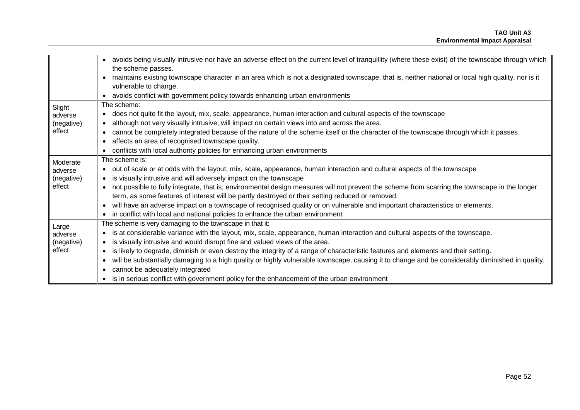|            | avoids being visually intrusive nor have an adverse effect on the current level of tranquillity (where these exist) of the townscape through which<br>$\bullet$ |  |  |  |
|------------|-----------------------------------------------------------------------------------------------------------------------------------------------------------------|--|--|--|
|            | the scheme passes.                                                                                                                                              |  |  |  |
|            | maintains existing townscape character in an area which is not a designated townscape, that is, neither national or local high quality, nor is it               |  |  |  |
|            | vulnerable to change.                                                                                                                                           |  |  |  |
|            | • avoids conflict with government policy towards enhancing urban environments                                                                                   |  |  |  |
| Slight     | The scheme:                                                                                                                                                     |  |  |  |
| adverse    | • does not quite fit the layout, mix, scale, appearance, human interaction and cultural aspects of the townscape                                                |  |  |  |
| (negative) | although not very visually intrusive, will impact on certain views into and across the area.<br>$\bullet$                                                       |  |  |  |
| effect     | cannot be completely integrated because of the nature of the scheme itself or the character of the townscape through which it passes.                           |  |  |  |
|            | affects an area of recognised townscape quality.                                                                                                                |  |  |  |
|            | conflicts with local authority policies for enhancing urban environments                                                                                        |  |  |  |
| Moderate   | The scheme is:                                                                                                                                                  |  |  |  |
| adverse    | • out of scale or at odds with the layout, mix, scale, appearance, human interaction and cultural aspects of the townscape                                      |  |  |  |
| (negative) | is visually intrusive and will adversely impact on the townscape<br>$\bullet$                                                                                   |  |  |  |
| effect     | not possible to fully integrate, that is, environmental design measures will not prevent the scheme from scarring the townscape in the longer                   |  |  |  |
|            | term, as some features of interest will be partly destroyed or their setting reduced or removed.                                                                |  |  |  |
|            | will have an adverse impact on a townscape of recognised quality or on vulnerable and important characteristics or elements.                                    |  |  |  |
|            | • in conflict with local and national policies to enhance the urban environment                                                                                 |  |  |  |
| Large      | The scheme is very damaging to the townscape in that it:                                                                                                        |  |  |  |
| adverse    | is at considerable variance with the layout, mix, scale, appearance, human interaction and cultural aspects of the townscape.                                   |  |  |  |
| (negative) | is visually intrusive and would disrupt fine and valued views of the area.<br>$\bullet$                                                                         |  |  |  |
| effect     | is likely to degrade, diminish or even destroy the integrity of a range of characteristic features and elements and their setting.<br>$\bullet$                 |  |  |  |
|            | will be substantially damaging to a high quality or highly vulnerable townscape, causing it to change and be considerably diminished in quality.                |  |  |  |
|            | cannot be adequately integrated                                                                                                                                 |  |  |  |
|            | is in serious conflict with government policy for the enhancement of the urban environment                                                                      |  |  |  |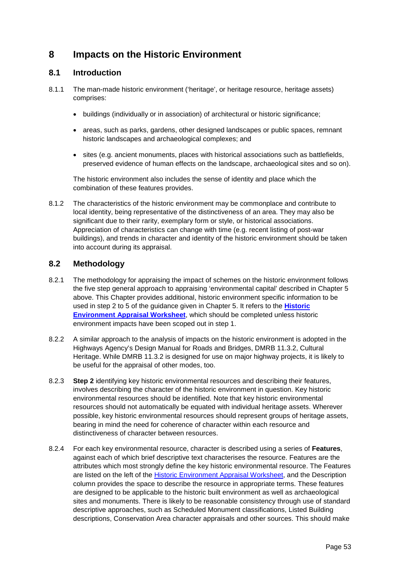# **8 Impacts on the Historic Environment**

## **8.1 Introduction**

- 8.1.1 The man-made historic environment ('heritage', or heritage resource, heritage assets) comprises:
	- buildings (individually or in association) of architectural or historic significance;
	- areas, such as parks, gardens, other designed landscapes or public spaces, remnant historic landscapes and archaeological complexes; and
	- sites (e.g. ancient monuments, places with historical associations such as battlefields, preserved evidence of human effects on the landscape, archaeological sites and so on).

The historic environment also includes the sense of identity and place which the combination of these features provides.

8.1.2 The characteristics of the historic environment may be commonplace and contribute to local identity, being representative of the distinctiveness of an area. They may also be significant due to their rarity, exemplary form or style, or historical associations. Appreciation of characteristics can change with time (e.g. recent listing of post-war buildings), and trends in character and identity of the historic environment should be taken into account during its appraisal.

## **8.2 Methodology**

- 8.2.1 The methodology for appraising the impact of schemes on the historic environment follows the five step general approach to appraising 'environmental capital' described in Chapter 5 above. This Chapter provides additional, historic environment specific information to be used in step 2 to 5 of the guidance given in Chapter [5.](#page-31-1) It refers to the **[Historic](https://www.gov.uk/transport-analysis-guidance-webtag#appraisal-worksheets)  [Environment Appraisal Worksheet](https://www.gov.uk/transport-analysis-guidance-webtag#appraisal-worksheets)**, which should be completed unless historic environment impacts have been scoped out in step 1.
- 8.2.2 A similar approach to the analysis of impacts on the historic environment is adopted in the Highways Agency's Design Manual for Roads and Bridges, DMRB 11.3.2, Cultural Heritage. While DMRB 11.3.2 is designed for use on major highway projects, it is likely to be useful for the appraisal of other modes, too.
- 8.2.3 **Step 2** identifying key historic environmental resources and describing their features, involves describing the character of the historic environment in question. Key historic environmental resources should be identified. Note that key historic environmental resources should not automatically be equated with individual heritage assets. Wherever possible, key historic environmental resources should represent groups of heritage assets, bearing in mind the need for coherence of character within each resource and distinctiveness of character between resources.
- 8.2.4 For each key environmental resource, character is described using a series of **Features**, against each of which brief descriptive text characterises the resource. Features are the attributes which most strongly define the key historic environmental resource. The Features are listed on the left of the **Historic Environment Appraisal Worksheet**, and the Description column provides the space to describe the resource in appropriate terms. These features are designed to be applicable to the historic built environment as well as archaeological sites and monuments. There is likely to be reasonable consistency through use of standard descriptive approaches, such as Scheduled Monument classifications, Listed Building descriptions, Conservation Area character appraisals and other sources. This should make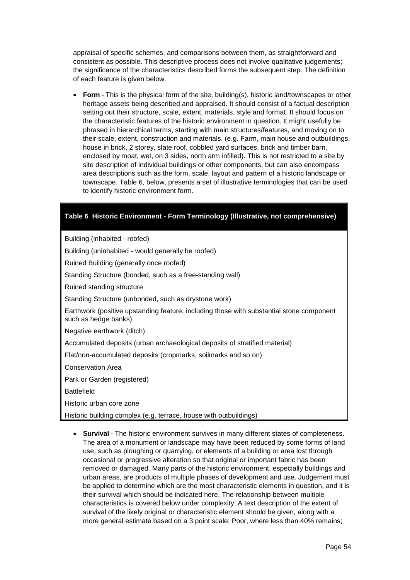appraisal of specific schemes, and comparisons between them, as straightforward and consistent as possible. This descriptive process does not involve qualitative judgements; the significance of the characteristics described forms the subsequent step. The definition of each feature is given below.

• **Form** - This is the physical form of the site, building(s), historic land/townscapes or other heritage assets being described and appraised. It should consist of a factual description setting out their structure, scale, extent, materials, style and format. It should focus on the characteristic features of the historic environment in question. It might usefully be phrased in hierarchical terms, starting with main structures/features, and moving on to their scale, extent, construction and materials. (e.g. Farm, main house and outbuildings, house in brick, 2 storey, slate roof, cobbled yard surfaces, brick and timber barn, enclosed by moat, wet, on 3 sides, north arm infilled). This is not restricted to a site by site description of individual buildings or other components, but can also encompass area descriptions such as the form, scale, layout and pattern of a historic landscape or townscape. [Table 6,](#page-53-0) below, presents a set of illustrative terminologies that can be used to identify historic environment form.

### <span id="page-53-0"></span>**Table 6 Historic Environment - Form Terminology (Illustrative, not comprehensive)**

Building (inhabited - roofed)

Building (uninhabited - would generally be roofed)

Ruined Building (generally once roofed)

Standing Structure (bonded, such as a free-standing wall)

Ruined standing structure

Standing Structure (unbonded, such as drystone work)

Earthwork (positive upstanding feature, including those with substantial stone component such as hedge banks)

Negative earthwork (ditch)

Accumulated deposits (urban archaeological deposits of stratified material)

Flat/non-accumulated deposits (cropmarks, soilmarks and so on)

Conservation Area

Park or Garden (registered)

Battlefield

Historic urban core zone

Historic building complex (e.g. terrace, house with outbuildings)

• **Survival** - The historic environment survives in many different states of completeness. The area of a monument or landscape may have been reduced by some forms of land use, such as ploughing or quarrying, or elements of a building or area lost through occasional or progressive alteration so that original or important fabric has been removed or damaged. Many parts of the historic environment, especially buildings and urban areas, are products of multiple phases of development and use. Judgement must be applied to determine which are the most characteristic elements in question, and it is their survival which should be indicated here. The relationship between multiple characteristics is covered below under complexity. A text description of the extent of survival of the likely original or characteristic element should be given, along with a more general estimate based on a 3 point scale: Poor, where less than 40% remains;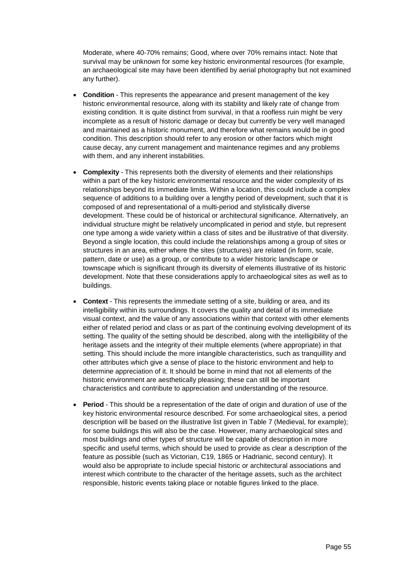Moderate, where 40-70% remains; Good, where over 70% remains intact. Note that survival may be unknown for some key historic environmental resources (for example, an archaeological site may have been identified by aerial photography but not examined any further).

- **Condition** This represents the appearance and present management of the key historic environmental resource, along with its stability and likely rate of change from existing condition. It is quite distinct from survival, in that a roofless ruin might be very incomplete as a result of historic damage or decay but currently be very well managed and maintained as a historic monument, and therefore what remains would be in good condition. This description should refer to any erosion or other factors which might cause decay, any current management and maintenance regimes and any problems with them, and any inherent instabilities.
- **Complexity**  This represents both the diversity of elements and their relationships within a part of the key historic environmental resource and the wider complexity of its relationships beyond its immediate limits. Within a location, this could include a complex sequence of additions to a building over a lengthy period of development, such that it is composed of and representational of a multi-period and stylistically diverse development. These could be of historical or architectural significance. Alternatively, an individual structure might be relatively uncomplicated in period and style, but represent one type among a wide variety within a class of sites and be illustrative of that diversity. Beyond a single location, this could include the relationships among a group of sites or structures in an area, either where the sites (structures) are related (in form, scale, pattern, date or use) as a group, or contribute to a wider historic landscape or townscape which is significant through its diversity of elements illustrative of its historic development. Note that these considerations apply to archaeological sites as well as to buildings.
- **Context**  This represents the immediate setting of a site, building or area, and its intelligibility within its surroundings. It covers the quality and detail of its immediate visual context, and the value of any associations within that context with other elements either of related period and class or as part of the continuing evolving development of its setting. The quality of the setting should be described, along with the intelligibility of the heritage assets and the integrity of their multiple elements (where appropriate) in that setting. This should include the more intangible characteristics, such as tranquillity and other attributes which give a sense of place to the historic environment and help to determine appreciation of it. It should be borne in mind that not all elements of the historic environment are aesthetically pleasing; these can still be important characteristics and contribute to appreciation and understanding of the resource.
- **Period**  This should be a representation of the date of origin and duration of use of the key historic environmental resource described. For some archaeological sites, a period description will be based on the illustrative list given in [Table 7](#page-55-0) (Medieval, for example); for some buildings this will also be the case. However, many archaeological sites and most buildings and other types of structure will be capable of description in more specific and useful terms, which should be used to provide as clear a description of the feature as possible (such as Victorian, C19, 1865 or Hadrianic, second century). It would also be appropriate to include special historic or architectural associations and interest which contribute to the character of the heritage assets, such as the architect responsible, historic events taking place or notable figures linked to the place.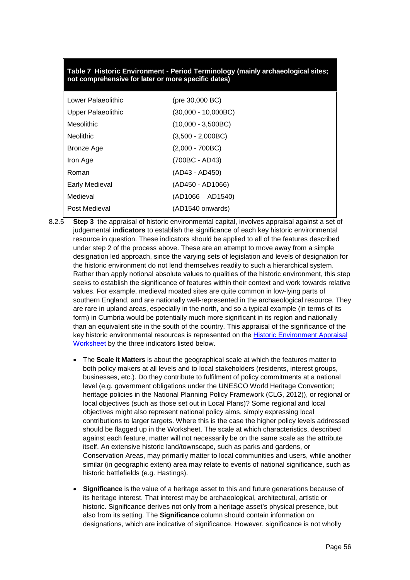### <span id="page-55-0"></span>**Table 7 Historic Environment - Period Terminology (mainly archaeological sites; not comprehensive for later or more specific dates)**

| Lower Palaeolithic |                           | (pre 30,000 BC)      |
|--------------------|---------------------------|----------------------|
|                    | <b>Upper Palaeolithic</b> | (30,000 - 10,000BC)  |
|                    | Mesolithic                | $(10,000 - 3,500BC)$ |
|                    | <b>Neolithic</b>          | $(3,500 - 2,000BC)$  |
|                    | Bronze Age                | $(2,000 - 700BC)$    |
|                    | Iron Age                  | (700BC - AD43)       |
|                    | Roman                     | (AD43 - AD450)       |
|                    | <b>Early Medieval</b>     | (AD450 - AD1066)     |
|                    | Medieval                  | $(AD1066 - AD1540)$  |
|                    | Post Medieval             | (AD1540 onwards)     |
|                    |                           |                      |

- 8.2.5 **Step 3** the appraisal of historic environmental capital, involves appraisal against a set of judgemental **indicators** to establish the significance of each key historic environmental resource in question. These indicators should be applied to all of the features described under step 2 of the process above. These are an attempt to move away from a simple designation led approach, since the varying sets of legislation and levels of designation for the historic environment do not lend themselves readily to such a hierarchical system. Rather than apply notional absolute values to qualities of the historic environment, this step seeks to establish the significance of features within their context and work towards relative values. For example, medieval moated sites are quite common in low-lying parts of southern England, and are nationally well-represented in the archaeological resource. They are rare in upland areas, especially in the north, and so a typical example (in terms of its form) in Cumbria would be potentially much more significant in its region and nationally than an equivalent site in the south of the country. This appraisal of the significance of the key historic environmental resources is represented on the [Historic Environment Appraisal](https://www.gov.uk/transport-analysis-guidance-webtag#appraisal-worksheets)  [Worksheet](https://www.gov.uk/transport-analysis-guidance-webtag#appraisal-worksheets) by the three indicators listed below.
	- The **Scale it Matters** is about the geographical scale at which the features matter to both policy makers at all levels and to local stakeholders (residents, interest groups, businesses, etc.). Do they contribute to fulfilment of policy commitments at a national level (e.g. government obligations under the UNESCO World Heritage Convention; heritage policies in the National Planning Policy Framework (CLG, 2012)), or regional or local objectives (such as those set out in Local Plans)? Some regional and local objectives might also represent national policy aims, simply expressing local contributions to larger targets. Where this is the case the higher policy levels addressed should be flagged up in the Worksheet. The scale at which characteristics, described against each feature, matter will not necessarily be on the same scale as the attribute itself. An extensive historic land/townscape, such as parks and gardens, or Conservation Areas, may primarily matter to local communities and users, while another similar (in geographic extent) area may relate to events of national significance, such as historic battlefields (e.g. Hastings).
	- **Significance** is the value of a heritage asset to this and future generations because of its heritage interest. That interest may be archaeological, architectural, artistic or historic. Significance derives not only from a heritage asset's physical presence, but also from its setting. The **Significance** column should contain information on designations, which are indicative of significance. However, significance is not wholly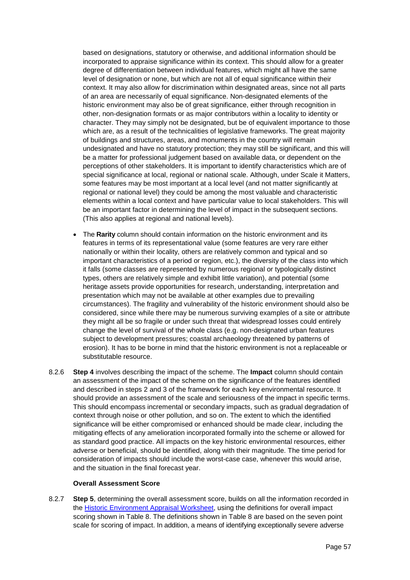based on designations, statutory or otherwise, and additional information should be incorporated to appraise significance within its context. This should allow for a greater degree of differentiation between individual features, which might all have the same level of designation or none, but which are not all of equal significance within their context. It may also allow for discrimination within designated areas, since not all parts of an area are necessarily of equal significance. Non-designated elements of the historic environment may also be of great significance, either through recognition in other, non-designation formats or as major contributors within a locality to identity or character. They may simply not be designated, but be of equivalent importance to those which are, as a result of the technicalities of legislative frameworks. The great majority of buildings and structures, areas, and monuments in the country will remain undesignated and have no statutory protection; they may still be significant, and this will be a matter for professional judgement based on available data, or dependent on the perceptions of other stakeholders. It is important to identify characteristics which are of special significance at local, regional or national scale. Although, under Scale it Matters, some features may be most important at a local level (and not matter significantly at regional or national level) they could be among the most valuable and characteristic elements within a local context and have particular value to local stakeholders. This will be an important factor in determining the level of impact in the subsequent sections. (This also applies at regional and national levels).

- The **Rarity** column should contain information on the historic environment and its features in terms of its representational value (some features are very rare either nationally or within their locality, others are relatively common and typical and so important characteristics of a period or region, etc.), the diversity of the class into which it falls (some classes are represented by numerous regional or typologically distinct types, others are relatively simple and exhibit little variation), and potential (some heritage assets provide opportunities for research, understanding, interpretation and presentation which may not be available at other examples due to prevailing circumstances). The fragility and vulnerability of the historic environment should also be considered, since while there may be numerous surviving examples of a site or attribute they might all be so fragile or under such threat that widespread losses could entirely change the level of survival of the whole class (e.g. non-designated urban features subject to development pressures; coastal archaeology threatened by patterns of erosion). It has to be borne in mind that the historic environment is not a replaceable or substitutable resource.
- 8.2.6 **Step 4** involves describing the impact of the scheme. The **Impact** column should contain an assessment of the impact of the scheme on the significance of the features identified and described in steps 2 and 3 of the framework for each key environmental resource. It should provide an assessment of the scale and seriousness of the impact in specific terms. This should encompass incremental or secondary impacts, such as gradual degradation of context through noise or other pollution, and so on. The extent to which the identified significance will be either compromised or enhanced should be made clear, including the mitigating effects of any amelioration incorporated formally into the scheme or allowed for as standard good practice. All impacts on the key historic environmental resources, either adverse or beneficial, should be identified, along with their magnitude. The time period for consideration of impacts should include the worst-case case, whenever this would arise, and the situation in the final forecast year.

#### **Overall Assessment Score**

8.2.7 **Step 5**, determining the overall assessment score, builds on all the information recorded in the [Historic Environment Appraisal Worksheet,](https://www.gov.uk/transport-analysis-guidance-webtag#appraisal-worksheets) using the definitions for overall impact scoring shown in [Table 8.](#page-58-0) The definitions shown in [Table 8](#page-58-0) are based on the seven point scale for scoring of impact. In addition, a means of identifying exceptionally severe adverse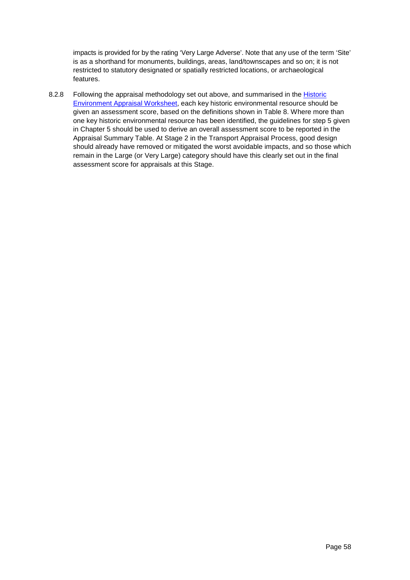impacts is provided for by the rating 'Very Large Adverse'. Note that any use of the term 'Site' is as a shorthand for monuments, buildings, areas, land/townscapes and so on; it is not restricted to statutory designated or spatially restricted locations, or archaeological features.

8.2.8 Following the appraisal methodology set out above, and summarised in the [Historic](https://www.gov.uk/transport-analysis-guidance-webtag#appraisal-worksheets)  [Environment Appraisal Worksheet,](https://www.gov.uk/transport-analysis-guidance-webtag#appraisal-worksheets) each key historic environmental resource should be given an assessment score, based on the definitions shown in [Table 8.](#page-58-0) Where more than one key historic environmental resource has been identified, the guidelines for step 5 given in Chapter 5 should be used to derive an overall assessment score to be reported in the Appraisal Summary Table. At Stage 2 in the Transport Appraisal Process, good design should already have removed or mitigated the worst avoidable impacts, and so those which remain in the Large (or Very Large) category should have this clearly set out in the final assessment score for appraisals at this Stage.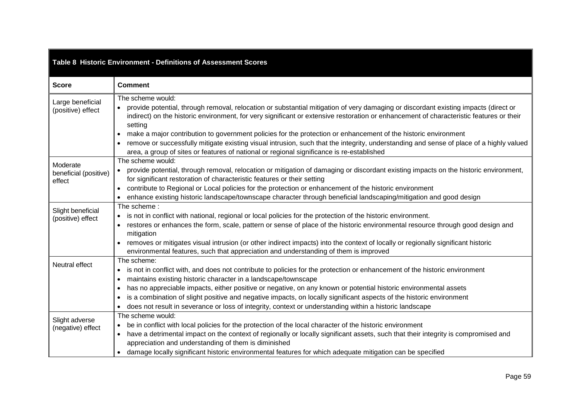<span id="page-58-0"></span>

| Table 8 Historic Environment - Definitions of Assessment Scores |                                                                                                                                                                                                                                                                                                                                                                                                                                                                                                                                                                                                                                                                                       |  |  |  |  |
|-----------------------------------------------------------------|---------------------------------------------------------------------------------------------------------------------------------------------------------------------------------------------------------------------------------------------------------------------------------------------------------------------------------------------------------------------------------------------------------------------------------------------------------------------------------------------------------------------------------------------------------------------------------------------------------------------------------------------------------------------------------------|--|--|--|--|
| <b>Score</b>                                                    | <b>Comment</b>                                                                                                                                                                                                                                                                                                                                                                                                                                                                                                                                                                                                                                                                        |  |  |  |  |
| Large beneficial<br>(positive) effect                           | The scheme would:<br>provide potential, through removal, relocation or substantial mitigation of very damaging or discordant existing impacts (direct or<br>indirect) on the historic environment, for very significant or extensive restoration or enhancement of characteristic features or their<br>setting<br>make a major contribution to government policies for the protection or enhancement of the historic environment<br>$\bullet$<br>remove or successfully mitigate existing visual intrusion, such that the integrity, understanding and sense of place of a highly valued<br>area, a group of sites or features of national or regional significance is re-established |  |  |  |  |
| Moderate<br>beneficial (positive)<br>effect                     | The scheme would:<br>provide potential, through removal, relocation or mitigation of damaging or discordant existing impacts on the historic environment,<br>$\bullet$<br>for significant restoration of characteristic features or their setting<br>contribute to Regional or Local policies for the protection or enhancement of the historic environment<br>enhance existing historic landscape/townscape character through beneficial landscaping/mitigation and good design                                                                                                                                                                                                      |  |  |  |  |
| Slight beneficial<br>(positive) effect                          | The scheme:<br>is not in conflict with national, regional or local policies for the protection of the historic environment.<br>restores or enhances the form, scale, pattern or sense of place of the historic environmental resource through good design and<br>mitigation<br>removes or mitigates visual intrusion (or other indirect impacts) into the context of locally or regionally significant historic<br>environmental features, such that appreciation and understanding of them is improved                                                                                                                                                                               |  |  |  |  |
| Neutral effect                                                  | The scheme:<br>is not in conflict with, and does not contribute to policies for the protection or enhancement of the historic environment<br>maintains existing historic character in a landscape/townscape<br>has no appreciable impacts, either positive or negative, on any known or potential historic environmental assets<br>$\bullet$<br>is a combination of slight positive and negative impacts, on locally significant aspects of the historic environment<br>does not result in severance or loss of integrity, context or understanding within a historic landscape                                                                                                       |  |  |  |  |
| Slight adverse<br>(negative) effect                             | The scheme would:<br>be in conflict with local policies for the protection of the local character of the historic environment<br>have a detrimental impact on the context of regionally or locally significant assets, such that their integrity is compromised and<br>$\bullet$<br>appreciation and understanding of them is diminished<br>• damage locally significant historic environmental features for which adequate mitigation can be specified                                                                                                                                                                                                                               |  |  |  |  |

Г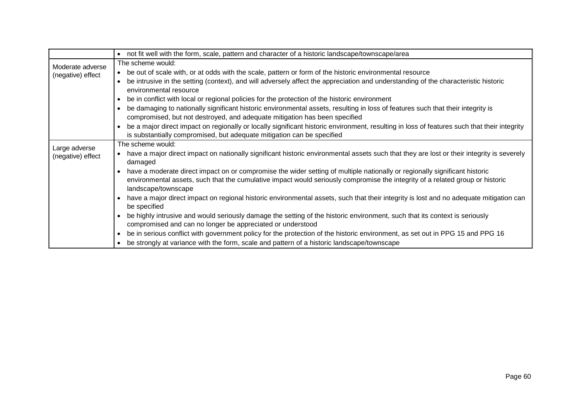|                   | • not fit well with the form, scale, pattern and character of a historic landscape/townscape/area                                                                                                                                                                                  |  |  |  |  |
|-------------------|------------------------------------------------------------------------------------------------------------------------------------------------------------------------------------------------------------------------------------------------------------------------------------|--|--|--|--|
| Moderate adverse  | The scheme would:                                                                                                                                                                                                                                                                  |  |  |  |  |
| (negative) effect | • be out of scale with, or at odds with the scale, pattern or form of the historic environmental resource                                                                                                                                                                          |  |  |  |  |
|                   | be intrusive in the setting (context), and will adversely affect the appreciation and understanding of the characteristic historic<br>environmental resource                                                                                                                       |  |  |  |  |
|                   | be in conflict with local or regional policies for the protection of the historic environment                                                                                                                                                                                      |  |  |  |  |
|                   | be damaging to nationally significant historic environmental assets, resulting in loss of features such that their integrity is<br>compromised, but not destroyed, and adequate mitigation has been specified                                                                      |  |  |  |  |
|                   | be a major direct impact on regionally or locally significant historic environment, resulting in loss of features such that their integrity<br>is substantially compromised, but adequate mitigation can be specified                                                              |  |  |  |  |
| Large adverse     | The scheme would:                                                                                                                                                                                                                                                                  |  |  |  |  |
| (negative) effect | • have a major direct impact on nationally significant historic environmental assets such that they are lost or their integrity is severely<br>damaged                                                                                                                             |  |  |  |  |
|                   | have a moderate direct impact on or compromise the wider setting of multiple nationally or regionally significant historic<br>environmental assets, such that the cumulative impact would seriously compromise the integrity of a related group or historic<br>landscape/townscape |  |  |  |  |
|                   | have a major direct impact on regional historic environmental assets, such that their integrity is lost and no adequate mitigation can<br>be specified                                                                                                                             |  |  |  |  |
|                   | be highly intrusive and would seriously damage the setting of the historic environment, such that its context is seriously<br>compromised and can no longer be appreciated or understood                                                                                           |  |  |  |  |
|                   | be in serious conflict with government policy for the protection of the historic environment, as set out in PPG 15 and PPG 16<br>$\bullet$                                                                                                                                         |  |  |  |  |
|                   | • be strongly at variance with the form, scale and pattern of a historic landscape/townscape                                                                                                                                                                                       |  |  |  |  |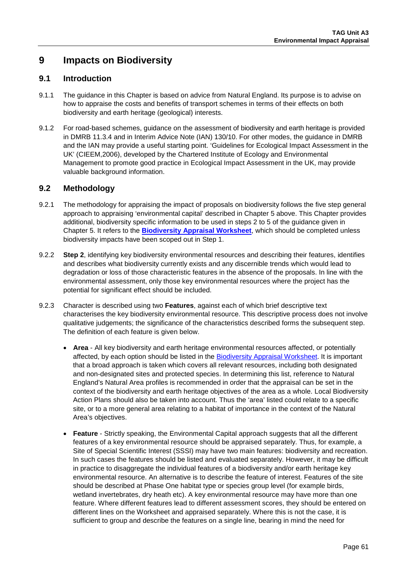# **9 Impacts on Biodiversity**

### **9.1 Introduction**

- 9.1.1 The guidance in this Chapter is based on advice from Natural England. Its purpose is to advise on how to appraise the costs and benefits of transport schemes in terms of their effects on both biodiversity and earth heritage (geological) interests.
- 9.1.2 For road-based schemes, guidance on the assessment of biodiversity and earth heritage is provided in DMRB 11.3.4 and in Interim Advice Note (IAN) 130/10. For other modes, the guidance in DMRB and the IAN may provide a useful starting point. 'Guidelines for Ecological Impact Assessment in the UK' (CIEEM,2006), developed by the Chartered Institute of Ecology and Environmental Management to promote good practice in Ecological Impact Assessment in the UK, may provide valuable background information.

## **9.2 Methodology**

- 9.2.1 The methodology for appraising the impact of proposals on biodiversity follows the five step general approach to appraising 'environmental capital' described in Chapter [5](#page-31-0) above. This Chapter provides additional, biodiversity specific information to be used in steps 2 to 5 of the guidance given in Chapter [5.](#page-31-0) It refers to the **[Biodiversity Appraisal Worksheet](https://www.gov.uk/transport-analysis-guidance-webtag#appraisal-worksheets)**, which should be completed unless biodiversity impacts have been scoped out in Step 1.
- 9.2.2 **Step 2**, identifying key biodiversity environmental resources and describing their features, identifies and describes what biodiversity currently exists and any discernible trends which would lead to degradation or loss of those characteristic features in the absence of the proposals. In line with the environmental assessment, only those key environmental resources where the project has the potential for significant effect should be included.
- 9.2.3 Character is described using two **Features**, against each of which brief descriptive text characterises the key biodiversity environmental resource. This descriptive process does not involve qualitative judgements; the significance of the characteristics described forms the subsequent step. The definition of each feature is given below.
	- **Area**  All key biodiversity and earth heritage environmental resources affected, or potentially affected, by each option should be listed in the [Biodiversity Appraisal Worksheet.](https://www.gov.uk/transport-analysis-guidance-webtag#appraisal-worksheets) It is important that a broad approach is taken which covers all relevant resources, including both designated and non-designated sites and protected species. In determining this list, reference to Natural England's Natural Area profiles is recommended in order that the appraisal can be set in the context of the biodiversity and earth heritage objectives of the area as a whole. Local Biodiversity Action Plans should also be taken into account. Thus the 'area' listed could relate to a specific site, or to a more general area relating to a habitat of importance in the context of the Natural Area's objectives.
	- **Feature** Strictly speaking, the Environmental Capital approach suggests that all the different features of a key environmental resource should be appraised separately. Thus, for example, a Site of Special Scientific Interest (SSSI) may have two main features: biodiversity and recreation. In such cases the features should be listed and evaluated separately. However, it may be difficult in practice to disaggregate the individual features of a biodiversity and/or earth heritage key environmental resource. An alternative is to describe the feature of interest. Features of the site should be described at Phase One habitat type or species group level (for example birds, wetland invertebrates, dry heath etc). A key environmental resource may have more than one feature. Where different features lead to different assessment scores, they should be entered on different lines on the Worksheet and appraised separately. Where this is not the case, it is sufficient to group and describe the features on a single line, bearing in mind the need for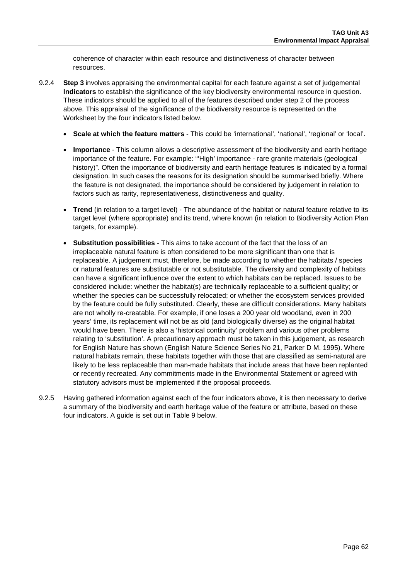coherence of character within each resource and distinctiveness of character between resources.

- 9.2.4 **Step 3** involves appraising the environmental capital for each feature against a set of judgemental **Indicators** to establish the significance of the key biodiversity environmental resource in question. These indicators should be applied to all of the features described under step 2 of the process above. This appraisal of the significance of the biodiversity resource is represented on the Worksheet by the four indicators listed below.
	- **Scale at which the feature matters** This could be 'international', 'national', 'regional' or 'local'.
	- **Importance** This column allows a descriptive assessment of the biodiversity and earth heritage importance of the feature. For example: "'High' importance - rare granite materials (geological history)". Often the importance of biodiversity and earth heritage features is indicated by a formal designation. In such cases the reasons for its designation should be summarised briefly. Where the feature is not designated, the importance should be considered by judgement in relation to factors such as rarity, representativeness, distinctiveness and quality.
	- **Trend** (in relation to a target level) The abundance of the habitat or natural feature relative to its target level (where appropriate) and its trend, where known (in relation to Biodiversity Action Plan targets, for example).
	- **Substitution possibilities** This aims to take account of the fact that the loss of an irreplaceable natural feature is often considered to be more significant than one that is replaceable. A judgement must, therefore, be made according to whether the habitats / species or natural features are substitutable or not substitutable. The diversity and complexity of habitats can have a significant influence over the extent to which habitats can be replaced. Issues to be considered include: whether the habitat(s) are technically replaceable to a sufficient quality; or whether the species can be successfully relocated; or whether the ecosystem services provided by the feature could be fully substituted. Clearly, these are difficult considerations. Many habitats are not wholly re-creatable. For example, if one loses a 200 year old woodland, even in 200 years' time, its replacement will not be as old (and biologically diverse) as the original habitat would have been. There is also a 'historical continuity' problem and various other problems relating to 'substitution'. A precautionary approach must be taken in this judgement, as research for English Nature has shown (English Nature Science Series No 21, Parker D M. 1995). Where natural habitats remain, these habitats together with those that are classified as semi-natural are likely to be less replaceable than man-made habitats that include areas that have been replanted or recently recreated. Any commitments made in the Environmental Statement or agreed with statutory advisors must be implemented if the proposal proceeds.
- 9.2.5 Having gathered information against each of the four indicators above, it is then necessary to derive a summary of the biodiversity and earth heritage value of the feature or attribute, based on these four indicators. A guide is set out in [Table 9](#page-62-0) below.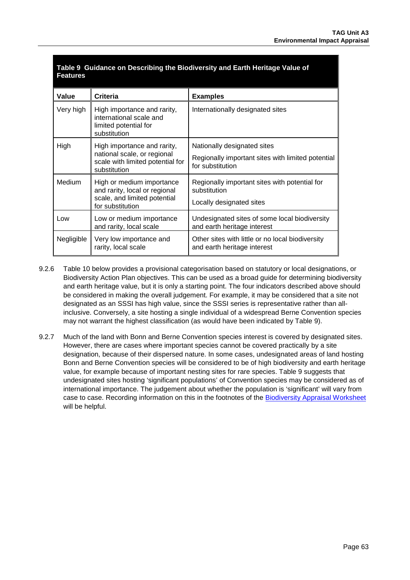<span id="page-62-0"></span>

| <b>Paradited on Boodinarity the Broartorony and Earth Homago</b><br>$\blacksquare$<br><b>Features</b> |                                                                                                                |                                                                                                      |  |  |
|-------------------------------------------------------------------------------------------------------|----------------------------------------------------------------------------------------------------------------|------------------------------------------------------------------------------------------------------|--|--|
| Value                                                                                                 | <b>Criteria</b>                                                                                                | <b>Examples</b>                                                                                      |  |  |
| Very high                                                                                             | High importance and rarity,<br>international scale and<br>limited potential for<br>substitution                | Internationally designated sites                                                                     |  |  |
| High                                                                                                  | High importance and rarity,<br>national scale, or regional<br>scale with limited potential for<br>substitution | Nationally designated sites<br>Regionally important sites with limited potential<br>for substitution |  |  |
| <b>Medium</b>                                                                                         | High or medium importance<br>and rarity, local or regional<br>scale, and limited potential<br>for substitution | Regionally important sites with potential for<br>substitution<br>Locally designated sites            |  |  |
| Low                                                                                                   | Low or medium importance<br>and rarity, local scale                                                            | Undesignated sites of some local biodiversity<br>and earth heritage interest                         |  |  |
| Negligible                                                                                            | Very low importance and<br>rarity, local scale                                                                 | Other sites with little or no local biodiversity<br>and earth heritage interest                      |  |  |

**Table 9 Guidance on Describing the Biodiversity and Earth Heritage Value of** 

- 9.2.6 [Table 10](#page-63-0) below provides a provisional categorisation based on statutory or local designations, or Biodiversity Action Plan objectives. This can be used as a broad guide for determining biodiversity and earth heritage value, but it is only a starting point. The four indicators described above should be considered in making the overall judgement. For example, it may be considered that a site not designated as an SSSI has high value, since the SSSI series is representative rather than allinclusive. Conversely, a site hosting a single individual of a widespread Berne Convention species may not warrant the highest classification (as would have been indicated by [Table 9\)](#page-63-0).
- 9.2.7 Much of the land with Bonn and Berne Convention species interest is covered by designated sites. However, there are cases where important species cannot be covered practically by a site designation, because of their dispersed nature. In some cases, undesignated areas of land hosting Bonn and Berne Convention species will be considered to be of high biodiversity and earth heritage value, for example because of important nesting sites for rare species. [Table 9](#page-63-0) suggests that undesignated sites hosting 'significant populations' of Convention species may be considered as of international importance. The judgement about whether the population is 'significant' will vary from case to case. Recording information on this in the footnotes of the [Biodiversity Appraisal Worksheet](https://www.gov.uk/transport-analysis-guidance-webtag#appraisal-worksheets) will be helpful.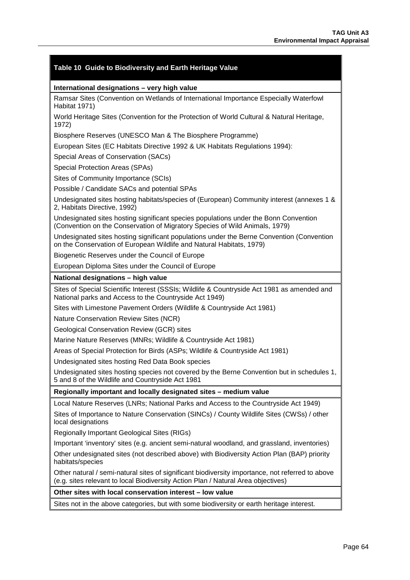<span id="page-63-0"></span>

| Table 10 Guide to Biodiversity and Earth Heritage Value                                                                                                                               |  |  |  |
|---------------------------------------------------------------------------------------------------------------------------------------------------------------------------------------|--|--|--|
| International designations - very high value                                                                                                                                          |  |  |  |
| Ramsar Sites (Convention on Wetlands of International Importance Especially Waterfowl<br>Habitat 1971)                                                                                |  |  |  |
| World Heritage Sites (Convention for the Protection of World Cultural & Natural Heritage,<br>1972)                                                                                    |  |  |  |
| Biosphere Reserves (UNESCO Man & The Biosphere Programme)                                                                                                                             |  |  |  |
| European Sites (EC Habitats Directive 1992 & UK Habitats Regulations 1994):                                                                                                           |  |  |  |
| Special Areas of Conservation (SACs)                                                                                                                                                  |  |  |  |
| Special Protection Areas (SPAs)                                                                                                                                                       |  |  |  |
| Sites of Community Importance (SCIs)                                                                                                                                                  |  |  |  |
| Possible / Candidate SACs and potential SPAs                                                                                                                                          |  |  |  |
| Undesignated sites hosting habitats/species of (European) Community interest (annexes 1 &<br>2, Habitats Directive, 1992)                                                             |  |  |  |
| Undesignated sites hosting significant species populations under the Bonn Convention<br>(Convention on the Conservation of Migratory Species of Wild Animals, 1979)                   |  |  |  |
| Undesignated sites hosting significant populations under the Berne Convention (Convention<br>on the Conservation of European Wildlife and Natural Habitats, 1979)                     |  |  |  |
| Biogenetic Reserves under the Council of Europe                                                                                                                                       |  |  |  |
| European Diploma Sites under the Council of Europe                                                                                                                                    |  |  |  |
| National designations - high value                                                                                                                                                    |  |  |  |
| Sites of Special Scientific Interest (SSSIs; Wildlife & Countryside Act 1981 as amended and<br>National parks and Access to the Countryside Act 1949)                                 |  |  |  |
| Sites with Limestone Pavement Orders (Wildlife & Countryside Act 1981)                                                                                                                |  |  |  |
| Nature Conservation Review Sites (NCR)                                                                                                                                                |  |  |  |
| Geological Conservation Review (GCR) sites                                                                                                                                            |  |  |  |
| Marine Nature Reserves (MNRs; Wildlife & Countryside Act 1981)                                                                                                                        |  |  |  |
| Areas of Special Protection for Birds (ASPs; Wildlife & Countryside Act 1981)                                                                                                         |  |  |  |
| Undesignated sites hosting Red Data Book species                                                                                                                                      |  |  |  |
| Undesignated sites hosting species not covered by the Berne Convention but in schedules 1,<br>5 and 8 of the Wildlife and Countryside Act 1981                                        |  |  |  |
| Regionally important and locally designated sites - medium value                                                                                                                      |  |  |  |
| Local Nature Reserves (LNRs; National Parks and Access to the Countryside Act 1949)                                                                                                   |  |  |  |
| Sites of Importance to Nature Conservation (SINCs) / County Wildlife Sites (CWSs) / other<br>local designations                                                                       |  |  |  |
| Regionally Important Geological Sites (RIGs)                                                                                                                                          |  |  |  |
| Important 'inventory' sites (e.g. ancient semi-natural woodland, and grassland, inventories)                                                                                          |  |  |  |
| Other undesignated sites (not described above) with Biodiversity Action Plan (BAP) priority<br>habitats/species                                                                       |  |  |  |
| Other natural / semi-natural sites of significant biodiversity importance, not referred to above<br>(e.g. sites relevant to local Biodiversity Action Plan / Natural Area objectives) |  |  |  |
| Other sites with local conservation interest - low value                                                                                                                              |  |  |  |

Sites not in the above categories, but with some biodiversity or earth heritage interest.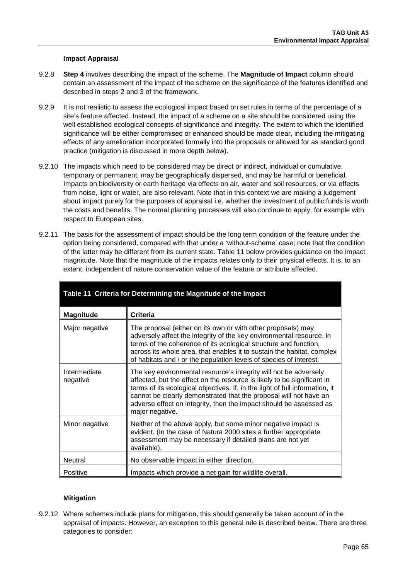### **Impact Appraisal**

- 9.2.8 **Step 4** involves describing the impact of the scheme. The **Magnitude of Impact** column should contain an assessment of the impact of the scheme on the significance of the features identified and described in steps 2 and 3 of the framework.
- 9.2.9 It is not realistic to assess the ecological impact based on set rules in terms of the percentage of a site's feature affected. Instead, the impact of a scheme on a site should be considered using the well established ecological concepts of significance and integrity. The extent to which the identified significance will be either compromised or enhanced should be made clear, including the mitigating effects of any amelioration incorporated formally into the proposals or allowed for as standard good practice (mitigation is discussed in more depth below).
- 9.2.10 The impacts which need to be considered may be direct or indirect, individual or cumulative, temporary or permanent, may be geographically dispersed, and may be harmful or beneficial. Impacts on biodiversity or earth heritage via effects on air, water and soil resources, or via effects from noise, light or water, are also relevant. Note that in this context we are making a judgement about impact purely for the purposes of appraisal i.e. whether the investment of public funds is worth the costs and benefits. The normal planning processes will also continue to apply, for example with respect to European sites.
- 9.2.11 The basis for the assessment of impact should be the long term condition of the feature under the option being considered, compared with that under a 'without-scheme' case; note that the condition of the latter may be different from its current state. [Table 11](#page-64-0) below provides guidance on the impact magnitude. Note that the magnitude of the impacts relates only to their physical effects. It is, to an extent, independent of nature conservation value of the feature or attribute affected.

<span id="page-64-0"></span>

| Table 11 Criteria for Determining the Magnitude of the Impact |                                                                                                                                                                                                                                                                                                                                                                                           |  |  |
|---------------------------------------------------------------|-------------------------------------------------------------------------------------------------------------------------------------------------------------------------------------------------------------------------------------------------------------------------------------------------------------------------------------------------------------------------------------------|--|--|
| <b>Magnitude</b>                                              | Criteria                                                                                                                                                                                                                                                                                                                                                                                  |  |  |
| Major negative                                                | The proposal (either on its own or with other proposals) may<br>adversely affect the integrity of the key environmental resource, in<br>terms of the coherence of its ecological structure and function,<br>across its whole area, that enables it to sustain the habitat, complex<br>of habitats and / or the population levels of species of interest.                                  |  |  |
| Intermediate<br>negative                                      | The key environmental resource's integrity will not be adversely<br>affected, but the effect on the resource is likely to be significant in<br>terms of its ecological objectives. If, in the light of full information, it<br>cannot be clearly demonstrated that the proposal will not have an<br>adverse effect on integrity, then the impact should be assessed as<br>major negative. |  |  |
| Minor negative                                                | Neither of the above apply, but some minor negative impact is<br>evident. (In the case of Natura 2000 sites a further appropriate<br>assessment may be necessary if detailed plans are not yet<br>available).                                                                                                                                                                             |  |  |
| <b>Neutral</b>                                                | No observable impact in either direction.                                                                                                                                                                                                                                                                                                                                                 |  |  |
| Positive                                                      | Impacts which provide a net gain for wildlife overall.                                                                                                                                                                                                                                                                                                                                    |  |  |

### **Mitigation**

9.2.12 Where schemes include plans for mitigation, this should generally be taken account of in the appraisal of impacts. However, an exception to this general rule is described below. There are three categories to consider: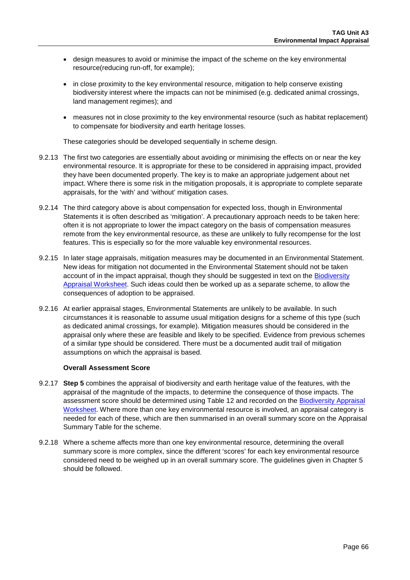- design measures to avoid or minimise the impact of the scheme on the key environmental resource(reducing run-off, for example);
- in close proximity to the key environmental resource, mitigation to help conserve existing biodiversity interest where the impacts can not be minimised (e.g. dedicated animal crossings, land management regimes); and
- measures not in close proximity to the key environmental resource (such as habitat replacement) to compensate for biodiversity and earth heritage losses.

These categories should be developed sequentially in scheme design.

- 9.2.13 The first two categories are essentially about avoiding or minimising the effects on or near the key environmental resource. It is appropriate for these to be considered in appraising impact, provided they have been documented properly. The key is to make an appropriate judgement about net impact. Where there is some risk in the mitigation proposals, it is appropriate to complete separate appraisals, for the 'with' and 'without' mitigation cases.
- 9.2.14 The third category above is about compensation for expected loss, though in Environmental Statements it is often described as 'mitigation'. A precautionary approach needs to be taken here: often it is not appropriate to lower the impact category on the basis of compensation measures remote from the key environmental resource, as these are unlikely to fully recompense for the lost features. This is especially so for the more valuable key environmental resources.
- 9.2.15 In later stage appraisals, mitigation measures may be documented in an Environmental Statement. New ideas for mitigation not documented in the Environmental Statement should not be taken account of in the impact appraisal, though they should be suggested in text on the [Biodiversity](https://www.gov.uk/transport-analysis-guidance-webtag#appraisal-worksheets)  [Appraisal Worksheet.](https://www.gov.uk/transport-analysis-guidance-webtag#appraisal-worksheets) Such ideas could then be worked up as a separate scheme, to allow the consequences of adoption to be appraised.
- 9.2.16 At earlier appraisal stages, Environmental Statements are unlikely to be available. In such circumstances it is reasonable to assume usual mitigation designs for a scheme of this type (such as dedicated animal crossings, for example). Mitigation measures should be considered in the appraisal only where these are feasible and likely to be specified. Evidence from previous schemes of a similar type should be considered. There must be a documented audit trail of mitigation assumptions on which the appraisal is based.

#### **Overall Assessment Score**

- 9.2.17 **Step 5** combines the appraisal of biodiversity and earth heritage value of the features, with the appraisal of the magnitude of the impacts, to determine the consequence of those impacts. The assessment score should be determined using [Table 12](#page-66-0) and recorded on the [Biodiversity](https://www.gov.uk/transport-analysis-guidance-webtag#appraisal-worksheets) Appraisal [Worksheet.](https://www.gov.uk/transport-analysis-guidance-webtag#appraisal-worksheets) Where more than one key environmental resource is involved, an appraisal category is needed for each of these, which are then summarised in an overall summary score on the Appraisal Summary Table for the scheme.
- 9.2.18 Where a scheme affects more than one key environmental resource, determining the overall summary score is more complex, since the different 'scores' for each key environmental resource considered need to be weighed up in an overall summary score. The guidelines given in Chapter [5](#page-31-0) should be followed.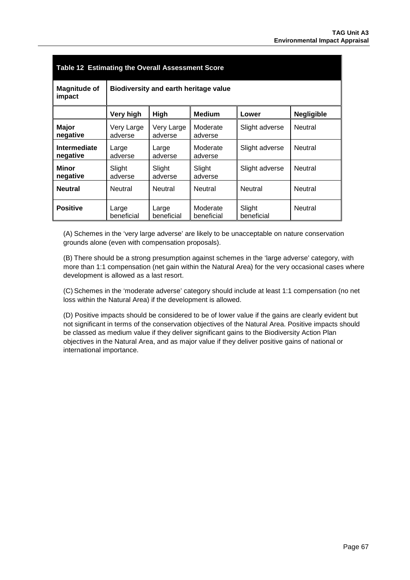<span id="page-66-0"></span>

| Table 12 Estimating the Overall Assessment Score |                                       |                       |                        |                      |                   |
|--------------------------------------------------|---------------------------------------|-----------------------|------------------------|----------------------|-------------------|
| <b>Magnitude of</b><br>impact                    | Biodiversity and earth heritage value |                       |                        |                      |                   |
|                                                  | Very high                             | <b>High</b>           | <b>Medium</b>          | Lower                | <b>Negligible</b> |
| <b>Major</b><br>negative                         | Very Large<br>adverse                 | Very Large<br>adverse | Moderate<br>adverse    | Slight adverse       | Neutral           |
| Intermediate<br>negative                         | Large<br>adverse                      | Large<br>adverse      | Moderate<br>adverse    | Slight adverse       | Neutral           |
| <b>Minor</b><br>negative                         | Slight<br>adverse                     | Slight<br>adverse     | Slight<br>adverse      | Slight adverse       | Neutral           |
| <b>Neutral</b>                                   | Neutral                               | Neutral               | Neutral                | Neutral              | Neutral           |
| <b>Positive</b>                                  | Large<br>beneficial                   | Large<br>beneficial   | Moderate<br>beneficial | Slight<br>beneficial | Neutral           |

(A) Schemes in the 'very large adverse' are likely to be unacceptable on nature conservation grounds alone (even with compensation proposals).

(B) There should be a strong presumption against schemes in the 'large adverse' category, with more than 1:1 compensation (net gain within the Natural Area) for the very occasional cases where development is allowed as a last resort.

(C) Schemes in the 'moderate adverse' category should include at least 1:1 compensation (no net loss within the Natural Area) if the development is allowed.

(D) Positive impacts should be considered to be of lower value if the gains are clearly evident but not significant in terms of the conservation objectives of the Natural Area. Positive impacts should be classed as medium value if they deliver significant gains to the Biodiversity Action Plan objectives in the Natural Area, and as major value if they deliver positive gains of national or international importance.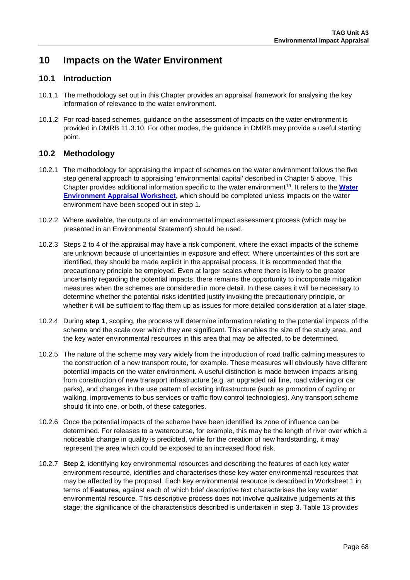# **10 Impacts on the Water Environment**

## **10.1 Introduction**

- 10.1.1 The methodology set out in this Chapter provides an appraisal framework for analysing the key information of relevance to the water environment.
- 10.1.2 For road-based schemes, guidance on the assessment of impacts on the water environment is provided in DMRB 11.3.10. For other modes, the guidance in DMRB may provide a useful starting point.

## **10.2 Methodology**

- 10.2.1 The methodology for appraising the impact of schemes on the water environment follows the five step general approach to appraising 'environmental capital' described in Chapter 5 above. This Chapter provides additional information specific to the water environment<sup>19</sup>. It refers to the **Water [Environment Appraisal Worksheet](https://www.gov.uk/transport-analysis-guidance-webtag#appraisal-worksheets)**, which should be completed unless impacts on the water environment have been scoped out in step 1.
- 10.2.2 Where available, the outputs of an environmental impact assessment process (which may be presented in an Environmental Statement) should be used.
- 10.2.3 Steps 2 to 4 of the appraisal may have a risk component, where the exact impacts of the scheme are unknown because of uncertainties in exposure and effect. Where uncertainties of this sort are identified, they should be made explicit in the appraisal process. It is recommended that the precautionary principle be employed. Even at larger scales where there is likely to be greater uncertainty regarding the potential impacts, there remains the opportunity to incorporate mitigation measures when the schemes are considered in more detail. In these cases it will be necessary to determine whether the potential risks identified justify invoking the precautionary principle, or whether it will be sufficient to flag them up as issues for more detailed consideration at a later stage.
- 10.2.4 During **step 1**, scoping, the process will determine information relating to the potential impacts of the scheme and the scale over which they are significant. This enables the size of the study area, and the key water environmental resources in this area that may be affected, to be determined.
- 10.2.5 The nature of the scheme may vary widely from the introduction of road traffic calming measures to the construction of a new transport route, for example. These measures will obviously have different potential impacts on the water environment. A useful distinction is made between impacts arising from construction of new transport infrastructure (e.g. an upgraded rail line, road widening or car parks), and changes in the use pattern of existing infrastructure (such as promotion of cycling or walking, improvements to bus services or traffic flow control technologies). Any transport scheme should fit into one, or both, of these categories.
- 10.2.6 Once the potential impacts of the scheme have been identified its zone of influence can be determined. For releases to a watercourse, for example, this may be the length of river over which a noticeable change in quality is predicted, while for the creation of new hardstanding, it may represent the area which could be exposed to an increased flood risk.
- <span id="page-67-0"></span>10.2.7 **Step 2**, identifying key environmental resources and describing the features of each key water environment resource, identifies and characterises those key water environmental resources that may be affected by the proposal. Each key environmental resource is described in Worksheet 1 in terms of **Features**, against each of which brief descriptive text characterises the key water environmental resource. This descriptive process does not involve qualitative judgements at this stage; the significance of the characteristics described is undertaken in step 3. [Table 13](#page-69-0) provides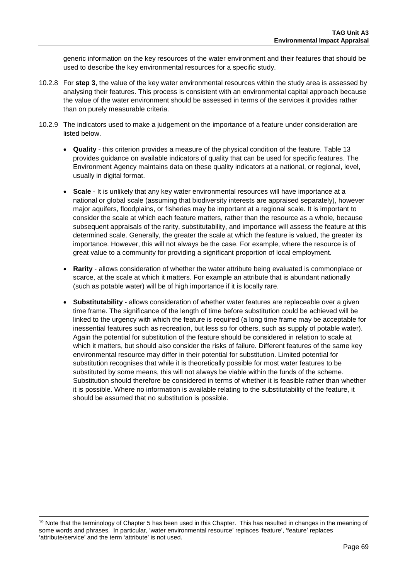generic information on the key resources of the water environment and their features that should be used to describe the key environmental resources for a specific study.

- 10.2.8 For **step 3**, the value of the key water environmental resources within the study area is assessed by analysing their features. This process is consistent with an environmental capital approach because the value of the water environment should be assessed in terms of the services it provides rather than on purely measurable criteria.
- 10.2.9 The indicators used to make a judgement on the importance of a feature under consideration are listed below.
	- **Quality** this criterion provides a measure of the physical condition of the feature. [Table 13](#page-69-0) provides guidance on available indicators of quality that can be used for specific features. The Environment Agency maintains data on these quality indicators at a national, or regional, level, usually in digital format.
	- **Scale** It is unlikely that any key water environmental resources will have importance at a national or global scale (assuming that biodiversity interests are appraised separately), however major aquifers, floodplains, or fisheries may be important at a regional scale. It is important to consider the scale at which each feature matters, rather than the resource as a whole, because subsequent appraisals of the rarity, substitutability, and importance will assess the feature at this determined scale. Generally, the greater the scale at which the feature is valued, the greater its importance. However, this will not always be the case. For example, where the resource is of great value to a community for providing a significant proportion of local employment.
	- **Rarity**  allows consideration of whether the water attribute being evaluated is commonplace or scarce, at the scale at which it matters. For example an attribute that is abundant nationally (such as potable water) will be of high importance if it is locally rare.
	- **Substitutability** allows consideration of whether water features are replaceable over a given time frame. The significance of the length of time before substitution could be achieved will be linked to the urgency with which the feature is required (a long time frame may be acceptable for inessential features such as recreation, but less so for others, such as supply of potable water). Again the potential for substitution of the feature should be considered in relation to scale at which it matters, but should also consider the risks of failure. Different features of the same key environmental resource may differ in their potential for substitution. Limited potential for substitution recognises that while it is theoretically possible for most water features to be substituted by some means, this will not always be viable within the funds of the scheme. Substitution should therefore be considered in terms of whether it is feasible rather than whether it is possible. Where no information is available relating to the substitutability of the feature, it should be assumed that no substitution is possible.

<sup>&</sup>lt;sup>19</sup> Note that the terminology of Chapter 5 has been used in this Chapter. This has resulted in changes in the meaning of some words and phrases. In particular, 'water environmental resource' replaces 'feature', 'feature' replaces 'attribute/service' and the term 'attribute' is not used.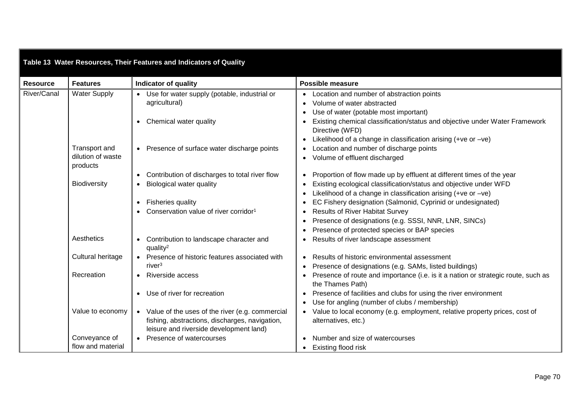<span id="page-69-0"></span>

| Table 13 Water Resources, Their Features and Indicators of Quality |                                                |                                                                                                                                                |                                                                                                                                                                                                                                                                                   |  |
|--------------------------------------------------------------------|------------------------------------------------|------------------------------------------------------------------------------------------------------------------------------------------------|-----------------------------------------------------------------------------------------------------------------------------------------------------------------------------------------------------------------------------------------------------------------------------------|--|
| <b>Resource</b>                                                    | <b>Features</b>                                | <b>Indicator of quality</b>                                                                                                                    | <b>Possible measure</b>                                                                                                                                                                                                                                                           |  |
| River/Canal                                                        | <b>Water Supply</b>                            | • Use for water supply (potable, industrial or<br>agricultural)                                                                                | • Location and number of abstraction points<br>Volume of water abstracted<br>Use of water (potable most important)                                                                                                                                                                |  |
|                                                                    |                                                | Chemical water quality                                                                                                                         | • Existing chemical classification/status and objective under Water Framework<br>Directive (WFD)                                                                                                                                                                                  |  |
|                                                                    | Transport and<br>dilution of waste<br>products | Presence of surface water discharge points                                                                                                     | Likelihood of a change in classification arising $(+ve or -ve)$<br>$\bullet$<br>Location and number of discharge points<br>• Volume of effluent discharged                                                                                                                        |  |
|                                                                    | <b>Biodiversity</b>                            | Contribution of discharges to total river flow<br><b>Biological water quality</b>                                                              | Proportion of flow made up by effluent at different times of the year<br>Existing ecological classification/status and objective under WFD                                                                                                                                        |  |
|                                                                    |                                                | <b>Fisheries quality</b><br>Conservation value of river corridor <sup>1</sup>                                                                  | Likelihood of a change in classification arising $(+ve or -ve)$<br>EC Fishery designation (Salmonid, Cyprinid or undesignated)<br><b>Results of River Habitat Survey</b><br>Presence of designations (e.g. SSSI, NNR, LNR, SINCs)<br>Presence of protected species or BAP species |  |
|                                                                    | Aesthetics                                     | Contribution to landscape character and<br>quality <sup>2</sup>                                                                                | Results of river landscape assessment                                                                                                                                                                                                                                             |  |
|                                                                    | Cultural heritage                              | • Presence of historic features associated with<br>river <sup>3</sup>                                                                          | Results of historic environmental assessment<br>Presence of designations (e.g. SAMs, listed buildings)                                                                                                                                                                            |  |
|                                                                    | Recreation                                     | • Riverside access                                                                                                                             | • Presence of route and importance (i.e. is it a nation or strategic route, such as<br>the Thames Path)                                                                                                                                                                           |  |
|                                                                    |                                                | Use of river for recreation                                                                                                                    | • Presence of facilities and clubs for using the river environment<br>Use for angling (number of clubs / membership)                                                                                                                                                              |  |
|                                                                    | Value to economy                               | • Value of the uses of the river (e.g. commercial<br>fishing, abstractions, discharges, navigation,<br>leisure and riverside development land) | Value to local economy (e.g. employment, relative property prices, cost of<br>alternatives, etc.)                                                                                                                                                                                 |  |
|                                                                    | Conveyance of<br>flow and material             | • Presence of watercourses                                                                                                                     | Number and size of watercourses<br>• Existing flood risk                                                                                                                                                                                                                          |  |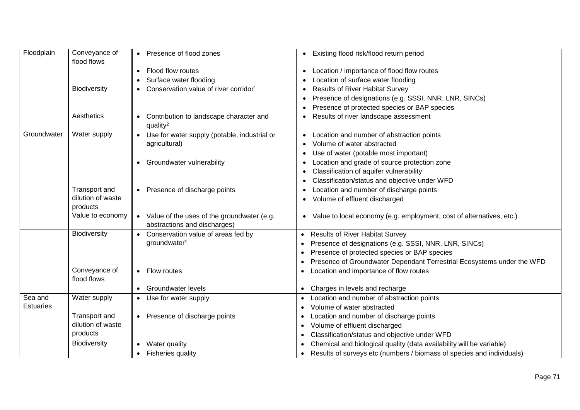| Floodplain                  | Conveyance of<br>flood flows  | • Presence of flood zones                                       | Existing flood risk/flood return period                                           |
|-----------------------------|-------------------------------|-----------------------------------------------------------------|-----------------------------------------------------------------------------------|
|                             |                               | Flood flow routes<br>$\bullet$                                  | Location / importance of flood flow routes<br>٠                                   |
|                             |                               | Surface water flooding                                          | Location of surface water flooding                                                |
|                             | <b>Biodiversity</b>           | Conservation value of river corridor <sup>1</sup>               | <b>Results of River Habitat Survey</b>                                            |
|                             |                               |                                                                 | Presence of designations (e.g. SSSI, NNR, LNR, SINCs)                             |
|                             |                               |                                                                 | Presence of protected species or BAP species                                      |
|                             | Aesthetics                    | Contribution to landscape character and<br>quality <sup>2</sup> | Results of river landscape assessment                                             |
| Groundwater                 | Water supply                  | Use for water supply (potable, industrial or                    | Location and number of abstraction points                                         |
|                             |                               | agricultural)                                                   | Volume of water abstracted                                                        |
|                             |                               |                                                                 | Use of water (potable most important)                                             |
|                             |                               | Groundwater vulnerability                                       | Location and grade of source protection zone                                      |
|                             |                               |                                                                 | Classification of aquifer vulnerability                                           |
|                             |                               |                                                                 | Classification/status and objective under WFD                                     |
|                             | Transport and                 | • Presence of discharge points                                  | Location and number of discharge points                                           |
|                             | dilution of waste<br>products |                                                                 | Volume of effluent discharged                                                     |
|                             | Value to economy              | • Value of the uses of the groundwater (e.g.                    | Value to local economy (e.g. employment, cost of alternatives, etc.)<br>$\bullet$ |
|                             |                               | abstractions and discharges)                                    |                                                                                   |
|                             | <b>Biodiversity</b>           | Conservation value of areas fed by<br>$\bullet$                 | • Results of River Habitat Survey                                                 |
|                             |                               | groundwater <sup>1</sup>                                        | Presence of designations (e.g. SSSI, NNR, LNR, SINCs)                             |
|                             |                               |                                                                 | Presence of protected species or BAP species                                      |
|                             |                               |                                                                 | Presence of Groundwater Dependant Terrestrial Ecosystems under the WFD            |
|                             | Conveyance of<br>flood flows  | • Flow routes                                                   | Location and importance of flow routes                                            |
|                             |                               | • Groundwater levels                                            | • Charges in levels and recharge                                                  |
| Sea and<br><b>Estuaries</b> | Water supply                  | • Use for water supply                                          | Location and number of abstraction points                                         |
|                             |                               |                                                                 | Volume of water abstracted                                                        |
|                             | Transport and                 | • Presence of discharge points                                  | Location and number of discharge points                                           |
|                             | dilution of waste             |                                                                 | Volume of effluent discharged<br>$\bullet$                                        |
|                             | products                      |                                                                 | Classification/status and objective under WFD                                     |
|                             | Biodiversity                  | Water quality                                                   | Chemical and biological quality (data availability will be variable)              |
|                             |                               | <b>Fisheries quality</b>                                        | • Results of surveys etc (numbers / biomass of species and individuals)           |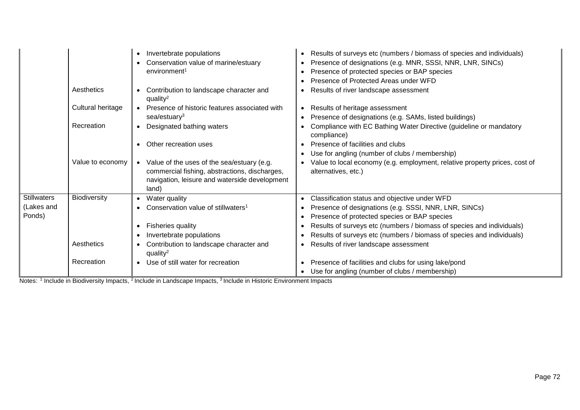|                    |                   | Invertebrate populations<br>$\bullet$<br>Conservation value of marine/estuary<br>environment <sup>1</sup>                                               | Results of surveys etc (numbers / biomass of species and individuals)<br>Presence of designations (e.g. MNR, SSSI, NNR, LNR, SINCs)<br>Presence of protected species or BAP species<br>$\bullet$<br>Presence of Protected Areas under WFD |
|--------------------|-------------------|---------------------------------------------------------------------------------------------------------------------------------------------------------|-------------------------------------------------------------------------------------------------------------------------------------------------------------------------------------------------------------------------------------------|
|                    | Aesthetics        | Contribution to landscape character and<br>$\bullet$<br>quality <sup>2</sup>                                                                            | Results of river landscape assessment<br>$\bullet$                                                                                                                                                                                        |
|                    | Cultural heritage | Presence of historic features associated with<br>$\bullet$<br>$sea$ /estuary <sup>3</sup>                                                               | Results of heritage assessment<br>$\bullet$<br>Presence of designations (e.g. SAMs, listed buildings)<br>$\bullet$                                                                                                                        |
|                    | Recreation        | Designated bathing waters<br>$\bullet$                                                                                                                  | Compliance with EC Bathing Water Directive (guideline or mandatory<br>compliance)                                                                                                                                                         |
|                    |                   | Other recreation uses                                                                                                                                   | Presence of facilities and clubs<br>Use for angling (number of clubs / membership)                                                                                                                                                        |
|                    | Value to economy  | • Value of the uses of the sea/estuary (e.g.<br>commercial fishing, abstractions, discharges,<br>navigation, leisure and waterside development<br>land) | Value to local economy (e.g. employment, relative property prices, cost of<br>alternatives, etc.)                                                                                                                                         |
| <b>Stillwaters</b> | Biodiversity      | Water quality<br>$\bullet$                                                                                                                              | Classification status and objective under WFD<br>$\bullet$                                                                                                                                                                                |
| (Lakes and         |                   | Conservation value of stillwaters <sup>1</sup>                                                                                                          | Presence of designations (e.g. SSSI, NNR, LNR, SINCs)                                                                                                                                                                                     |
| Ponds)             |                   |                                                                                                                                                         | Presence of protected species or BAP species<br>$\bullet$                                                                                                                                                                                 |
|                    |                   | <b>Fisheries quality</b><br>$\bullet$                                                                                                                   | Results of surveys etc (numbers / biomass of species and individuals)<br>$\bullet$                                                                                                                                                        |
|                    |                   | Invertebrate populations                                                                                                                                | Results of surveys etc (numbers / biomass of species and individuals)                                                                                                                                                                     |
|                    | Aesthetics        | Contribution to landscape character and<br>quality <sup>2</sup>                                                                                         | Results of river landscape assessment<br>$\bullet$                                                                                                                                                                                        |
|                    | Recreation        | Use of still water for recreation<br>$\bullet$                                                                                                          | Presence of facilities and clubs for using lake/pond<br>Use for angling (number of clubs / membership)                                                                                                                                    |

Notes: <sup>1</sup> Include in Biodiversity Impacts, <sup>2</sup> Include in Landscape Impacts, <sup>3</sup> Include in Historic Environment Impacts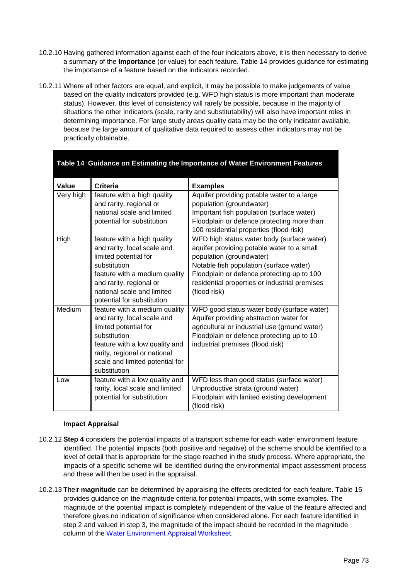- 10.2.10 Having gathered information against each of the four indicators above, it is then necessary to derive a summary of the **Importance** (or value) for each feature. [Table 14](#page-72-0) provides guidance for estimating the importance of a feature based on the indicators recorded.
- 10.2.11 Where all other factors are equal, and explicit, it may be possible to make judgements of value based on the quality indicators provided (e.g. WFD high status is more important than moderate status). However, this level of consistency will rarely be possible, because in the majority of situations the other indicators (scale, rarity and substitutability) will also have important roles in determining importance. For large study areas quality data may be the only indicator available, because the large amount of qualitative data required to assess other indicators may not be practically obtainable.

<span id="page-72-0"></span>

| Table 14 Guidance on Estimating the Importance of Water Environment Features |                                                                                                                                                                                                                             |                                                                                                                                                                                                                                                                                |  |  |  |
|------------------------------------------------------------------------------|-----------------------------------------------------------------------------------------------------------------------------------------------------------------------------------------------------------------------------|--------------------------------------------------------------------------------------------------------------------------------------------------------------------------------------------------------------------------------------------------------------------------------|--|--|--|
| Value                                                                        | <b>Criteria</b>                                                                                                                                                                                                             | <b>Examples</b>                                                                                                                                                                                                                                                                |  |  |  |
| Very high                                                                    | feature with a high quality<br>and rarity, regional or<br>national scale and limited<br>potential for substitution                                                                                                          | Aquifer providing potable water to a large<br>population (groundwater)<br>Important fish population (surface water)<br>Floodplain or defence protecting more than<br>100 residential properties (flood risk)                                                                   |  |  |  |
| High                                                                         | feature with a high quality<br>and rarity, local scale and<br>limited potential for<br>substitution<br>feature with a medium quality<br>and rarity, regional or<br>national scale and limited<br>potential for substitution | WFD high status water body (surface water)<br>aquifer providing potable water to a small<br>population (groundwater)<br>Notable fish population (surface water)<br>Floodplain or defence protecting up to 100<br>residential properties or industrial premises<br>(flood risk) |  |  |  |
| Medium                                                                       | feature with a medium quality<br>and rarity, local scale and<br>limited potential for<br>substitution<br>feature with a low quality and<br>rarity, regional or national<br>scale and limited potential for<br>substitution  | WFD good status water body (surface water)<br>Aquifer providing abstraction water for<br>agricultural or industrial use (ground water)<br>Floodplain or defence protecting up to 10<br>industrial premises (flood risk)                                                        |  |  |  |
| Low                                                                          | feature with a low quality and<br>rarity, local scale and limited<br>potential for substitution                                                                                                                             | WFD less than good status (surface water)<br>Unproductive strata (ground water)<br>Floodplain with limited existing development<br>(flood risk)                                                                                                                                |  |  |  |

## **Impact Appraisal**

- 10.2.12 **Step 4** considers the potential impacts of a transport scheme for each water environment feature identified. The potential impacts (both positive and negative) of the scheme should be identified to a level of detail that is appropriate for the stage reached in the study process. Where appropriate, the impacts of a specific scheme will be identified during the environmental impact assessment process and these will then be used in the appraisal.
- 10.2.13 Their **magnitude** can be determined by appraising the effects predicted for each feature. [Table 15](#page-73-0) provides guidance on the magnitude criteria for potential impacts, with some examples. The magnitude of the potential impact is completely independent of the value of the feature affected and therefore gives no indication of significance when considered alone. For each feature identified in step 2 and valued in step 3, the magnitude of the impact should be recorded in the magnitude column of the [Water Environment Appraisal Worksheet.](https://www.gov.uk/transport-analysis-guidance-webtag#appraisal-worksheets)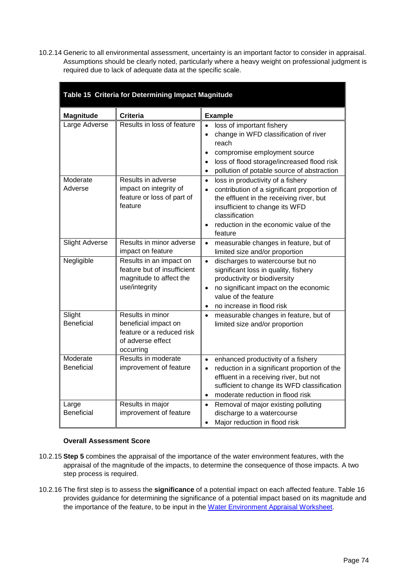10.2.14 Generic to all environmental assessment, uncertainty is an important factor to consider in appraisal. Assumptions should be clearly noted, particularly where a heavy weight on professional judgment is required due to lack of adequate data at the specific scale.

<span id="page-73-0"></span>

| Table 15 Criteria for Determining Impact Magnitude |                                                                                                         |                                                                                                                                                                                                                                                                              |  |  |  |
|----------------------------------------------------|---------------------------------------------------------------------------------------------------------|------------------------------------------------------------------------------------------------------------------------------------------------------------------------------------------------------------------------------------------------------------------------------|--|--|--|
| <b>Magnitude</b>                                   | <b>Criteria</b>                                                                                         | <b>Example</b>                                                                                                                                                                                                                                                               |  |  |  |
| Large Adverse                                      | Results in loss of feature                                                                              | loss of important fishery<br>$\bullet$<br>change in WFD classification of river<br>reach<br>compromise employment source<br>$\bullet$<br>loss of flood storage/increased flood risk<br>$\bullet$<br>pollution of potable source of abstraction<br>$\bullet$                  |  |  |  |
| Moderate<br>Adverse                                | Results in adverse<br>impact on integrity of<br>feature or loss of part of<br>feature                   | loss in productivity of a fishery<br>$\bullet$<br>contribution of a significant proportion of<br>$\bullet$<br>the effluent in the receiving river, but<br>insufficient to change its WFD<br>classification<br>reduction in the economic value of the<br>$\bullet$<br>feature |  |  |  |
| <b>Slight Adverse</b>                              | Results in minor adverse<br>impact on feature                                                           | measurable changes in feature, but of<br>$\bullet$<br>limited size and/or proportion                                                                                                                                                                                         |  |  |  |
| Negligible                                         | Results in an impact on<br>feature but of insufficient<br>magnitude to affect the<br>use/integrity      | discharges to watercourse but no<br>$\bullet$<br>significant loss in quality, fishery<br>productivity or biodiversity<br>no significant impact on the economic<br>$\bullet$<br>value of the feature<br>no increase in flood risk<br>$\bullet$                                |  |  |  |
| Slight<br><b>Beneficial</b>                        | Results in minor<br>beneficial impact on<br>feature or a reduced risk<br>of adverse effect<br>occurring | measurable changes in feature, but of<br>$\bullet$<br>limited size and/or proportion                                                                                                                                                                                         |  |  |  |
| Moderate<br><b>Beneficial</b>                      | Results in moderate<br>improvement of feature                                                           | enhanced productivity of a fishery<br>$\bullet$<br>reduction in a significant proportion of the<br>$\bullet$<br>effluent in a receiving river, but not<br>sufficient to change its WFD classification<br>moderate reduction in flood risk<br>$\bullet$                       |  |  |  |
| Large<br><b>Beneficial</b>                         | Results in major<br>improvement of feature                                                              | Removal of major existing polluting<br>$\bullet$<br>discharge to a watercourse<br>Major reduction in flood risk<br>$\bullet$                                                                                                                                                 |  |  |  |

# **Overall Assessment Score**

- 10.2.15 **Step 5** combines the appraisal of the importance of the water environment features, with the appraisal of the magnitude of the impacts, to determine the consequence of those impacts. A two step process is required.
- 10.2.16 The first step is to assess the **significance** of a potential impact on each affected feature. [Table 16](#page-74-0) provides guidance for determining the significance of a potential impact based on its magnitude and the importance of the feature, to be input in the [Water Environment Appraisal Worksheet.](https://www.gov.uk/transport-analysis-guidance-webtag#appraisal-worksheets)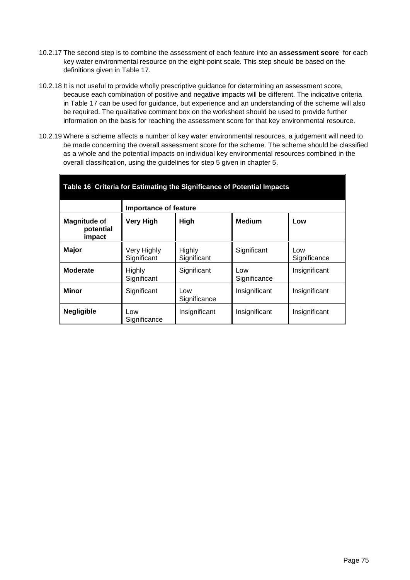- 10.2.17 The second step is to combine the assessment of each feature into an **assessment score** for each key water environmental resource on the eight-point scale. This step should be based on the definitions given in [Table 17.](#page-75-0)
- 10.2.18 It is not useful to provide wholly prescriptive guidance for determining an assessment score, because each combination of positive and negative impacts will be different. The indicative criteria in [Table 17](#page-75-0) can be used for guidance, but experience and an understanding of the scheme will also be required. The qualitative comment box on the worksheet should be used to provide further information on the basis for reaching the assessment score for that key environmental resource.
- 10.2.19 Where a scheme affects a number of key water environmental resources, a judgement will need to be made concerning the overall assessment score for the scheme. The scheme should be classified as a whole and the potential impacts on individual key environmental resources combined in the overall classification, using the guidelines for step 5 given in chapter [5.](#page-31-0)

<span id="page-74-0"></span>

| Table 16 Criteria for Estimating the Significance of Potential Impacts |                            |                       |                     |                     |  |  |
|------------------------------------------------------------------------|----------------------------|-----------------------|---------------------|---------------------|--|--|
|                                                                        | Importance of feature      |                       |                     |                     |  |  |
| <b>Magnitude of</b><br>potential<br>impact                             | <b>Very High</b>           | High                  | <b>Medium</b>       | Low                 |  |  |
| <b>Major</b>                                                           | Very Highly<br>Significant | Highly<br>Significant | Significant         | Low<br>Significance |  |  |
| <b>Moderate</b>                                                        | Highly<br>Significant      | Significant           | Low<br>Significance | Insignificant       |  |  |
| <b>Minor</b>                                                           | Significant                | Low<br>Significance   | Insignificant       | Insignificant       |  |  |
| <b>Negligible</b>                                                      | Low<br>Significance        | Insignificant         | Insignificant       | Insignificant       |  |  |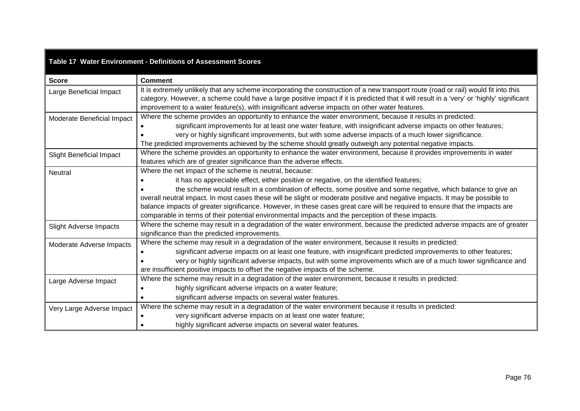# **Table 17 Water Environment - Definitions of Assessment Scores**

<span id="page-75-0"></span>

| <b>Score</b>                    | <b>Comment</b>                                                                                                                            |
|---------------------------------|-------------------------------------------------------------------------------------------------------------------------------------------|
| Large Beneficial Impact         | It is extremely unlikely that any scheme incorporating the construction of a new transport route (road or rail) would fit into this       |
|                                 | category. However, a scheme could have a large positive impact if it is predicted that it will result in a 'very' or 'highly' significant |
|                                 | improvement to a water feature(s), with insignificant adverse impacts on other water features.                                            |
| Moderate Beneficial Impact      | Where the scheme provides an opportunity to enhance the water environment, because it results in predicted:                               |
|                                 | significant improvements for at least one water feature, with insignificant adverse impacts on other features;                            |
|                                 | very or highly significant improvements, but with some adverse impacts of a much lower significance.                                      |
|                                 | The predicted improvements achieved by the scheme should greatly outweigh any potential negative impacts.                                 |
| <b>Slight Beneficial Impact</b> | Where the scheme provides an opportunity to enhance the water environment, because it provides improvements in water                      |
|                                 | features which are of greater significance than the adverse effects.                                                                      |
| <b>Neutral</b>                  | Where the net impact of the scheme is neutral, because:                                                                                   |
|                                 | it has no appreciable effect, either positive or negative, on the identified features;                                                    |
|                                 | the scheme would result in a combination of effects, some positive and some negative, which balance to give an                            |
|                                 | overall neutral impact. In most cases these will be slight or moderate positive and negative impacts. It may be possible to               |
|                                 | balance impacts of greater significance. However, in these cases great care will be required to ensure that the impacts are               |
|                                 | comparable in terms of their potential environmental impacts and the perception of these impacts.                                         |
| <b>Slight Adverse Impacts</b>   | Where the scheme may result in a degradation of the water environment, because the predicted adverse impacts are of greater               |
|                                 | significance than the predicted improvements.                                                                                             |
| Moderate Adverse Impacts        | Where the scheme may result in a degradation of the water environment, because it results in predicted:                                   |
|                                 | significant adverse impacts on at least one feature, with insignificant predicted improvements to other features;                         |
|                                 | very or highly significant adverse impacts, but with some improvements which are of a much lower significance and                         |
|                                 | are insufficient positive impacts to offset the negative impacts of the scheme.                                                           |
| Large Adverse Impact            | Where the scheme may result in a degradation of the water environment, because it results in predicted:                                   |
|                                 | highly significant adverse impacts on a water feature;                                                                                    |
|                                 | significant adverse impacts on several water features.                                                                                    |
| Very Large Adverse Impact       | Where the scheme may result in a degradation of the water environment because it results in predicted:                                    |
|                                 | very significant adverse impacts on at least one water feature;                                                                           |
|                                 | highly significant adverse impacts on several water features.                                                                             |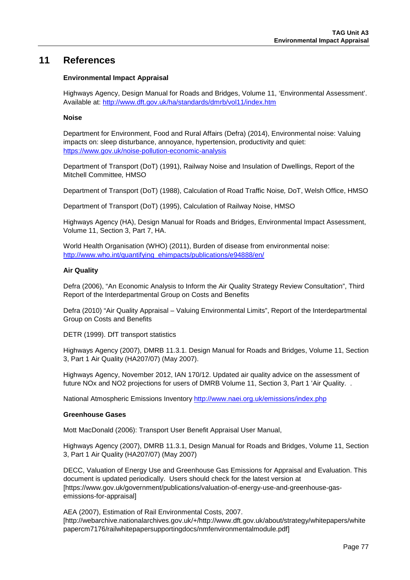# **11 References**

## **Environmental Impact Appraisal**

Highways Agency, Design Manual for Roads and Bridges, Volume 11, 'Environmental Assessment'. Available at:<http://www.dft.gov.uk/ha/standards/dmrb/vol11/index.htm>

#### **Noise**

Department for Environment, Food and Rural Affairs (Defra) (2014), Environmental noise: Valuing impacts on: sleep disturbance, annoyance, hypertension, productivity and quiet: <https://www.gov.uk/noise-pollution-economic-analysis>

Department of Transport (DoT) (1991), Railway Noise and Insulation of Dwellings, Report of the Mitchell Committee*,* HMSO

Department of Transport (DoT) (1988), Calculation of Road Traffic Noise*,* DoT, Welsh Office, HMSO

Department of Transport (DoT) (1995), Calculation of Railway Noise, HMSO

Highways Agency (HA), Design Manual for Roads and Bridges, Environmental Impact Assessment, Volume 11, Section 3, Part 7, HA.

World Health Organisation (WHO) (2011), Burden of disease from environmental noise: [http://www.who.int/quantifying\\_ehimpacts/publications/e94888/en/](http://www.who.int/quantifying_ehimpacts/publications/e94888/en/)

### **Air Quality**

Defra (2006), "An Economic Analysis to Inform the Air Quality Strategy Review Consultation", Third Report of the Interdepartmental Group on Costs and Benefits

Defra (2010) "Air Quality Appraisal – Valuing Environmental Limits", Report of the Interdepartmental Group on Costs and Benefits

DETR (1999). DfT transport statistics

Highways Agency (2007), DMRB 11.3.1. Design Manual for Roads and Bridges, Volume 11, Section 3, Part 1 Air Quality (HA207/07) (May 2007).

Highways Agency, November 2012, IAN 170/12. Updated air quality advice on the assessment of future NOx and NO2 projections for users of DMRB Volume 11, Section 3, Part 1 'Air Quality. .

National Atmospheric Emissions Inventory<http://www.naei.org.uk/emissions/index.php>

#### **Greenhouse Gases**

Mott MacDonald (2006): Transport User Benefit Appraisal User Manual,

Highways Agency (2007), DMRB 11.3.1, Design Manual for Roads and Bridges, Volume 11, Section 3, Part 1 Air Quality (HA207/07) (May 2007)

DECC, Valuation of Energy Use and Greenhouse Gas Emissions for Appraisal and Evaluation. This document is updated periodically. Users should check for the latest version at [https://www.gov.uk/government/publications/valuation-of-energy-use-and-greenhouse-gasemissions-for-appraisal]

AEA (2007), Estimation of Rail Environmental Costs, 2007. [http://webarchive.nationalarchives.gov.uk/+/http://www.dft.gov.uk/about/strategy/whitepapers/white papercm7176/railwhitepapersupportingdocs/nmfenvironmentalmodule.pdf]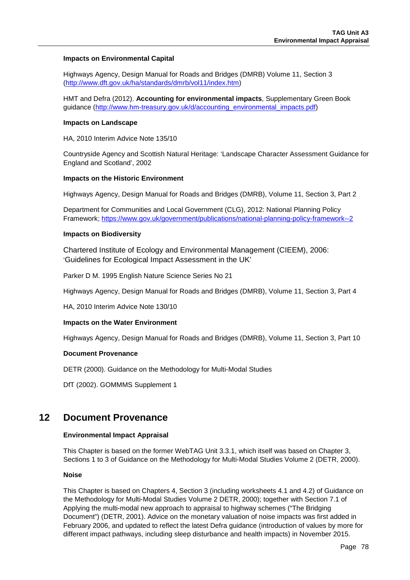### **Impacts on Environmental Capital**

Highways Agency, Design Manual for Roads and Bridges (DMRB) Volume 11, Section 3 [\(http://www.dft.gov.uk/ha/standards/dmrb/vol11/index.htm\)](http://www.dft.gov.uk/ha/standards/dmrb/vol11/index.htm)

HMT and Defra (2012). **Accounting for environmental impacts**, Supplementary Green Book guidance (http://www.hm-treasury.gov.uk/d/accounting\_environmental\_impacts.pdf)

#### **Impacts on Landscape**

HA, 2010 Interim Advice Note 135/10

Countryside Agency and Scottish Natural Heritage: 'Landscape Character Assessment Guidance for England and Scotland', 2002

#### **Impacts on the Historic Environment**

Highways Agency, Design Manual for Roads and Bridges (DMRB), Volume 11, Section 3, Part 2

Department for Communities and Local Government (CLG), 2012: National Planning Policy Framework;<https://www.gov.uk/government/publications/national-planning-policy-framework--2>

#### **Impacts on Biodiversity**

Chartered Institute of Ecology and Environmental Management (CIEEM), 2006: 'Guidelines for Ecological Impact Assessment in the UK'

Parker D M. 1995 English Nature Science Series No 21

Highways Agency, Design Manual for Roads and Bridges (DMRB), Volume 11, Section 3, Part 4

HA, 2010 Interim Advice Note 130/10

#### **Impacts on the Water Environment**

Highways Agency, Design Manual for Roads and Bridges (DMRB), Volume 11, Section 3, Part 10

#### **Document Provenance**

DETR (2000). Guidance on the Methodology for Multi-Modal Studies

DfT (2002). GOMMMS Supplement 1

# **12 Document Provenance**

#### **Environmental Impact Appraisal**

This Chapter is based on the former WebTAG Unit 3.3.1, which itself was based on Chapter 3, Sections 1 to 3 of Guidance on the Methodology for Multi-Modal Studies Volume 2 (DETR, 2000).

#### **Noise**

This Chapter is based on Chapters 4, Section 3 (including worksheets 4.1 and 4.2) of Guidance on the Methodology for Multi-Modal Studies Volume 2 DETR, 2000); together with Section 7.1 of Applying the multi-modal new approach to appraisal to highway schemes ("The Bridging Document") (DETR, 2001). Advice on the monetary valuation of noise impacts was first added in February 2006, and updated to reflect the latest Defra guidance (introduction of values by more for different impact pathways, including sleep disturbance and health impacts) in November 2015.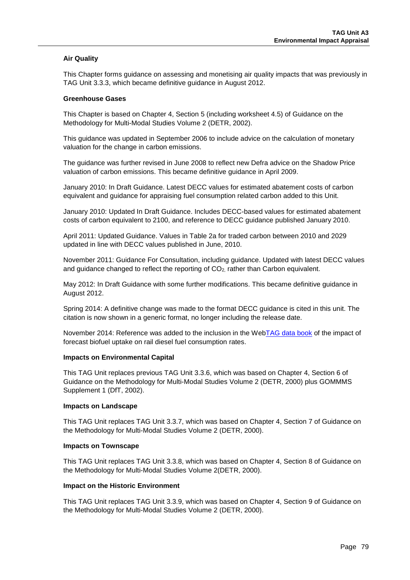## **Air Quality**

This Chapter forms guidance on assessing and monetising air quality impacts that was previously in TAG Unit 3.3.3, which became definitive guidance in August 2012.

#### **Greenhouse Gases**

This Chapter is based on Chapter 4, Section 5 (including worksheet 4.5) of Guidance on the Methodology for Multi-Modal Studies Volume 2 (DETR, 2002).

This guidance was updated in September 2006 to include advice on the calculation of monetary valuation for the change in carbon emissions.

The guidance was further revised in June 2008 to reflect new Defra advice on the Shadow Price valuation of carbon emissions. This became definitive guidance in April 2009.

January 2010: In Draft Guidance. Latest DECC values for estimated abatement costs of carbon equivalent and guidance for appraising fuel consumption related carbon added to this Unit.

January 2010: Updated In Draft Guidance. Includes DECC-based values for estimated abatement costs of carbon equivalent to 2100, and reference to DECC guidance published January 2010.

April 2011: Updated Guidance. Values in Table 2a for traded carbon between 2010 and 2029 updated in line with DECC values published in June, 2010.

November 2011: Guidance For Consultation, including guidance. Updated with latest DECC values and guidance changed to reflect the reporting of CO<sub>2</sub>, rather than Carbon equivalent.

May 2012: In Draft Guidance with some further modifications. This became definitive guidance in August 2012.

Spring 2014: A definitive change was made to the format DECC guidance is cited in this unit. The citation is now shown in a generic format, no longer including the release date.

November 2014: Reference was added to the inclusion in the We[bTAG data book](https://www.gov.uk/transport-analysis-guidance-webtag#webtag-data-book) of the impact of forecast biofuel uptake on rail diesel fuel consumption rates.

#### **Impacts on Environmental Capital**

This TAG Unit replaces previous TAG Unit 3.3.6, which was based on Chapter 4, Section 6 of Guidance on the Methodology for Multi-Modal Studies Volume 2 (DETR, 2000) plus GOMMMS Supplement 1 (DfT, 2002).

#### **Impacts on Landscape**

This TAG Unit replaces TAG Unit 3.3.7, which was based on Chapter 4, Section 7 of Guidance on the Methodology for Multi-Modal Studies Volume 2 (DETR, 2000).

#### **Impacts on Townscape**

This TAG Unit replaces TAG Unit 3.3.8, which was based on Chapter 4, Section 8 of Guidance on the Methodology for Multi-Modal Studies Volume 2(DETR, 2000).

#### **Impact on the Historic Environment**

This TAG Unit replaces TAG Unit 3.3.9, which was based on Chapter 4, Section 9 of Guidance on the Methodology for Multi-Modal Studies Volume 2 (DETR, 2000).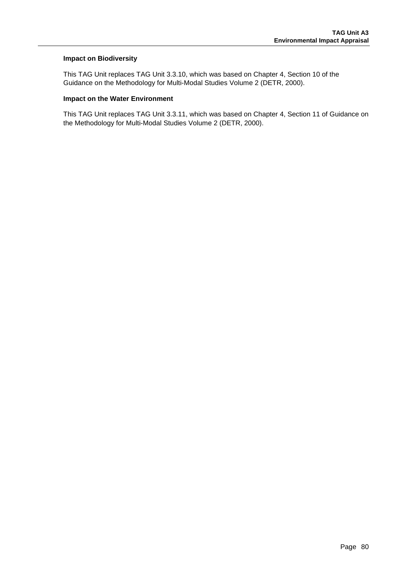### **Impact on Biodiversity**

This TAG Unit replaces TAG Unit 3.3.10, which was based on Chapter 4, Section 10 of the Guidance on the Methodology for Multi-Modal Studies Volume 2 (DETR, 2000).

#### **Impact on the Water Environment**

This TAG Unit replaces TAG Unit 3.3.11, which was based on Chapter 4, Section 11 of Guidance on the Methodology for Multi-Modal Studies Volume 2 (DETR, 2000).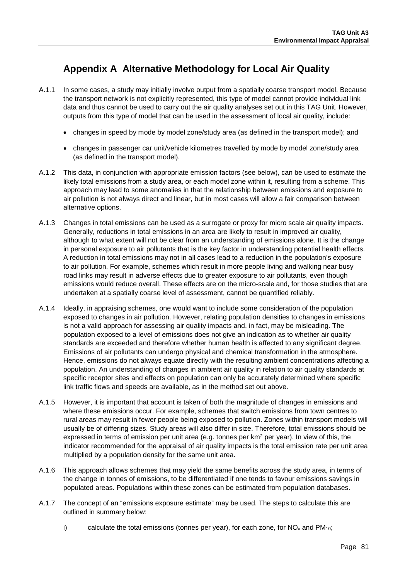# **Appendix A Alternative Methodology for Local Air Quality**

- A.1.1 In some cases, a study may initially involve output from a spatially coarse transport model. Because the transport network is not explicitly represented, this type of model cannot provide individual link data and thus cannot be used to carry out the air quality analyses set out in this TAG Unit. However, outputs from this type of model that can be used in the assessment of local air quality, include:
	- changes in speed by mode by model zone/study area (as defined in the transport model); and
	- changes in passenger car unit/vehicle kilometres travelled by mode by model zone/study area (as defined in the transport model).
- A.1.2 This data, in conjunction with appropriate emission factors (see below), can be used to estimate the likely total emissions from a study area, or each model zone within it, resulting from a scheme. This approach may lead to some anomalies in that the relationship between emissions and exposure to air pollution is not always direct and linear, but in most cases will allow a fair comparison between alternative options.
- A.1.3 Changes in total emissions can be used as a surrogate or proxy for micro scale air quality impacts. Generally, reductions in total emissions in an area are likely to result in improved air quality, although to what extent will not be clear from an understanding of emissions alone. It is the change in personal exposure to air pollutants that is the key factor in understanding potential health effects. A reduction in total emissions may not in all cases lead to a reduction in the population's exposure to air pollution. For example, schemes which result in more people living and walking near busy road links may result in adverse effects due to greater exposure to air pollutants, even though emissions would reduce overall. These effects are on the micro-scale and, for those studies that are undertaken at a spatially coarse level of assessment, cannot be quantified reliably.
- A.1.4 Ideally, in appraising schemes, one would want to include some consideration of the population exposed to changes in air pollution. However, relating population densities to changes in emissions is not a valid approach for assessing air quality impacts and, in fact, may be misleading. The population exposed to a level of emissions does not give an indication as to whether air quality standards are exceeded and therefore whether human health is affected to any significant degree. Emissions of air pollutants can undergo physical and chemical transformation in the atmosphere. Hence, emissions do not always equate directly with the resulting ambient concentrations affecting a population. An understanding of changes in ambient air quality in relation to air quality standards at specific receptor sites and effects on population can only be accurately determined where specific link traffic flows and speeds are available, as in the method set out above.
- A.1.5 However, it is important that account is taken of both the magnitude of changes in emissions and where these emissions occur. For example, schemes that switch emissions from town centres to rural areas may result in fewer people being exposed to pollution. Zones within transport models will usually be of differing sizes. Study areas will also differ in size. Therefore, total emissions should be expressed in terms of emission per unit area (e.g. tonnes per km<sup>2</sup> per year). In view of this, the indicator recommended for the appraisal of air quality impacts is the total emission rate per unit area multiplied by a population density for the same unit area.
- A.1.6 This approach allows schemes that may yield the same benefits across the study area, in terms of the change in tonnes of emissions, to be differentiated if one tends to favour emissions savings in populated areas. Populations within these zones can be estimated from population databases.
- A.1.7 The concept of an "emissions exposure estimate" may be used. The steps to calculate this are outlined in summary below:
	- i) calculate the total emissions (tonnes per year), for each zone, for  $NO<sub>x</sub>$  and  $PM<sub>10</sub>$ ;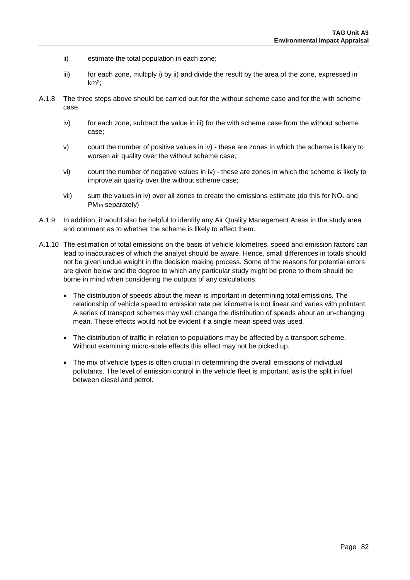- ii) estimate the total population in each zone;
- iii) for each zone, multiply i) by ii) and divide the result by the area of the zone, expressed in  $km<sup>2</sup>$ :
- A.1.8 The three steps above should be carried out for the without scheme case and for the with scheme case.
	- iv) for each zone, subtract the value in iii) for the with scheme case from the without scheme case;
	- v) count the number of positive values in iv) these are zones in which the scheme is likely to worsen air quality over the without scheme case;
	- vi) count the number of negative values in iv) these are zones in which the scheme is likely to improve air quality over the without scheme case;
	- vii) sum the values in iv) over all zones to create the emissions estimate (do this for  $NO_x$  and PM10 separately)
- A.1.9 In addition, it would also be helpful to identify any Air Quality Management Areas in the study area and comment as to whether the scheme is likely to affect them.
- A.1.10 The estimation of total emissions on the basis of vehicle kilometres, speed and emission factors can lead to inaccuracies of which the analyst should be aware. Hence, small differences in totals should not be given undue weight in the decision making process. Some of the reasons for potential errors are given below and the degree to which any particular study might be prone to them should be borne in mind when considering the outputs of any calculations.
	- The distribution of speeds about the mean is important in determining total emissions. The relationship of vehicle speed to emission rate per kilometre is not linear and varies with pollutant. A series of transport schemes may well change the distribution of speeds about an un-changing mean. These effects would not be evident if a single mean speed was used.
	- The distribution of traffic in relation to populations may be affected by a transport scheme. Without examining micro-scale effects this effect may not be picked up.
	- The mix of vehicle types is often crucial in determining the overall emissions of individual pollutants. The level of emission control in the vehicle fleet is important, as is the split in fuel between diesel and petrol.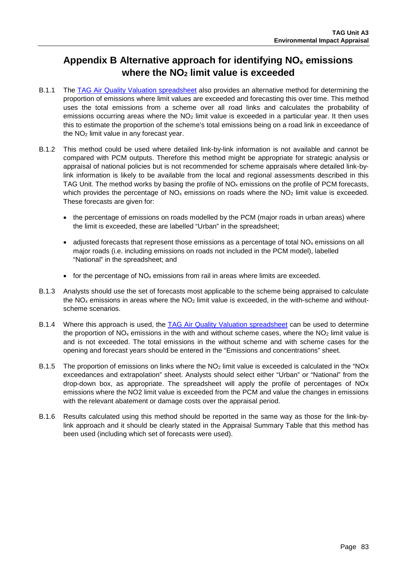# **Appendix B Alternative approach for identifying NOx emissions where the NO2 limit value is exceeded**

- B.1.1 The [TAG Air Quality Valuation spreadsheet](https://www.gov.uk/transport-analysis-guidance-webtag#appraisal-worksheets) also provides an alternative method for determining the proportion of emissions where limit values are exceeded and forecasting this over time. This method uses the total emissions from a scheme over all road links and calculates the probability of emissions occurring areas where the  $NO<sub>2</sub>$  limit value is exceeded in a particular year. It then uses this to estimate the proportion of the scheme's total emissions being on a road link in exceedance of the NO2 limit value in any forecast year.
- B.1.2 This method could be used where detailed link-by-link information is not available and cannot be compared with PCM outputs. Therefore this method might be appropriate for strategic analysis or appraisal of national policies but is not recommended for scheme appraisals where detailed link-bylink information is likely to be available from the local and regional assessments described in this TAG Unit. The method works by basing the profile of  $NO<sub>x</sub>$  emissions on the profile of PCM forecasts, which provides the percentage of  $NO<sub>x</sub>$  emissions on roads where the  $NO<sub>2</sub>$  limit value is exceeded. These forecasts are given for:
	- the percentage of emissions on roads modelled by the PCM (major roads in urban areas) where the limit is exceeded, these are labelled "Urban" in the spreadsheet;
	- adjusted forecasts that represent those emissions as a percentage of total  $NO<sub>x</sub>$  emissions on all major roads (i.e. including emissions on roads not included in the PCM model), labelled "National" in the spreadsheet; and
	- for the percentage of  $NO<sub>x</sub>$  emissions from rail in areas where limits are exceeded.
- B.1.3 Analysts should use the set of forecasts most applicable to the scheme being appraised to calculate the  $NO<sub>x</sub>$  emissions in areas where the  $NO<sub>2</sub>$  limit value is exceeded, in the with-scheme and withoutscheme scenarios.
- B.1.4 Where this approach is used, the [TAG Air Quality Valuation spreadsheet](https://www.gov.uk/transport-analysis-guidance-webtag#appraisal-worksheets) can be used to determine the proportion of  $NO<sub>x</sub>$  emissions in the with and without scheme cases, where the  $NO<sub>2</sub>$  limit value is and is not exceeded. The total emissions in the without scheme and with scheme cases for the opening and forecast years should be entered in the "Emissions and concentrations" sheet.
- B.1.5 The proportion of emissions on links where the  $NO<sub>2</sub>$  limit value is exceeded is calculated in the "NOx exceedances and extrapolation" sheet. Analysts should select either "Urban" or "National" from the drop-down box, as appropriate. The spreadsheet will apply the profile of percentages of NOx emissions where the NO2 limit value is exceeded from the PCM and value the changes in emissions with the relevant abatement or damage costs over the appraisal period.
- B.1.6 Results calculated using this method should be reported in the same way as those for the link-bylink approach and it should be clearly stated in the Appraisal Summary Table that this method has been used (including which set of forecasts were used).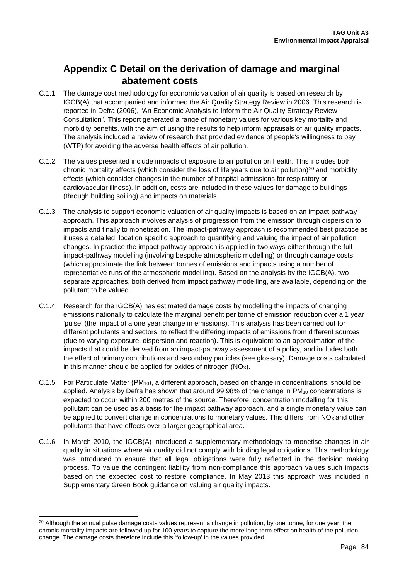# **Appendix C Detail on the derivation of damage and marginal abatement costs**

- C.1.1 The damage cost methodology for economic valuation of air quality is based on research by IGCB(A) that accompanied and informed the Air Quality Strategy Review in 2006. This research is reported in Defra (2006), "An Economic Analysis to Inform the Air Quality Strategy Review Consultation". This report generated a range of monetary values for various key mortality and morbidity benefits, with the aim of using the results to help inform appraisals of air quality impacts. The analysis included a review of research that provided evidence of people's willingness to pay (WTP) for avoiding the adverse health effects of air pollution.
- C.1.2 The values presented include impacts of exposure to air pollution on health. This includes both chronic mortality effects (which consider the loss of life years due to air pollution)<sup>[20](#page-83-0)</sup> and morbidity effects (which consider changes in the number of hospital admissions for respiratory or cardiovascular illness). In addition, costs are included in these values for damage to buildings (through building soiling) and impacts on materials.
- C.1.3 The analysis to support economic valuation of air quality impacts is based on an impact-pathway approach. This approach involves analysis of progression from the emission through dispersion to impacts and finally to monetisation. The impact-pathway approach is recommended best practice as it uses a detailed, location specific approach to quantifying and valuing the impact of air pollution changes. In practice the impact-pathway approach is applied in two ways either through the full impact-pathway modelling (involving bespoke atmospheric modelling) or through damage costs (which approximate the link between tonnes of emissions and impacts using a number of representative runs of the atmospheric modelling). Based on the analysis by the IGCB(A), two separate approaches, both derived from impact pathway modelling, are available, depending on the pollutant to be valued.
- C.1.4 Research for the IGCB(A) has estimated damage costs by modelling the impacts of changing emissions nationally to calculate the marginal benefit per tonne of emission reduction over a 1 year 'pulse' (the impact of a one year change in emissions). This analysis has been carried out for different pollutants and sectors, to reflect the differing impacts of emissions from different sources (due to varying exposure, dispersion and reaction). This is equivalent to an approximation of the impacts that could be derived from an impact-pathway assessment of a policy, and includes both the effect of primary contributions and secondary particles (see glossary). Damage costs calculated in this manner should be applied for oxides of nitrogen  $(NO<sub>x</sub>)$ .
- C.1.5 For Particulate Matter (PM10), a different approach, based on change in concentrations, should be applied. Analysis by Defra has shown that around  $99.98\%$  of the change in PM<sub>10</sub> concentrations is expected to occur within 200 metres of the source. Therefore, concentration modelling for this pollutant can be used as a basis for the impact pathway approach, and a single monetary value can be applied to convert change in concentrations to monetary values. This differs from  $NO<sub>X</sub>$  and other pollutants that have effects over a larger geographical area.
- C.1.6 In March 2010, the IGCB(A) introduced a supplementary methodology to monetise changes in air quality in situations where air quality did not comply with binding legal obligations. This methodology was introduced to ensure that all legal obligations were fully reflected in the decision making process. To value the contingent liability from non-compliance this approach values such impacts based on the expected cost to restore compliance. In May 2013 this approach was included in Supplementary Green Book guidance on valuing air quality impacts.

<span id="page-83-0"></span><sup>&</sup>lt;sup>20</sup> Although the annual pulse damage costs values represent a change in pollution, by one tonne, for one year, the chronic mortality impacts are followed up for 100 years to capture the more long term effect on health of the pollution change. The damage costs therefore include this 'follow-up' in the values provided.